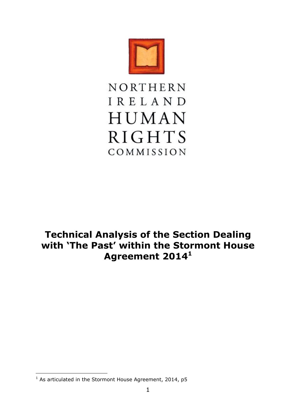

# NORTHERN IRELAND HUMAN **RIGHTS** COMMISSION

# **Technical Analysis of the Section Dealing with 'The Past' within the Stormont House Agreement 2014<sup>1</sup>**

<sup>-</sup> $1$  As articulated in the Stormont House Agreement, 2014, p5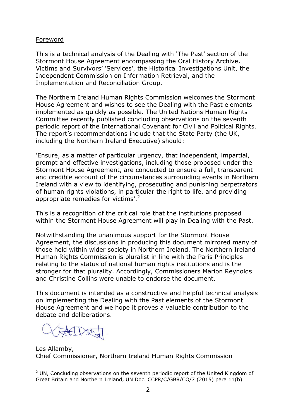#### Foreword

This is a technical analysis of the Dealing with 'The Past' section of the Stormont House Agreement encompassing the Oral History Archive, Victims and Survivors' 'Services', the Historical Investigations Unit, the Independent Commission on Information Retrieval, and the Implementation and Reconciliation Group.

The Northern Ireland Human Rights Commission welcomes the Stormont House Agreement and wishes to see the Dealing with the Past elements implemented as quickly as possible. The United Nations Human Rights Committee recently published concluding observations on the seventh periodic report of the International Covenant for Civil and Political Rights. The report's recommendations include that the State Party (the UK, including the Northern Ireland Executive) should:

'Ensure, as a matter of particular urgency, that independent, impartial, prompt and effective investigations, including those proposed under the Stormont House Agreement, are conducted to ensure a full, transparent and credible account of the circumstances surrounding events in Northern Ireland with a view to identifying, prosecuting and punishing perpetrators of human rights violations, in particular the right to life, and providing appropriate remedies for victims'.<sup>2</sup>

This is a recognition of the critical role that the institutions proposed within the Stormont House Agreement will play in Dealing with the Past.

Notwithstanding the unanimous support for the Stormont House Agreement, the discussions in producing this document mirrored many of those held within wider society in Northern Ireland. The Northern Ireland Human Rights Commission is pluralist in line with the Paris Principles relating to the status of national human rights institutions and is the stronger for that plurality. Accordingly, Commissioners Marion Reynolds and Christine Collins were unable to endorse the document.

This document is intended as a constructive and helpful technical analysis on implementing the Dealing with the Past elements of the Stormont House Agreement and we hope it proves a valuable contribution to the debate and deliberations.

DAMI

Les Allamby, Chief Commissioner, Northern Ireland Human Rights Commission

<sup>-</sup> $<sup>2</sup>$  UN, Concluding observations on the seventh periodic report of the United Kingdom of</sup> Great Britain and Northern Ireland, UN Doc. CCPR/C/GBR/CO/7 (2015) para 11(b)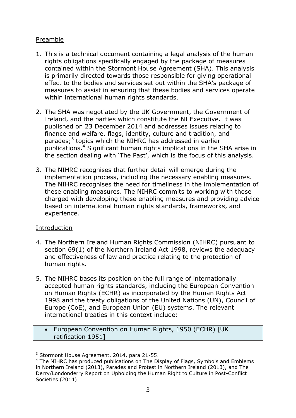#### Preamble

- 1. This is a technical document containing a legal analysis of the human rights obligations specifically engaged by the package of measures contained within the Stormont House Agreement (SHA). This analysis is primarily directed towards those responsible for giving operational effect to the bodies and services set out within the SHA's package of measures to assist in ensuring that these bodies and services operate within international human rights standards.
- 2. The SHA was negotiated by the UK Government, the Government of Ireland, and the parties which constitute the NI Executive. It was published on 23 December 2014 and addresses issues relating to finance and welfare, flags, identity, culture and tradition, and parades;<sup>3</sup> topics which the NIHRC has addressed in earlier publications.<sup>4</sup> Significant human rights implications in the SHA arise in the section dealing with 'The Past', which is the focus of this analysis.
- 3. The NIHRC recognises that further detail will emerge during the implementation process, including the necessary enabling measures. The NIHRC recognises the need for timeliness in the implementation of these enabling measures. The NIHRC commits to working with those charged with developing these enabling measures and providing advice based on international human rights standards, frameworks, and experience.

#### Introduction

- 4. The Northern Ireland Human Rights Commission (NIHRC) pursuant to section 69(1) of the Northern Ireland Act 1998, reviews the adequacy and effectiveness of law and practice relating to the protection of human rights.
- 5. The NIHRC bases its position on the full range of internationally accepted human rights standards, including the European Convention on Human Rights (ECHR) as incorporated by the Human Rights Act 1998 and the treaty obligations of the United Nations (UN), Council of Europe (CoE), and European Union (EU) systems. The relevant international treaties in this context include:
	- European Convention on Human Rights, 1950 (ECHR) [UK ratification 1951]

<sup>&</sup>lt;sup>3</sup> Stormont House Agreement, 2014, para 21-55.

<sup>&</sup>lt;sup>4</sup> The NIHRC has produced publications on The Display of Flags, Symbols and Emblems in Northern Ireland (2013), Parades and Protest in Northern Ireland (2013), and The Derry/Londonderry Report on Upholding the Human Right to Culture in Post-Conflict Societies (2014)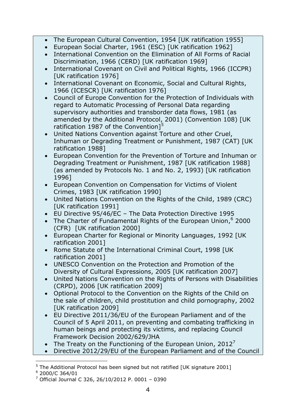- The European Cultural Convention, 1954 [UK ratification 1955]
- European Social Charter, 1961 (ESC) [UK ratification 1962]
- International Convention on the Elimination of All Forms of Racial Discrimination, 1966 (CERD) [UK ratification 1969]
- International Covenant on Civil and Political Rights, 1966 (ICCPR) [UK ratification 1976]
- International Covenant on Economic, Social and Cultural Rights, 1966 (ICESCR) [UK ratification 1976]
- Council of Europe Convention for the Protection of Individuals with regard to Automatic Processing of Personal Data regarding supervisory authorities and transborder data flows, 1981 (as amended by the Additional Protocol, 2001) (Convention 108) [UK ratification 1987 of the Convention<sup>15</sup>
- United Nations Convention against Torture and other Cruel, Inhuman or Degrading Treatment or Punishment, 1987 (CAT) [UK ratification 1988]
- European Convention for the Prevention of Torture and Inhuman or Degrading Treatment or Punishment, 1987 [UK ratification 1988] (as amended by Protocols No. 1 and No. 2, 1993) [UK ratification 1996]
- European Convention on Compensation for Victims of Violent Crimes, 1983 [UK ratification 1990]
- United Nations Convention on the Rights of the Child, 1989 (CRC) [UK ratification 1991]
- EU Directive 95/46/EC The Data Protection Directive 1995
- The Charter of Fundamental Rights of the European Union,<sup>6</sup> 2000 (CFR) [UK ratification 2000]
- European Charter for Regional or Minority Languages, 1992 [UK ratification 2001]
- Rome Statute of the International Criminal Court, 1998 [UK ratification 2001]
- UNESCO Convention on the Protection and Promotion of the Diversity of Cultural Expressions, 2005 [UK ratification 2007]
- United Nations Convention on the Rights of Persons with Disabilities (CRPD), 2006 [UK ratification 2009]
- Optional Protocol to the Convention on the Rights of the Child on the sale of children, child prostitution and child pornography, 2002 [UK ratification 2009]
- EU Directive 2011/36/EU of the European Parliament and of the Council of 5 April 2011, on preventing and combating trafficking in human beings and protecting its victims, and replacing Council Framework Decision 2002/629/JHA
- The Treaty on the Functioning of the European Union, 2012<sup> $\prime$ </sup>
- Directive 2012/29/EU of the European Parliament and of the Council

<sup>-</sup> $^5$  The Additional Protocol has been signed but not ratified [UK signature 2001]

 $6$  2000/C 364/01

 $7$  Official Journal C 326, 26/10/2012 P. 0001 - 0390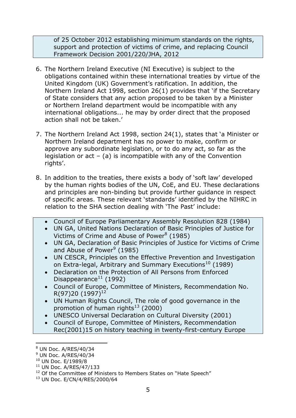of 25 October 2012 establishing minimum standards on the rights, support and protection of victims of crime, and replacing Council Framework Decision 2001/220/JHA, 2012

- 6. The Northern Ireland Executive (NI Executive) is subject to the obligations contained within these international treaties by virtue of the United Kingdom (UK) Government's ratification. In addition, the Northern Ireland Act 1998, section 26(1) provides that 'if the Secretary of State considers that any action proposed to be taken by a Minister or Northern Ireland department would be incompatible with any international obligations... he may by order direct that the proposed action shall not be taken.'
- 7. The Northern Ireland Act 1998, section 24(1), states that 'a Minister or Northern Ireland department has no power to make, confirm or approve any subordinate legislation, or to do any act, so far as the legislation or  $act - (a)$  is incompatible with any of the Convention rights'.
- 8. In addition to the treaties, there exists a body of 'soft law' developed by the human rights bodies of the UN, CoE, and EU. These declarations and principles are non-binding but provide further guidance in respect of specific areas. These relevant 'standards' identified by the NIHRC in relation to the SHA section dealing with 'The Past' include:
	- Council of Europe Parliamentary Assembly Resolution 828 (1984)
	- UN GA, United Nations Declaration of Basic Principles of Justice for Victims of Crime and Abuse of Power $8$  (1985)
	- UN GA, Declaration of Basic Principles of Justice for Victims of Crime and Abuse of Power<sup>9</sup> (1985)
	- UN CESCR, Principles on the Effective Prevention and Investigation on Extra-legal, Arbitrary and Summary Executions<sup>10</sup> (1989)
	- Declaration on the Protection of All Persons from Enforced Disappearance $^{11}$  (1992)
	- Council of Europe, Committee of Ministers, Recommendation No.  $R(97)20(1997)^{12}$
	- UN Human Rights Council, The role of good governance in the promotion of human rights $^{13}$  (2000)
	- UNESCO Universal Declaration on Cultural Diversity (2001)
	- Council of Europe, Committee of Ministers, Recommendation Rec(2001)15 on history teaching in twenty-first-century Europe

<sup>8</sup> UN Doc. A/RES/40/34

<sup>9</sup> UN Doc. A/RES/40/34

<sup>10</sup> UN Doc. E/1989/8

<sup>11</sup> UN Doc. A/RES/47/133

<sup>&</sup>lt;sup>12</sup> Of the Committee of Ministers to Members States on "Hate Speech"

<sup>13</sup> UN Doc. E/CN/4/RES/2000/64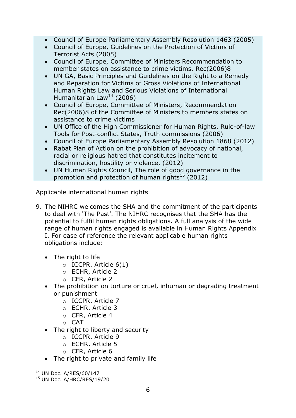- Council of Europe Parliamentary Assembly Resolution 1463 (2005)
- Council of Europe, Guidelines on the Protection of Victims of Terrorist Acts (2005)
- Council of Europe, Committee of Ministers Recommendation to member states on assistance to crime victims, Rec(2006)8
- UN GA, Basic Principles and Guidelines on the Right to a Remedy and Reparation for Victims of Gross Violations of International Human Rights Law and Serious Violations of International Humanitarian Law<sup>14</sup> (2006)
- Council of Europe, Committee of Ministers, Recommendation Rec(2006)8 of the Committee of Ministers to members states on assistance to crime victims
- UN Office of the High Commissioner for Human Rights, Rule-of-law Tools for Post-conflict States, Truth commissions (2006)
- Council of Europe Parliamentary Assembly Resolution 1868 (2012)
- Rabat Plan of Action on the prohibition of advocacy of national, racial or religious hatred that constitutes incitement to discrimination, hostility or violence, (2012)
- UN Human Rights Council, The role of good governance in the promotion and protection of human rights<sup>15</sup> (2012)

Applicable international human rights

- 9. The NIHRC welcomes the SHA and the commitment of the participants to deal with 'The Past'. The NIHRC recognises that the SHA has the potential to fulfil human rights obligations. A full analysis of the wide range of human rights engaged is available in Human Rights Appendix I. For ease of reference the relevant applicable human rights obligations include:
	- The right to life
		- $\circ$  ICCPR, Article 6(1)
		- o ECHR, Article 2
		- o CFR, Article 2
	- The prohibition on torture or cruel, inhuman or degrading treatment or punishment
		- o ICCPR, Article 7
		- o ECHR, Article 3
		- o CFR, Article 4
		- o CAT
		- The right to liberty and security
			- o ICCPR, Article 9
			- o ECHR, Article 5
			- o CFR, Article 6
	- The right to private and family life

<sup>-</sup><sup>14</sup> UN Doc. A/RES/60/147

<sup>&</sup>lt;sup>15</sup> UN Doc. A/HRC/RES/19/20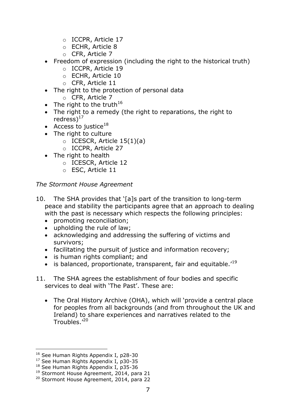- o ICCPR, Article 17
- o ECHR, Article 8
- o CFR, Article 7
- Freedom of expression (including the right to the historical truth)
	- o ICCPR, Article 19
	- o ECHR, Article 10
	- o CFR, Article 11
- The right to the protection of personal data
	- o CFR, Article 7
- The right to the truth<sup>16</sup>
- The right to a remedy (the right to reparations, the right to redress $)^{17}$
- Access to justice<sup>18</sup>
- The right to culture
	- $\circ$  ICESCR, Article 15(1)(a)
	- o ICCPR, Article 27
- The right to health
	- o ICESCR, Article 12
	- o ESC, Article 11

# *The Stormont House Agreement*

- 10. The SHA provides that '[a]s part of the transition to long-term peace and stability the participants agree that an approach to dealing with the past is necessary which respects the following principles:
	- promoting reconciliation;
	- upholding the rule of law;
	- acknowledging and addressing the suffering of victims and survivors;
	- facilitating the pursuit of justice and information recovery;
	- is human rights compliant; and
	- is balanced, proportionate, transparent, fair and equitable.<sup>'19</sup>
- 11. The SHA agrees the establishment of four bodies and specific services to deal with 'The Past'. These are:
	- The Oral History Archive (OHA), which will 'provide a central place for peoples from all backgrounds (and from throughout the UK and Ireland) to share experiences and narratives related to the Troubles.'<sup>20</sup>

<sup>-</sup><sup>16</sup> See Human Rights Appendix I, p28-30

<sup>&</sup>lt;sup>17</sup> See Human Rights Appendix I, p30-35

<sup>&</sup>lt;sup>18</sup> See Human Rights Appendix I, p35-36

<sup>&</sup>lt;sup>19</sup> Stormont House Agreement, 2014, para 21

<sup>&</sup>lt;sup>20</sup> Stormont House Agreement, 2014, para 22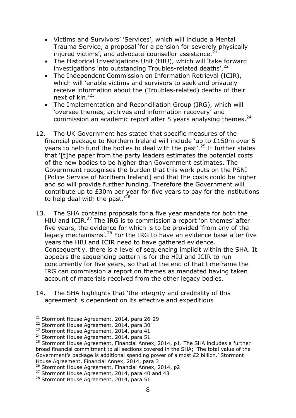- Victims and Survivors' 'Services', which will include a Mental Trauma Service, a proposal 'for a pension for severely physically injured victims', and advocate-counsellor assistance. $^{21}$
- The Historical Investigations Unit (HIU), which will 'take forward investigations into outstanding Troubles-related deaths'.<sup>22</sup>
- The Independent Commission on Information Retrieval (ICIR), which will 'enable victims and survivors to seek and privately receive information about the (Troubles-related) deaths of their next of kin.'<sup>23</sup>
- The Implementation and Reconciliation Group (IRG), which will 'oversee themes, archives and information recovery' and commission an academic report after 5 years analysing themes.<sup>24</sup>
- 12. The UK Government has stated that specific measures of the financial package to Northern Ireland will include 'up to £150m over 5 years to help fund the bodies to deal with the past'.<sup>25</sup> It further states that '[t]he paper from the party leaders estimates the potential costs of the new bodies to be higher than Government estimates. The Government recognises the burden that this work puts on the PSNI [Police Service of Northern Ireland] and that the costs could be higher and so will provide further funding. Therefore the Government will contribute up to £30m per year for five years to pay for the institutions to help deal with the past.<sup>'26</sup>
- 13. The SHA contains proposals for a five year mandate for both the HIU and ICIR.<sup>27</sup> The IRG is to commission a report 'on themes' after five years, the evidence for which is to be provided 'from any of the legacy mechanisms'.<sup>28</sup> For the IRG to have an evidence base after five years the HIU and ICIR need to have gathered evidence. Consequently, there is a level of sequencing implicit within the SHA. It appears the sequencing pattern is for the HIU and ICIR to run concurrently for five years, so that at the end of that timeframe the IRG can commission a report on themes as mandated having taken account of materials received from the other legacy bodies.
- 14. The SHA highlights that 'the integrity and credibility of this agreement is dependent on its effective and expeditious

<sup>&</sup>lt;sup>21</sup> Stormont House Agreement, 2014, para 26-29

<sup>&</sup>lt;sup>22</sup> Stormont House Agreement, 2014, para 30

<sup>&</sup>lt;sup>23</sup> Stormont House Agreement, 2014, para 41

<sup>&</sup>lt;sup>24</sup> Stormont House Agreement, 2014, para 51

<sup>&</sup>lt;sup>25</sup> Stormont House Agreement, Financial Annex, 2014, p1. The SHA includes a further broad financial commitment to all sections covered in the SHA; 'The total value of the Government's package is additional spending power of almost £2 billion.' Stormont House Agreement, Financial Annex, 2014, para 3

<sup>&</sup>lt;sup>26</sup> Stormont House Agreement, Financial Annex, 2014, p2

<sup>&</sup>lt;sup>27</sup> Stormont House Agreement, 2014, para 40 and 43

<sup>&</sup>lt;sup>28</sup> Stormont House Agreement, 2014, para 51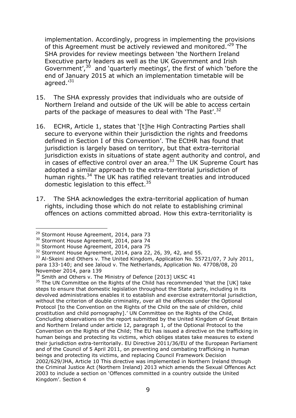implementation. Accordingly, progress in implementing the provisions of this Agreement must be actively reviewed and monitored.<sup>'29</sup> The SHA provides for review meetings between 'the Northern Ireland Executive party leaders as well as the UK Government and Irish Government',  $30$  and 'quarterly meetings', the first of which 'before the end of January 2015 at which an implementation timetable will be agreed.'<sup>31</sup>

- 15. The SHA expressly provides that individuals who are outside of Northern Ireland and outside of the UK will be able to access certain parts of the package of measures to deal with 'The Past'.<sup>32</sup>
- 16. ECHR, Article 1, states that '[t]he High Contracting Parties shall secure to everyone within their jurisdiction the rights and freedoms defined in Section I of this Convention'. The ECtHR has found that jurisdiction is largely based on territory, but that extra-territorial jurisdiction exists in situations of state agent authority and control, and in cases of effective control over an area.<sup>33</sup> The UK Supreme Court has adopted a similar approach to the extra-territorial jurisdiction of human rights.<sup>34</sup> The UK has ratified relevant treaties and introduced domestic legislation to this effect.<sup>35</sup>
- 17. The SHA acknowledges the extra-territorial application of human rights, including those which do not relate to establishing criminal offences on actions committed abroad. How this extra-territoriality is

<sup>&</sup>lt;sup>29</sup> Stormont House Agreement, 2014, para 73

<sup>&</sup>lt;sup>30</sup> Stormont House Agreement, 2014, para 74

<sup>&</sup>lt;sup>31</sup> Stormont House Agreement, 2014, para 75

 $32$  Stormont House Agreement, 2014, para 22, 26, 39, 42, and 55.

<sup>&</sup>lt;sup>33</sup> Al-Skeini and Others v. The United Kingdom, Application No. 55721/07, 7 July 2011, para 133-140; and see Jaloud v. The Netherlands, Application No. 47708/08, 20 November 2014, para 139

<sup>&</sup>lt;sup>34</sup> Smith and Others v. The Ministry of Defence [2013] UKSC 41

 $35$  The UN Committee on the Rights of the Child has recommended 'that the [UK] take steps to ensure that domestic legislation throughout the State party, including in its devolved administrations enables it to establish and exercise extraterritorial jurisdiction, without the criterion of double criminality, over all the offences under the Optional Protocol [to the Convention on the Rights of the Child on the sale of children, child prostitution and child pornography].' UN Committee on the Rights of the Child, Concluding observations on the report submitted by the United Kingdom of Great Britain and Northern Ireland under article 12, paragraph 1, of the Optional Protocol to the Convention on the Rights of the Child; The EU has issued a directive on the trafficking in human beings and protecting its victims, which obliges states take measures to extend their jurisdiction extra-territorially. EU Directive 2011/36/EU of the European Parliament and of the Council of 5 April 2011, on preventing and combating trafficking in human beings and protecting its victims, and replacing Council Framework Decision 2002/629/JHA, Article 10 This directive was implemented in Northern Ireland through the Criminal Justice Act (Northern Ireland) 2013 which amends the Sexual Offences Act 2003 to include a section on 'Offences committed in a country outside the United Kingdom'. Section 4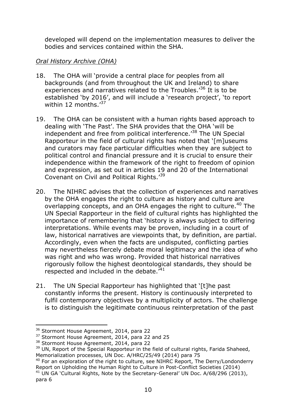developed will depend on the implementation measures to deliver the bodies and services contained within the SHA.

# *Oral History Archive (OHA)*

- 18. The OHA will 'provide a central place for peoples from all backgrounds (and from throughout the UK and Ireland) to share experiences and narratives related to the Troubles.<sup>'36</sup> It is to be established 'by 2016', and will include a 'research project', 'to report within 12 months.<sup>'37</sup>
- 19. The OHA can be consistent with a human rights based approach to dealing with 'The Past'. The SHA provides that the OHA 'will be independent and free from political interference.<sup>38</sup> The UN Special Rapporteur in the field of cultural rights has noted that '[m]useums and curators may face particular difficulties when they are subject to political control and financial pressure and it is crucial to ensure their independence within the framework of the right to freedom of opinion and expression, as set out in articles 19 and 20 of the International Covenant on Civil and Political Rights.<sup>139</sup>
- 20. The NIHRC advises that the collection of experiences and narratives by the OHA engages the right to culture as history and culture are overlapping concepts, and an OHA engages the right to culture.<sup>40</sup> The UN Special Rapporteur in the field of cultural rights has highlighted the importance of remembering that 'history is always subject to differing interpretations. While events may be proven, including in a court of law, historical narratives are viewpoints that, by definition, are partial. Accordingly, even when the facts are undisputed, conflicting parties may nevertheless fiercely debate moral legitimacy and the idea of who was right and who was wrong. Provided that historical narratives rigorously follow the highest deontological standards, they should be respected and included in the debate. $141$
- 21. The UN Special Rapporteur has highlighted that '[t]he past constantly informs the present. History is continuously interpreted to fulfil contemporary objectives by a multiplicity of actors. The challenge is to distinguish the legitimate continuous reinterpretation of the past

<sup>&</sup>lt;sup>36</sup> Stormont House Agreement, 2014, para 22

 $37$  Stormont House Agreement, 2014, para 22 and 25

<sup>&</sup>lt;sup>38</sup> Stormont House Agreement, 2014, para 22

<sup>&</sup>lt;sup>39</sup> UN, Report of the Special Rapporteur in the field of cultural rights, Farida Shaheed, Memorialization processes, UN Doc. A/HRC/25/49 (2014) para 75

 $40$  For an exploration of the right to culture, see NIHRC Report, The Derry/Londonderry Report on Upholding the Human Right to Culture in Post-Conflict Societies (2014)  $41$  UN GA 'Cultural Rights, Note by the Secretary-General' UN Doc. A/68/296 (2013), para 6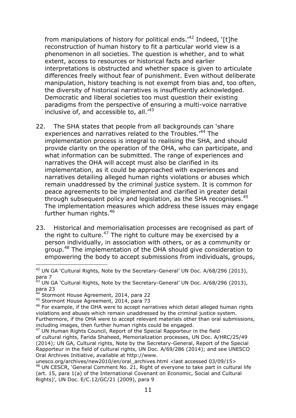from manipulations of history for political ends. $142$  Indeed,  $[f]$ he reconstruction of human history to fit a particular world view is a phenomenon in all societies. The question is whether, and to what extent, access to resources or historical facts and earlier interpretations is obstructed and whether space is given to articulate differences freely without fear of punishment. Even without deliberate manipulation, history teaching is not exempt from bias and, too often, the diversity of historical narratives is insufficiently acknowledged. Democratic and liberal societies too must question their existing paradigms from the perspective of ensuring a multi-voice narrative inclusive of, and accessible to, all.<sup>43</sup>

- 22. The SHA states that people from all backgrounds can 'share experiences and narratives related to the Troubles.<sup>'44</sup> The implementation process is integral to realising the SHA, and should provide clarity on the operation of the OHA, who can participate, and what information can be submitted. The range of experiences and narratives the OHA will accept must also be clarified in its implementation, as it could be approached with experiences and narratives detailing alleged human rights violations or abuses which remain unaddressed by the criminal justice system. It is common for peace agreements to be implemented and clarified in greater detail through subsequent policy and legislation, as the SHA recognises.<sup>45</sup> The implementation measures which address these issues may engage further human rights.<sup>46</sup>
- 23. Historical and memorialisation processes are recognised as part of the right to culture.<sup>47</sup> The right to culture may be exercised by a person individually, in association with others, or as a community or group.<sup>48</sup> The implementation of the OHA should give consideration to empowering the body to accept submissions from individuals, groups,

<sup>42</sup> UN GA 'Cultural Rights, Note by the Secretary-General' UN Doc. A/68/296 (2013), para 7

 $43$  UN GA 'Cultural Rights, Note by the Secretary-General' UN Doc. A/68/296 (2013), para 23

<sup>&</sup>lt;sup>44</sup> Stormont House Agreement, 2014, para 22

<sup>45</sup> Stormont House Agreement, 2014, para 73

<sup>&</sup>lt;sup>46</sup> For example, if the OHA were to accept narratives which detail alleged human rights violations and abuses which remain unaddressed by the criminal justice system. Furthermore, if the OHA were to accept relevant materials other than oral submissions, including images, then further human rights could be engaged.

<sup>&</sup>lt;sup>47</sup> UN Human Rights Council, Report of the Special Rapporteur in the field of cultural rights, Farida Shaheed, Memorialization processes, UN Doc. A/HRC/25/49 (2014); UN GA, Cultural rights, Note by the Secretary-General, Report of the Special Rapporteur in the field of cultural rights, UN Doc. A/69/286 (2014); and see UNESCO Oral Archives Initiative, available at http://www.

unesco.org/archives/new2010/en/oral\_archives.html <last accessed 03/09/15> <sup>48</sup> UN CESCR, 'General Comment No. 21, Right of everyone to take part in cultural life (art. 15, para 1(a) of the International Covenant on Economic, Social and Cultural Rights)', UN Doc. E/C.12/GC/21 (2009), para 9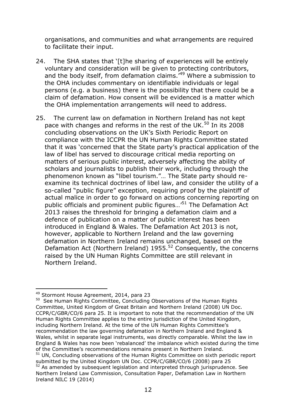organisations, and communities and what arrangements are required to facilitate their input.

- 24. The SHA states that '[t]he sharing of experiences will be entirely voluntary and consideration will be given to protecting contributors, and the body itself, from defamation claims.  $49$  Where a submission to the OHA includes commentary on identifiable individuals or legal persons (e.g. a business) there is the possibility that there could be a claim of defamation. How consent will be evidenced is a matter which the OHA implementation arrangements will need to address.
- 25. The current law on defamation in Northern Ireland has not kept pace with changes and reforms in the rest of the UK.<sup>50</sup> In its 2008 concluding observations on the UK's Sixth Periodic Report on compliance with the ICCPR the UN Human Rights Committee stated that it was 'concerned that the State party's practical application of the law of libel has served to discourage critical media reporting on matters of serious public interest, adversely affecting the ability of scholars and journalists to publish their work, including through the phenomenon known as "libel tourism."… The State party should reexamine its technical doctrines of libel law, and consider the utility of a so-called "public figure" exception, requiring proof by the plaintiff of actual malice in order to go forward on actions concerning reporting on public officials and prominent public figures...<sup>51</sup> The Defamation Act 2013 raises the threshold for bringing a defamation claim and a defence of publication on a matter of public interest has been introduced in England & Wales. The Defamation Act 2013 is not, however, applicable to Northern Ireland and the law governing defamation in Northern Ireland remains unchanged, based on the Defamation Act (Northern Ireland) 1955.<sup>52</sup> Consequently, the concerns raised by the UN Human Rights Committee are still relevant in Northern Ireland.

<sup>49</sup> Stormont House Agreement, 2014, para 23

<sup>&</sup>lt;sup>50</sup> See Human Rights Committee, Concluding Observations of the Human Rights Committee, United Kingdom of Great Britain and Northern Ireland (2008) UN Doc. CCPR/C/GBR/CO/6 para 25. It is important to note that the recommendation of the UN Human Rights Committee applies to the entire jurisdiction of the United Kingdom, including Northern Ireland. At the time of the UN Human Rights Committee's recommendation the law governing defamation in Northern Ireland and England & Wales, whilst in separate legal instruments, was directly comparable. Whilst the law in England & Wales has now been 'rebalanced' the imbalance which existed during the time of the Committee's recommendations remains present in Northern Ireland. <sup>51</sup> UN, Concluding observations of the Human Rights Committee on sixth periodic report submitted by the United Kingdom UN Doc. CCPR/C/GBR/CO/6 (2008) para 25

 $52$  As amended by subsequent legislation and interpreted through jurisprudence. See Northern Ireland Law Commission, Consultation Paper, Defamation Law in Northern Ireland NILC 19 (2014)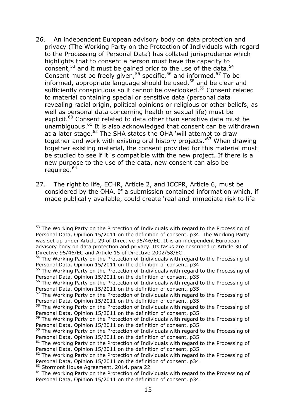- 26. An independent European advisory body on data protection and privacy (The Working Party on the Protection of Individuals with regard to the Processing of Personal Data) has collated jurisprudence which highlights that to consent a person must have the capacity to consent,<sup>53</sup> and it must be gained prior to the use of the data.<sup>54</sup> Consent must be freely given,  $55$  specific,  $56$  and informed.  $57$  To be informed, appropriate language should be used,<sup>58</sup> and be clear and sufficiently conspicuous so it cannot be overlooked.<sup>59</sup> Consent related to material containing special or sensitive data (personal data revealing racial origin, political opinions or religious or other beliefs, as well as personal data concerning health or sexual life) must be explicit.<sup>60</sup> Consent related to data other than sensitive data must be unambiguous.<sup>61</sup> It is also acknowledged that consent can be withdrawn at a later stage.<sup>62</sup> The SHA states the OHA 'will attempt to draw together and work with existing oral history projects.'<sup>63</sup> When drawing together existing material, the consent provided for this material must be studied to see if it is compatible with the new project. If there is a new purpose to the use of the data, new consent can also be required. 64
- 27. The right to life, ECHR, Article 2, and ICCPR, Article 6, must be considered by the OHA. If a submission contained information which, if made publically available, could create 'real and immediate risk to life

<sup>&</sup>lt;sup>53</sup> The Working Party on the Protection of Individuals with regard to the Processing of Personal Data, Opinion 15/2011 on the definition of consent, p34. The Working Party was set up under Article 29 of Directive 95/46/EC. It is an independent European advisory body on data protection and privacy. Its tasks are described in Article 30 of Directive 95/46/EC and Article 15 of Directive 2002/58/EC.

<sup>&</sup>lt;sup>54</sup> The Working Party on the Protection of Individuals with regard to the Processing of Personal Data, Opinion 15/2011 on the definition of consent, p34

<sup>55</sup> The Working Party on the Protection of Individuals with regard to the Processing of Personal Data, Opinion 15/2011 on the definition of consent, p35

<sup>&</sup>lt;sup>56</sup> The Working Party on the Protection of Individuals with regard to the Processing of Personal Data, Opinion 15/2011 on the definition of consent, p35

<sup>&</sup>lt;sup>57</sup> The Working Party on the Protection of Individuals with regard to the Processing of Personal Data, Opinion 15/2011 on the definition of consent, p35

<sup>&</sup>lt;sup>58</sup> The Working Party on the Protection of Individuals with regard to the Processing of Personal Data, Opinion 15/2011 on the definition of consent, p35

<sup>&</sup>lt;sup>59</sup> The Working Party on the Protection of Individuals with regard to the Processing of Personal Data, Opinion 15/2011 on the definition of consent, p35

 $60$  The Working Party on the Protection of Individuals with regard to the Processing of Personal Data, Opinion 15/2011 on the definition of consent, p35

<sup>&</sup>lt;sup>61</sup> The Working Party on the Protection of Individuals with regard to the Processing of Personal Data, Opinion 15/2011 on the definition of consent, p35

<sup>&</sup>lt;sup>62</sup> The Working Party on the Protection of Individuals with regard to the Processing of Personal Data, Opinion 15/2011 on the definition of consent, p34

<sup>&</sup>lt;sup>63</sup> Stormont House Agreement, 2014, para 22

 $64$  The Working Party on the Protection of Individuals with regard to the Processing of Personal Data, Opinion 15/2011 on the definition of consent, p34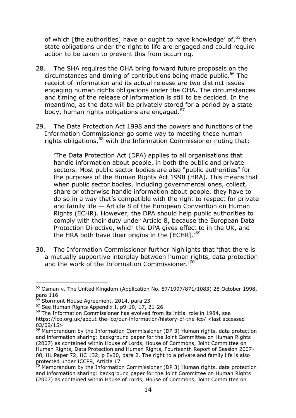of which [the authorities] have or ought to have knowledge' of, <sup>65</sup> then state obligations under the right to life are engaged and could require action to be taken to prevent this from occurring.

- 28. The SHA requires the OHA bring forward future proposals on the circumstances and timing of contributions being made public.<sup>66</sup> The receipt of information and its actual release are two distinct issues engaging human rights obligations under the OHA. The circumstances and timing of the release of information is still to be decided. In the meantime, as the data will be privately stored for a period by a state body, human rights obligations are engaged.<sup>67</sup>
- 29. The Data Protection Act 1998 and the powers and functions of the Information Commissioner go some way to meeting these human rights obligations,<sup>68</sup> with the Information Commissioner noting that:

'The Data Protection Act (DPA) applies to all organisations that handle information about people, in both the public and private sectors. Most public sector bodies are also "public authorities" for the purposes of the Human Rights Act 1998 (HRA). This means that when public sector bodies, including governmental ones, collect, share or otherwise handle information about people, they have to do so in a way that's compatible with the right to respect for private and family life — Article 8 of the European Convention on Human Rights (ECHR). However, the DPA should help public authorities to comply with their duty under Article 8, because the European Data Protection Directive, which the DPA gives effect to in the UK, and the HRA both have their origins in the [ECHR].<sup>169</sup>

30. The Information Commissioner further highlights that 'that there is a mutually supportive interplay between human rights, data protection and the work of the Information Commissioner.<sup>'70</sup>

<sup>65</sup> Osman v. The United Kingdom (Application No. 87/1997/871/1083) 28 October 1998, para 116

<sup>&</sup>lt;sup>66</sup> Stormont House Agreement, 2014, para 23

<sup>67</sup> See Human Rights Appendix I, p9-10, 17, 21-26

<sup>&</sup>lt;sup>68</sup> The Information Commissioner has evolved from its initial role in 1984, see https://ico.org.uk/about-the-ico/our-information/history-of-the-ico/ <last accessed 03/09/15>

 $69$  Memorandum by the Information Commissioner (DP 3) Human rights, data protection and information sharing: background paper for the Joint Committee on Human Rights (2007) as contained within House of Lords, House of Commons, Joint Committee on Human Rights, Data Protection and Human Rights, Fourteenth Report of Session 2007- 08, HL Paper 72, HC 132, p Ev30, para 2. The right to a private and family life is also protected under ICCPR, Article 17

 $70$  Memorandum by the Information Commissioner (DP 3) Human rights, data protection and information sharing: background paper for the Joint Committee on Human Rights (2007) as contained within House of Lords, House of Commons, Joint Committee on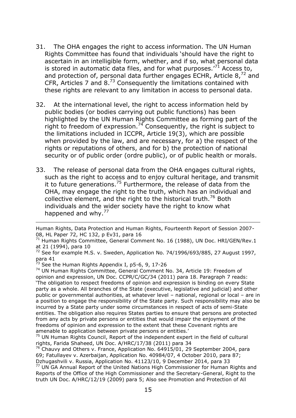- 31. The OHA engages the right to access information. The UN Human Rights Committee has found that individuals 'should have the right to ascertain in an intelligible form, whether, and if so, what personal data is stored in automatic data files, and for what purposes. $17<sup>1</sup>$  Access to, and protection of, personal data further engages ECHR, Article 8,<sup>72</sup> and CFR, Articles 7 and  $8.^{73}$  Consequently the limitations contained with these rights are relevant to any limitation in access to personal data.
- 32. At the international level, the right to access information held by public bodies (or bodies carrying out public functions) has been highlighted by the UN Human Rights Committee as forming part of the right to freedom of expression.<sup>74</sup> Consequently, the right is subject to the limitations included in ICCPR, Article 19(3), which are possible when provided by the law, and are necessary, for a) the respect of the rights or reputations of others, and for b) the protection of national security or of public order (ordre public), or of public health or morals.
- 33. The release of personal data from the OHA engages cultural rights, such as the right to access and to enjoy cultural heritage, and transmit it to future generations.<sup>75</sup> Furthermore, the release of data from the OHA, may engage the right to the truth, which has an individual and collective element, and the right to the historical truth.<sup>76</sup> Both individuals and the wider society have the right to know what happened and why.<sup>77</sup>

 $^{73}$  See the Human Rights Appendix I, p5-6, 9, 17-26

-

<sup>74</sup> UN Human Rights Committee, General Comment No. 34, Article 19: Freedom of opinion and expression, UN Doc. CCPR/C/GC/34 (2011) para 18. Paragraph 7 reads: 'The obligation to respect freedoms of opinion and expression is binding on every State party as a whole. All branches of the State (executive, legislative and judicial) and other public or governmental authorities, at whatever level – national, regional or local – are in a position to engage the responsibility of the State party. Such responsibility may also be incurred by a State party under some circumstances in respect of acts of semi-State entities. The obligation also requires States parties to ensure that persons are protected from any acts by private persons or entities that would impair the enjoyment of the freedoms of opinion and expression to the extent that these Covenant rights are amenable to application between private persons or entities.'

Human Rights, Data Protection and Human Rights, Fourteenth Report of Session 2007- 08, HL Paper 72, HC 132, p Ev31, para 16

<sup>&</sup>lt;sup>71</sup> Human Rights Committee, General Comment No. 16 (1988), UN Doc. HRI/GEN/Rev.1 at 21 (1994), para 10

 $72$  See for example M.S. v. Sweden, Application No. 74/1996/693/885, 27 August 1997, para 41

 $75$  UN Human Rights Council, Report of the independent expert in the field of cultural rights, Farida Shaheed, UN Doc. A/HRC/17/38 (2011) para 34

 $76$  Chauvy and Others v. France, Application No. 64915/01, 29 September 2004, para 69; Fatullayev v. Azerbaijan, Application No. 40984/07, 4 October 2010, para 87; Dzhugashvili v. Russia, Application No. 41123/10, 9 December 2014, para 33

<sup>77</sup> UN GA Annual Report of the United Nations High Commissioner for Human Rights and Reports of the Office of the High Commissioner and the Secretary-General, Right to the truth UN Doc. A/HRC/12/19 (2009) para 5; Also see Promotion and Protection of All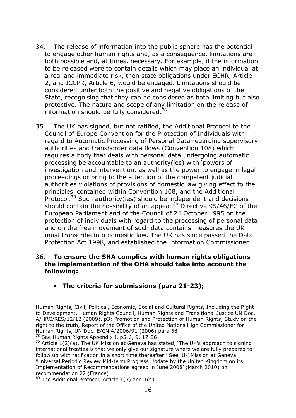- 34. The release of information into the public sphere has the potential to engage other human rights and, as a consequence, limitations are both possible and, at times, necessary. For example, if the information to be released were to contain details which may place an individual at a real and immediate risk, then state obligations under ECHR, Article 2, and ICCPR, Article 6, would be engaged. Limitations should be considered under both the positive and negative obligations of the State, recognising that they can be considered as both limiting but also protective. The nature and scope of any limitation on the release of information should be fully considered. $58$
- 35. The UK has signed, but not ratified, the Additional Protocol to the Council of Europe Convention for the Protection of Individuals with regard to Automatic Processing of Personal Data regarding supervisory authorities and transborder data flows (Convention 108) which requires a body that deals with personal data undergoing automatic processing be accountable to an authority(ies) with 'powers of investigation and intervention, as well as the power to engage in legal proceedings or bring to the attention of the competent judicial authorities violations of provisions of domestic law giving effect to the principles' contained within Convention 108, and the Additional Protocol.<sup>79</sup> Such authority(ies) should be independent and decisions should contain the possibility of an appeal.<sup>80</sup> Directive 95/46/EC of the European Parliament and of the Council of 24 October 1995 on the protection of individuals with regard to the processing of personal data and on the free movement of such data contains measures the UK must transcribe into domestic law. The UK has since passed the Data Protection Act 1998, and established the Information Commissioner.

#### 36. **To ensure the SHA complies with human rights obligations the implementation of the OHA should take into account the following:**

**The criteria for submissions (para 21-23);**

<sup>78</sup> See Human Rights Appendix I, p5-6, 9, 17-26

Human Rights, Civil, Political, Economic, Social and Cultural Rights, Including the Right to Development, Human Rights Council, Human Rights and Transitional Justice UN Doc. A/HRC/RES/12/12 (2009), p3; Promotion and Protection of Human Rights, Study on the right to the truth, Report of the Office of the United Nations High Commissioner for Human Rights, UN Doc. E/CN.4/2006/91 (2006) para 58

 $79$  Article 1(2)(a). The UK Mission at Geneva has stated, 'The UK's approach to signing international treaties is that we only give our signature where we are fully prepared to follow up with ratification in a short time thereafter.' See, UK Mission at Geneva, 'Universal Periodic Review Mid-term Progress Update by the United Kingdom on its Implementation of Recommendations agreed in June 2008' (March 2010) on recommendation 22 (France)

 $80$  The Additional Protocol, Article 1(3) and 1(4)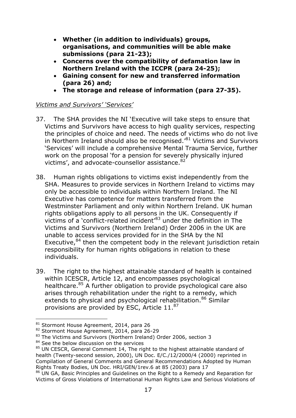- **Whether (in addition to individuals) groups, organisations, and communities will be able make submissions (para 21-23);**
- **Concerns over the compatibility of defamation law in Northern Ireland with the ICCPR (para 24-25);**
- **Gaining consent for new and transferred information (para 26) and;**
- **The storage and release of information (para 27-35).**

#### *Victims and Survivors' 'Services'*

- 37. The SHA provides the NI 'Executive will take steps to ensure that Victims and Survivors have access to high quality services, respecting the principles of choice and need. The needs of victims who do not live in Northern Ireland should also be recognised.<sup>81</sup> Victims and Survivors 'Services' will include a comprehensive Mental Trauma Service, further work on the proposal 'for a pension for severely physically injured victims', and advocate-counsellor assistance.<sup>82</sup>
- 38. Human rights obligations to victims exist independently from the SHA. Measures to provide services in Northern Ireland to victims may only be accessible to individuals within Northern Ireland. The NI Executive has competence for matters transferred from the Westminster Parliament and only within Northern Ireland. UK human rights obligations apply to all persons in the UK. Consequently if victims of a 'conflict-related incident'<sup>83</sup> under the definition in The Victims and Survivors (Northern Ireland) Order 2006 in the UK are unable to access services provided for in the SHA by the NI Executive, $84$  then the competent body in the relevant jurisdiction retain responsibility for human rights obligations in relation to these individuals.
- 39. The right to the highest attainable standard of health is contained within ICESCR, Article 12, and encompasses psychological healthcare.<sup>85</sup> A further obligation to provide psychological care also arises through rehabilitation under the right to a remedy, which extends to physical and psychological rehabilitation.<sup>86</sup> Similar provisions are provided by ESC, Article 11.87

<sup>-</sup>81 Stormont House Agreement, 2014, para 26

<sup>82</sup> Stormont House Agreement, 2014, para 26-29

<sup>83</sup> The Victims and Survivors (Northern Ireland) Order 2006, section 3

<sup>&</sup>lt;sup>84</sup> See the below discussion on the services

<sup>&</sup>lt;sup>85</sup> UN CESCR, General Comment 14, The right to the highest attainable standard of health (Twenty-second session, 2000), UN Doc. E/C./12/2000/4 (2000) reprinted in Compilation of General Comments and General Recommendations Adopted by Human Rights Treaty Bodies, UN Doc. HRI/GEN/1rev.6 at 85 (2003) para 17

<sup>86</sup> UN GA, Basic Principles and Guidelines on the Right to a Remedy and Reparation for Victims of Gross Violations of International Human Rights Law and Serious Violations of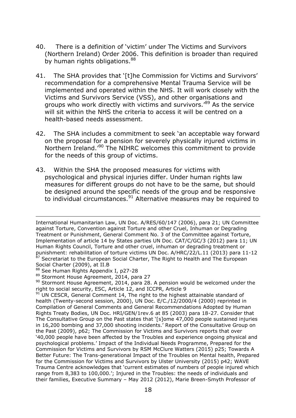- 40. There is a definition of 'victim' under The Victims and Survivors (Northern Ireland) Order 2006. This definition is broader than required by human rights obligations.<sup>88</sup>
- 41. The SHA provides that '[t]he Commission for Victims and Survivors' recommendation for a comprehensive Mental Trauma Service will be implemented and operated within the NHS. It will work closely with the Victims and Survivors Service (VSS), and other organisations and groups who work directly with victims and survivors.'<sup>89</sup> As the service will sit within the NHS the criteria to access it will be centred on a health-based needs assessment.
- 42. The SHA includes a commitment to seek 'an acceptable way forward on the proposal for a pension for severely physically injured victims in Northern Ireland.<sup>'90</sup> The NIHRC welcomes this commitment to provide for the needs of this group of victims.
- 43. Within the SHA the proposed measures for victims with psychological and physical injuries differ. Under human rights law measures for different groups do not have to be the same, but should be designed around the specific needs of the group and be responsive to individual circumstances. $91$  Alternative measures may be required to

International Humanitarian Law, UN Doc. A/RES/60/147 (2006), para 21; UN Committee against Torture, Convention against Torture and other Cruel, Inhuman or Degrading Treatment or Punishment, General Comment No. 3 of the Committee against Torture, Implementation of article 14 by States parties UN Doc. CAT/C/GC/3 (2012) para 11; UN Human Rights Council, Torture and other cruel, inhuman or degrading treatment or punishment: rehabilitation of torture victims UN Doc. A/HRC/22/L.11 (2013) para 11-12  $87$  Secretariat to the European Social Charter, The Right to Health and The European Social Charter (2009), at II.B

<sup>88</sup> See Human Rights Appendix I, p27-28

<sup>89</sup> Stormont House Agreement, 2014, para 27

<sup>&</sup>lt;sup>90</sup> Stormont House Agreement, 2014, para 28. A pension would be welcomed under the right to social security, ESC, Article 12, and ICCPR, Article 9

 $91$  UN CESCR, General Comment 14, The right to the highest attainable standard of health (Twenty-second session, 2000), UN Doc. E/C./12/2000/4 (2000) reprinted in Compilation of General Comments and General Recommendations Adopted by Human Rights Treaty Bodies, UN Doc. HRI/GEN/1rev.6 at 85 (2003) para 18-27. Consider that The Consultative Group on the Past states that '[s]ome 47,000 people sustained injuries in 16,200 bombing and 37,000 shooting incidents.' Report of the Consultative Group on the Past (2009), p62; The Commission for Victims and Survivors reports that over '40,000 people have been affected by the Troubles and experience ongoing physical and psychological problems.' Impact of the Individual Needs Programme, Prepared for the Commission for Victims and Survivors by RSM McClure Watters (2015) p25; Towards A Better Future: The Trans-generational Impact of the Troubles on Mental health, Prepared for the Commission for Victims and Survivors by Ulster University (2015) p42; WAVE Trauma Centre acknowledges that 'current estimates of numbers of people injured which range from 8,383 to 100,000.'; Injured in the Troubles: the needs of individuals and their families, Executive Summary – May 2012 (2012), Marie Breen-Smyth Professor of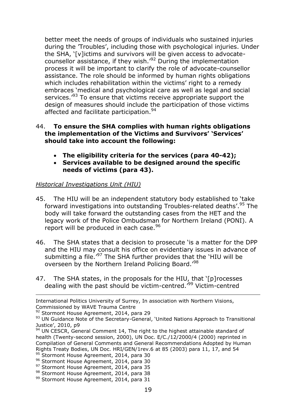better meet the needs of groups of individuals who sustained injuries during the 'Troubles', including those with psychological injuries. Under the SHA, '[v]ictims and survivors will be given access to advocatecounsellor assistance, if they wish.'<sup>92</sup> During the implementation process it will be important to clarify the role of advocate-counsellor assistance. The role should be informed by human rights obligations which includes rehabilitation within the victims' right to a remedy embraces 'medical and psychological care as well as legal and social services.<sup>'93</sup> To ensure that victims receive appropriate support the design of measures should include the participation of those victims affected and facilitate participation.<sup>94</sup>

#### 44. **To ensure the SHA complies with human rights obligations the implementation of the Victims and Survivors' 'Services' should take into account the following:**

- **The eligibility criteria for the services (para 40-42);**
- **Services available to be designed around the specific needs of victims (para 43).**

# *Historical Investigations Unit (HIU)*

- 45. The HIU will be an independent statutory body established to 'take forward investigations into outstanding Troubles-related deaths'.<sup>95</sup> The body will take forward the outstanding cases from the HET and the legacy work of the Police Ombudsman for Northern Ireland (PONI). A report will be produced in each case.<sup>96</sup>
- 46. The SHA states that a decision to prosecute 'is a matter for the DPP and the HIU may consult his office on evidentiary issues in advance of submitting a file.<sup>'97</sup> The SHA further provides that the 'HIU will be overseen by the Northern Ireland Policing Board.'<sup>98</sup>
- 47. The SHA states, in the proposals for the HIU, that '[p]rocesses dealing with the past should be victim-centred.' <sup>99</sup> Victim-centred

International Politics University of Surrey, In association with Northern Visions, Commissioned by WAVE Trauma Centre

<sup>92</sup> Stormont House Agreement, 2014, para 29

<sup>93</sup> UN Guidance Note of the Secretary-General, 'United Nations Approach to Transitional Justice', 2010, p9

<sup>94</sup> UN CESCR, General Comment 14, The right to the highest attainable standard of health (Twenty-second session, 2000), UN Doc. E/C./12/2000/4 (2000) reprinted in Compilation of General Comments and General Recommendations Adopted by Human Rights Treaty Bodies, UN Doc. HRI/GEN/1rev.6 at 85 (2003) para 11, 17, and 54 95 Stormont House Agreement, 2014, para 30

<sup>96</sup> Stormont House Agreement, 2014, para 30 97 Stormont House Agreement, 2014, para 35

<sup>98</sup> Stormont House Agreement, 2014, para 38

<sup>99</sup> Stormont House Agreement, 2014, para 31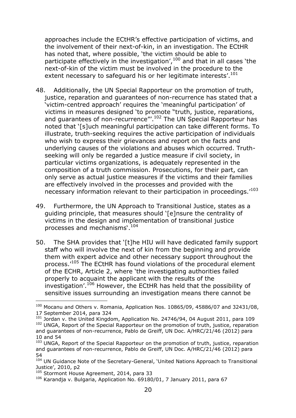approaches include the ECtHR's effective participation of victims, and the involvement of their next-of-kin, in an investigation. The ECtHR has noted that, where possible, 'the victim should be able to participate effectively in the investigation', $100$  and that in all cases 'the next-of-kin of the victim must be involved in the procedure to the extent necessary to safeguard his or her legitimate interests'.<sup>101</sup>

- 48. Additionally, the UN Special Rapporteur on the promotion of truth, justice, reparation and guarantees of non-recurrence has stated that a 'victim-centred approach' requires the 'meaningful participation' of victims in measures designed 'to promote "truth, justice, reparations, and guarantees of non-recurrence"'.<sup>102</sup> The UN Special Rapporteur has noted that '[s]uch meaningful participation can take different forms. To illustrate, truth-seeking requires the active participation of individuals who wish to express their grievances and report on the facts and underlying causes of the violations and abuses which occurred. Truthseeking will only be regarded a justice measure if civil society, in particular victims organizations, is adequately represented in the composition of a truth commission. Prosecutions, for their part, can only serve as actual justice measures if the victims and their families are effectively involved in the processes and provided with the necessary information relevant to their participation in proceedings.<sup>103</sup>
- 49. Furthermore, the UN Approach to Transitional Justice, states as a guiding principle, that measures should '[e]nsure the centrality of victims in the design and implementation of transitional justice processes and mechanisms'.<sup>104</sup>
- 50. The SHA provides that '[t]he HIU will have dedicated family support staff who will involve the next of kin from the beginning and provide them with expert advice and other necessary support throughout the process.<sup>'105</sup> The ECtHR has found violations of the procedural element of the ECHR, Article 2, where 'the investigating authorities failed properly to acquaint the applicant with the results of the investigation'.<sup>106</sup> However, the ECtHR has held that the possibility of sensitive issues surrounding an investigation means there cannot be

<sup>100</sup> Mocanu and Others v. Romania, Application Nos. 10865/09, 45886/07 and 32431/08, 17 September 2014, para 324

 $101$  Jordan v. the United Kingdom, Application No. 24746/94, 04 August 2011, para 109 <sup>102</sup> UNGA, Report of the Special Rapporteur on the promotion of truth, justice, reparation and guarantees of non-recurrence, Pablo de Greiff, UN Doc. A/HRC/21/46 (2012) para 10 and 54

<sup>&</sup>lt;sup>103</sup> UNGA, Report of the Special Rapporteur on the promotion of truth, justice, reparation and guarantees of non-recurrence, Pablo de Greiff, UN Doc. A/HRC/21/46 (2012) para 54

<sup>&</sup>lt;sup>104</sup> UN Guidance Note of the Secretary-General, 'United Nations Approach to Transitional Justice', 2010, p2

<sup>&</sup>lt;sup>105</sup> Stormont House Agreement, 2014, para 33

<sup>&</sup>lt;sup>106</sup> Karandia v. Bulgaria, Application No. 69180/01, 7 January 2011, para 67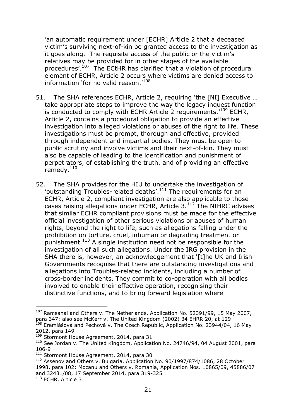'an automatic requirement under [ECHR] Article 2 that a deceased victim's surviving next-of-kin be granted access to the investigation as it goes along. The requisite access of the public or the victim's relatives may be provided for in other stages of the available procedures'.<sup>107</sup> The ECtHR has clarified that a violation of procedural element of ECHR, Article 2 occurs where victims are denied access to information 'for no valid reason.<sup>'108</sup>

- 51. The SHA references ECHR, Article 2, requiring 'the [NI] Executive ... take appropriate steps to improve the way the legacy inquest function is conducted to comply with ECHR Article 2 requirements.<sup>109</sup> ECHR, Article 2, contains a procedural obligation to provide an effective investigation into alleged violations or abuses of the right to life. These investigations must be prompt, thorough and effective, provided through independent and impartial bodies. They must be open to public scrutiny and involve victims and their next-of-kin. They must also be capable of leading to the identification and punishment of perpetrators, of establishing the truth, and of providing an effective  $remedv.<sup>110</sup>$
- 52. The SHA provides for the HIU to undertake the investigation of 'outstanding Troubles-related deaths'.<sup>111</sup> The requirements for an ECHR, Article 2, compliant investigation are also applicable to those cases raising allegations under ECHR, Article 3.<sup>112</sup> The NIHRC advises that similar ECHR compliant provisions must be made for the effective official investigation of other serious violations or abuses of human rights, beyond the right to life, such as allegations falling under the prohibition on torture, cruel, inhuman or degrading treatment or punishment.<sup>113</sup> A single institution need not be responsible for the investigation of all such allegations. Under the IRG provision in the SHA there is, however, an acknowledgement that '[t]he UK and Irish Governments recognise that there are outstanding investigations and allegations into Troubles-related incidents, including a number of cross-border incidents. They commit to co-operation with all bodies involved to enable their effective operation, recognising their distinctive functions, and to bring forward legislation where

2012, para 149

<sup>&</sup>lt;sup>107</sup> Ramsahai and Others v. The Netherlands, Application No. 52391/99, 15 May 2007, para 347; also see McKerr v. The United Kingdom (2002) 34 EHRR 20, at 129 <sup>108</sup> Eremiášová and Pechová v. The Czech Republic, Application No. 23944/04, 16 May

<sup>&</sup>lt;sup>109</sup> Stormont House Agreement, 2014, para 31

<sup>110</sup> See Jordan v. The United Kingdom, Application No. 24746/94, 04 August 2001, para 106-9

<sup>&</sup>lt;sup>111</sup> Stormont House Agreement, 2014, para 30

<sup>&</sup>lt;sup>112</sup> Assenov and Others v. Bulgaria, Application No. 90/1997/874/1086, 28 October 1998, para 102; Mocanu and Others v. Romania, Application Nos. 10865/09, 45886/07 and 32431/08, 17 September 2014, para 319-325

<sup>113</sup> ECHR, Article 3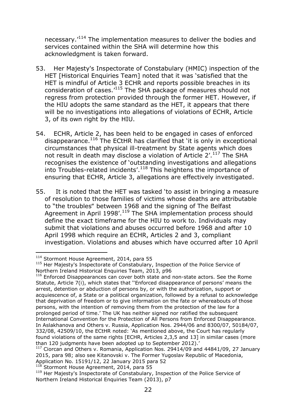necessary.<sup>114</sup> The implementation measures to deliver the bodies and services contained within the SHA will determine how this acknowledgment is taken forward.

- 53. Her Majesty's Inspectorate of Constabulary (HMIC) inspection of the HET [Historical Enquiries Team] noted that it was 'satisfied that the HET is mindful of Article 3 ECHR and reports possible breaches in its consideration of cases.<sup>115</sup> The SHA package of measures should not regress from protection provided through the former HET. However, if the HIU adopts the same standard as the HET, it appears that there will be no investigations into allegations of violations of ECHR, Article 3, of its own right by the HIU.
- 54. ECHR, Article 2, has been held to be engaged in cases of enforced disappearance.<sup>116</sup> The ECtHR has clarified that 'it is only in exceptional circumstances that physical ill-treatment by State agents which does not result in death may disclose a violation of Article 2'.<sup>117</sup> The SHA recognises the existence of 'outstanding investigations and allegations into Troubles-related incidents'.<sup>118</sup> This heightens the importance of ensuring that ECHR, Article 3, allegations are effectively investigated.
- 55. It is noted that the HET was tasked 'to assist in bringing a measure of resolution to those families of victims whose deaths are attributable to "the troubles" between 1968 and the signing of The Belfast Agreement in April 1998'.<sup>119</sup> The SHA implementation process should define the exact timeframe for the HIU to work to. Individuals may submit that violations and abuses occurred before 1968 and after 10 April 1998 which require an ECHR, Articles 2 and 3, compliant investigation. Violations and abuses which have occurred after 10 April

-

<sup>116</sup> Enforced Disappearances can cover both state and non-state actors. See the Rome Statute, Article 7(i), which states that ''Enforced disappearance of persons' means the arrest, detention or abduction of persons by, or with the authorization, support or acquiescence of, a State or a political organization, followed by a refusal to acknowledge that deprivation of freedom or to give information on the fate or whereabouts of those persons, with the intention of removing them from the protection of the law for a prolonged period of time.' The UK has neither signed nor ratified the subsequent International Convention for the Protection of All Persons from Enforced Disappearance. In Aslakhanova and Others v. Russia, Application Nos. 2944/06 and 8300/07, 50184/07, 332/08, 42509/10, the ECtHR noted: 'As mentioned above, the Court has regularly found violations of the same rights [ECHR, Articles 2,3,5 and 13] in similar cases (more than 120 judgments have been adopted up to September 2012).'

Stormont House Agreement, 2014, para 55

<sup>&</sup>lt;sup>114</sup> Stormont House Agreement, 2014, para 55

<sup>&</sup>lt;sup>115</sup> Her Majesty's Inspectorate of Constabulary, Inspection of the Police Service of Northern Ireland Historical Enquiries Team, 2013, p96

 $117$  Ciorcan and Others v. Romania, Application Nos. 29414/09 and 44841/09, 27 January 2015, para 98; also see Kitanovski v. The Former Yugoslav Republic of Macedonia, Application No. 15191/12, 22 January 2015 para 52

 $119$  Her Majesty's Inspectorate of Constabulary, Inspection of the Police Service of Northern Ireland Historical Enquiries Team (2013), p7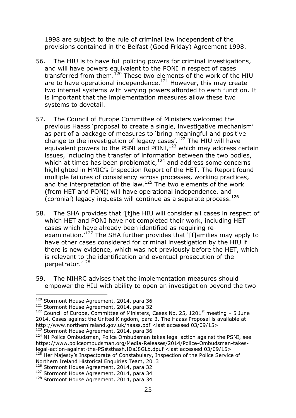1998 are subject to the rule of criminal law independent of the provisions contained in the Belfast (Good Friday) Agreement 1998.

- 56. The HIU is to have full policing powers for criminal investigations, and will have powers equivalent to the PONI in respect of cases transferred from them.<sup>120</sup> These two elements of the work of the HIU are to have operational independence.<sup>121</sup> However, this may create two internal systems with varying powers afforded to each function. It is important that the implementation measures allow these two systems to dovetail.
- 57. The Council of Europe Committee of Ministers welcomed the previous Haass 'proposal to create a single, investigative mechanism' as part of a package of measures to 'bring meaningful and positive change to the investigation of legacy cases'.<sup>122</sup> The HIU will have equivalent powers to the PSNI and PONI, $123$  which may address certain issues, including the transfer of information between the two bodies, which at times has been problematic,<sup>124</sup> and address some concerns highlighted in HMIC's Inspection Report of the HET. The Report found multiple failures of consistency across processes, working practices, and the interpretation of the law.<sup>125</sup> The two elements of the work (from HET and PONI) will have operational independence, and (coronial) legacy inquests will continue as a separate process.<sup>126</sup>
- 58. The SHA provides that '[t]he HIU will consider all cases in respect of which HET and PONI have not completed their work, including HET cases which have already been identified as requiring reexamination.<sup>'127</sup> The SHA further provides that '[f]amilies may apply to have other cases considered for criminal investigation by the HIU if there is new evidence, which was not previously before the HET, which is relevant to the identification and eventual prosecution of the perpetrator.'<sup>128</sup>
- 59. The NIHRC advises that the implementation measures should empower the HIU with ability to open an investigation beyond the two

<sup>&</sup>lt;sup>120</sup> Stormont House Agreement, 2014, para 36

<sup>&</sup>lt;sup>121</sup> Stormont House Agreement, 2014, para 32

 $122$  Council of Europe, Committee of Ministers, Cases No. 25, 1201<sup>st</sup> meeting - 5 June 2014, Cases against the United Kingdom, para 3. The Haass Proposal is available at http://www.northernireland.gov.uk/haass.pdf <last accessed 03/09/15>

<sup>&</sup>lt;sup>123</sup> Stormont House Agreement, 2014, para 36

 $124$  NI Police Ombudsman, Police Ombudsman takes legal action against the PSNI, see https://www.policeombudsman.org/Media-Releases/2014/Police-Ombudsman-takeslegal-action-against-the-PS#sthash.IDaJ8GLb.dpuf <last accessed 03/09/15>  $125$  Her Maiesty's Inspectorate of Constabulary, Inspection of the Police Service of Northern Ireland Historical Enquiries Team, 2013

<sup>&</sup>lt;sup>126</sup> Stormont House Agreement, 2014, para 32

<sup>&</sup>lt;sup>127</sup> Stormont House Agreement, 2014, para 34

<sup>&</sup>lt;sup>128</sup> Stormont House Agreement, 2014, para 34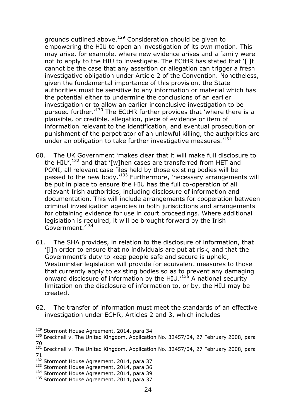grounds outlined above.<sup>129</sup> Consideration should be given to empowering the HIU to open an investigation of its own motion. This may arise, for example, where new evidence arises and a family were not to apply to the HIU to investigate. The ECtHR has stated that '[i]t cannot be the case that any assertion or allegation can trigger a fresh investigative obligation under Article 2 of the Convention. Nonetheless, given the fundamental importance of this provision, the State authorities must be sensitive to any information or material which has the potential either to undermine the conclusions of an earlier investigation or to allow an earlier inconclusive investigation to be pursued further.<sup>'130</sup> The ECtHR further provides that 'where there is a plausible, or credible, allegation, piece of evidence or item of information relevant to the identification, and eventual prosecution or punishment of the perpetrator of an unlawful killing, the authorities are under an obligation to take further investigative measures.<sup>131</sup>

- 60. The UK Government 'makes clear that it will make full disclosure to the HIU',<sup>132</sup> and that '[w]hen cases are transferred from HET and PONI, all relevant case files held by those existing bodies will be passed to the new body.<sup>'133</sup> Furthermore, 'necessary arrangements will be put in place to ensure the HIU has the full co-operation of all relevant Irish authorities, including disclosure of information and documentation. This will include arrangements for cooperation between criminal investigation agencies in both jurisdictions and arrangements for obtaining evidence for use in court proceedings. Where additional legislation is required, it will be brought forward by the Irish Government.<sup>,134</sup>
- 61. The SHA provides, in relation to the disclosure of information, that '[i]n order to ensure that no individuals are put at risk, and that the Government's duty to keep people safe and secure is upheld, Westminster legislation will provide for equivalent measures to those that currently apply to existing bodies so as to prevent any damaging onward disclosure of information by the HIU.'<sup>135</sup> A national security limitation on the disclosure of information to, or by, the HIU may be created.
- 62. The transfer of information must meet the standards of an effective investigation under ECHR, Articles 2 and 3, which includes

<sup>&</sup>lt;sup>129</sup> Stormont House Agreement, 2014, para 34

<sup>&</sup>lt;sup>130</sup> Brecknell v. The United Kingdom, Application No. 32457/04, 27 February 2008, para 70

<sup>&</sup>lt;sup>131</sup> Brecknell v. The United Kingdom, Application No. 32457/04, 27 February 2008, para 71

<sup>&</sup>lt;sup>132</sup> Stormont House Agreement, 2014, para 37

<sup>&</sup>lt;sup>133</sup> Stormont House Agreement, 2014, para 36

<sup>&</sup>lt;sup>134</sup> Stormont House Agreement, 2014, para 39

<sup>&</sup>lt;sup>135</sup> Stormont House Agreement, 2014, para 37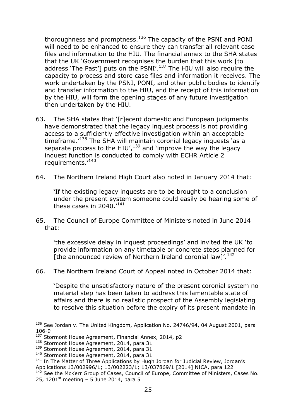thoroughness and promptness. $136$  The capacity of the PSNI and PONI will need to be enhanced to ensure they can transfer all relevant case files and information to the HIU. The financial annex to the SHA states that the UK 'Government recognises the burden that this work [to address 'The Past'] puts on the PSNI'.<sup>137</sup> The HIU will also require the capacity to process and store case files and information it receives. The work undertaken by the PSNI, PONI, and other public bodies to identify and transfer information to the HIU, and the receipt of this information by the HIU, will form the opening stages of any future investigation then undertaken by the HIU.

- 63. The SHA states that '[r]ecent domestic and European judgments have demonstrated that the legacy inquest process is not providing access to a sufficiently effective investigation within an acceptable timeframe.<sup>'138</sup> The SHA will maintain coronial legacy inquests 'as a separate process to the HIU',  $^{139}$  and 'improve the way the legacy inquest function is conducted to comply with ECHR Article 2 requirements.<sup>'140</sup>
- 64. The Northern Ireland High Court also noted in January 2014 that:

'If the existing legacy inquests are to be brought to a conclusion under the present system someone could easily be hearing some of these cases in 2040.<sup>'141</sup>

65. The Council of Europe Committee of Ministers noted in June 2014 that:

'the excessive delay in inquest proceedings' and invited the UK 'to provide information on any timetable or concrete steps planned for [the announced review of Northern Ireland coronial law]'. $^{142}$ 

66. The Northern Ireland Court of Appeal noted in October 2014 that:

'Despite the unsatisfactory nature of the present coronial system no material step has been taken to address this lamentable state of affairs and there is no realistic prospect of the Assembly legislating to resolve this situation before the expiry of its present mandate in

<sup>&</sup>lt;sup>136</sup> See Jordan v. The United Kingdom, Application No. 24746/94, 04 August 2001, para 106-9

<sup>137</sup> Stormont House Agreement, Financial Annex, 2014, p2

<sup>&</sup>lt;sup>138</sup> Stormont House Agreement, 2014, para 31

<sup>&</sup>lt;sup>139</sup> Stormont House Agreement, 2014, para 31

<sup>&</sup>lt;sup>140</sup> Stormont House Agreement, 2014, para 31

<sup>&</sup>lt;sup>141</sup> In The Matter of Three Applications by Hugh Jordan for Judicial Review, Jordan's Applications 13/002996/1; 13/002223/1; 13/037869/1 [2014] NICA, para 122

<sup>&</sup>lt;sup>142</sup> See the McKerr Group of Cases, Council of Europe, Committee of Ministers, Cases No. 25, 1201st meeting – 5 June 2014, para 5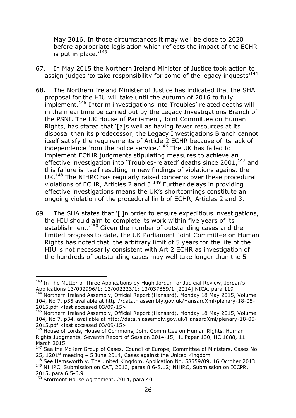May 2016. In those circumstances it may well be close to 2020 before appropriate legislation which reflects the impact of the ECHR is put in place. $143$ 

- 67. In May 2015 the Northern Ireland Minister of Justice took action to assign judges 'to take responsibility for some of the legacy inquests<sup>144</sup>
- 68. The Northern Ireland Minister of Justice has indicated that the SHA proposal for the HIU will take until the autumn of 2016 to fully implement.<sup>145</sup> Interim investigations into Troubles' related deaths will in the meantime be carried out by the Legacy Investigations Branch of the PSNI. The UK House of Parliament, Joint Committee on Human Rights, has stated that '[a]s well as having fewer resources at its disposal than its predecessor, the Legacy Investigations Branch cannot itself satisfy the requirements of Article 2 ECHR because of its lack of independence from the police service.<sup>'146</sup> The UK has failed to implement ECtHR judgments stipulating measures to achieve an effective investigation into 'Troubles-related' deaths since  $2001<sub>1</sub><sup>147</sup>$  and this failure is itself resulting in new findings of violations against the UK.<sup>148</sup> The NIHRC has regularly raised concerns over these procedural violations of ECHR, Articles 2 and  $3.^{149}$  Further delays in providing effective investigations means the UK's shortcomings constitute an ongoing violation of the procedural limb of ECHR, Articles 2 and 3.
- 69. The SHA states that '[i]n order to ensure expeditious investigations, the HIU should aim to complete its work within five years of its establishment.<sup>150</sup> Given the number of outstanding cases and the limited progress to date, the UK Parliament Joint Committee on Human Rights has noted that 'the arbitrary limit of 5 years for the life of the HIU is not necessarily consistent with Art 2 ECHR as investigation of the hundreds of outstanding cases may well take longer than the 5

<sup>-</sup><sup>143</sup> In The Matter of Three Applications by Hugh Jordan for Judicial Review, Jordan's Applications 13/002996/1; 13/002223/1; 13/037869/1 [2014] NICA, para 119

<sup>&</sup>lt;sup>144</sup> Northern Ireland Assembly, Official Report (Hansard), Monday 18 May 2015, Volume 104, No 7, p35 available at http://data.niassembly.gov.uk/HansardXml/plenary-18-05- 2015.pdf <last accessed 03/09/15>

<sup>&</sup>lt;sup>145</sup> Northern Ireland Assembly, Official Report (Hansard), Monday 18 May 2015, Volume 104, No 7, p34, available at http://data.niassembly.gov.uk/HansardXml/plenary-18-05- 2015.pdf <last accessed 03/09/15>

<sup>&</sup>lt;sup>146</sup> House of Lords, House of Commons, Joint Committee on Human Rights, Human Rights Judgments, Seventh Report of Session 2014-15, HL Paper 130, HC 1088, 11 March 2015

<sup>&</sup>lt;sup>147</sup> See the McKerr Group of Cases, Council of Europe, Committee of Ministers, Cases No. 25, 1201 $^{\text{st}}$  meeting – 5 June 2014, Cases against the United Kingdom

<sup>148</sup> See Hemsworth v. The United Kingdom, Application No. 58559/09, 16 October 2013 <sup>149</sup> NIHRC, Submission on CAT, 2013, paras 8.6-8.12; NIHRC, Submission on ICCPR, 2015, para 6.5-6.9

<sup>&</sup>lt;sup>150</sup> Stormont House Agreement, 2014, para 40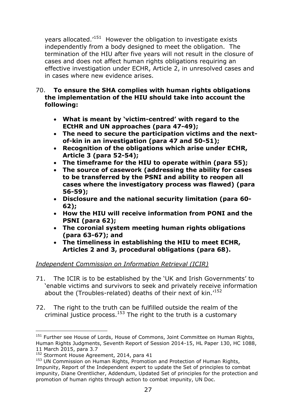years allocated.<sup>151</sup> However the obligation to investigate exists independently from a body designed to meet the obligation. The termination of the HIU after five years will not result in the closure of cases and does not affect human rights obligations requiring an effective investigation under ECHR, Article 2, in unresolved cases and in cases where new evidence arises.

- 70. **To ensure the SHA complies with human rights obligations the implementation of the HIU should take into account the following:**
	- **What is meant by 'victim-centred' with regard to the ECtHR and UN approaches (para 47-49);**
	- **The need to secure the participation victims and the nextof-kin in an investigation (para 47 and 50-51);**
	- **Recognition of the obligations which arise under ECHR, Article 3 (para 52-54);**
	- **The timeframe for the HIU to operate within (para 55);**
	- **The source of casework (addressing the ability for cases to be transferred by the PSNI and ability to reopen all cases where the investigatory process was flawed) (para 56-59);**
	- **Disclosure and the national security limitation (para 60- 62);**
	- **How the HIU will receive information from PONI and the PSNI (para 62);**
	- **The coronial system meeting human rights obligations (para 63-67); and**
	- **The timeliness in establishing the HIU to meet ECHR, Articles 2 and 3, procedural obligations (para 68).**

# *Independent Commission on Information Retrieval (ICIR)*

- 71. The ICIR is to be established by the 'UK and Irish Governments' to 'enable victims and survivors to seek and privately receive information about the (Troubles-related) deaths of their next of kin.<sup>152</sup>
- 72. The right to the truth can be fulfilled outside the realm of the criminal justice process.<sup>153</sup> The right to the truth is a customary

<sup>&</sup>lt;sup>151</sup> Further see House of Lords, House of Commons, Joint Committee on Human Rights, Human Rights Judgments, Seventh Report of Session 2014-15, HL Paper 130, HC 1088, 11 March 2015, para 3.7

<sup>&</sup>lt;sup>152</sup> Stormont House Agreement, 2014, para 41

<sup>&</sup>lt;sup>153</sup> UN Commission on Human Rights, Promotion and Protection of Human Rights, Impunity, Report of the Independent expert to update the Set of principles to combat impunity, Diane Orentlicher, Addendum, Updated Set of principles for the protection and promotion of human rights through action to combat impunity, UN Doc.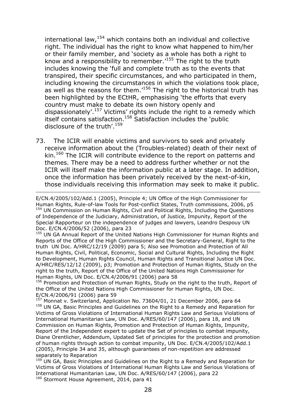international law, $154$  which contains both an individual and collective right. The individual has the right to know what happened to him/her or their family member, and 'society as a whole has both a right to know and a responsibility to remember.'<sup>155</sup> The right to the truth includes knowing the 'full and complete truth as to the events that transpired, their specific circumstances, and who participated in them, including knowing the circumstances in which the violations took place, as well as the reasons for them.<sup>156</sup> The right to the historical truth has been highlighted by the ECtHR, emphasising 'the efforts that every country must make to debate its own history openly and dispassionately'.<sup>157</sup> Victims' rights include the right to a remedy which disputes increase the inglice includes the 'public<br>itself contains satisfaction.<sup>158</sup> Satisfaction includes the 'public disclosure of the truth'.<sup>159</sup>

73. The ICIR will enable victims and survivors to seek and privately receive information about the (Troubles-related) death of their next of kin.<sup>160</sup> The ICIR will contribute evidence to the report on patterns and themes. There may be a need to address further whether or not the ICIR will itself make the information public at a later stage. In addition, once the information has been privately received by the next-of-kin, those individuals receiving this information may seek to make it public.

E/CN.4/2005/102/Add.1 (2005), Principle 4; UN Office of the High Commissioner for Human Rights, Rule-of-law Tools for Post-conflict States, Truth commissions, 2006, p5 <sup>154</sup> UN Commission on Human Rights, Civil and Political Rights, Including the Questions of Independence of the Judiciary, Administration, of Justice, Impunity, Report of the Special Rapporteur on the independence of judges and lawyers, Leandro Despouy UN Doc. E/CN.4/2006/52 (2006), para 23

-

<sup>155</sup> UN GA Annual Report of the United Nations High Commissioner for Human Rights and Reports of the Office of the High Commissioner and the Secretary-General, Right to the truth UN Doc. A/HRC/12/19 (2009) para 5; Also see Promotion and Protection of All Human Rights, Civil, Political, Economic, Social and Cultural Rights, Including the Right to Development, Human Rights Council, Human Rights and Transitional Justice UN Doc. A/HRC/RES/12/12 (2009), p3; Promotion and Protection of Human Rights, Study on the right to the truth, Report of the Office of the United Nations High Commissioner for Human Rights, UN Doc. E/CN.4/2006/91 (2006) para 58

<sup>156</sup> Promotion and Protection of Human Rights, Study on the right to the truth, Report of the Office of the United Nations High Commissioner for Human Rights, UN Doc. E/CN.4/2006/91 (2006) para 59

<sup>157</sup> Monnat v. Switzerland, Application No. 73604/01, 21 December 2006, para 64 <sup>158</sup> UN GA, Basic Principles and Guidelines on the Right to a Remedy and Reparation for Victims of Gross Violations of International Human Rights Law and Serious Violations of International Humanitarian Law, UN Doc. A/RES/60/147 (2006), para 18, and UN Commission on Human Rights, Promotion and Protection of Human Rights, Impunity, Report of the Independent expert to update the Set of principles to combat impunity, Diane Orentlicher, Addendum, Updated Set of principles for the protection and promotion of human rights through action to combat impunity, UN Doc. E/CN.4/2005/102/Add.1 (2005), Principle 34 and 35, although guarantees of non-repetition are addressed separately to Reparation

 $159$  UN GA, Basic Principles and Guidelines on the Right to a Remedy and Reparation for Victims of Gross Violations of International Human Rights Law and Serious Violations of International Humanitarian Law, UN Doc. A/RES/60/147 (2006), para 22 <sup>160</sup> Stormont House Agreement, 2014, para 41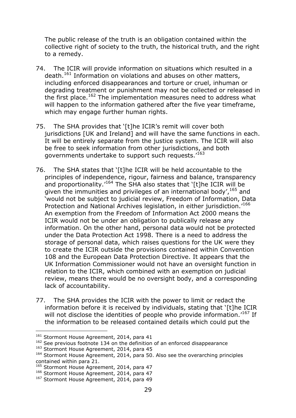The public release of the truth is an obligation contained within the collective right of society to the truth, the historical truth, and the right to a remedy.

- 74. The ICIR will provide information on situations which resulted in a death.<sup>161</sup> Information on violations and abuses on other matters, including enforced disappearances and torture or cruel, inhuman or degrading treatment or punishment may not be collected or released in the first place.<sup>162</sup> The implementation measures need to address what will happen to the information gathered after the five year timeframe, which may engage further human rights.
- 75. The SHA provides that '[t]he ICIR's remit will cover both jurisdictions [UK and Ireland] and will have the same functions in each. It will be entirely separate from the justice system. The ICIR will also be free to seek information from other jurisdictions, and both governments undertake to support such requests.'<sup>163</sup>
- 76. The SHA states that '[t]he ICIR will be held accountable to the principles of independence, rigour, fairness and balance, transparency and proportionality.'<sup>164</sup> The SHA also states that `[t]he ICIR will be given the immunities and privileges of an international body',<sup>165</sup> and 'would not be subject to judicial review, Freedom of Information, Data Protection and National Archives legislation, in either jurisdiction.<sup>166</sup> An exemption from the Freedom of Information Act 2000 means the ICIR would not be under an obligation to publically release any information. On the other hand, personal data would not be protected under the Data Protection Act 1998. There is a need to address the storage of personal data, which raises questions for the UK were they to create the ICIR outside the provisions contained within Convention 108 and the European Data Protection Directive. It appears that the UK Information Commissioner would not have an oversight function in relation to the ICIR, which combined with an exemption on judicial review, means there would be no oversight body, and a corresponding lack of accountability.
- 77. The SHA provides the ICIR with the power to limit or redact the information before it is received by individuals, stating that '[t]he ICIR will not disclose the identities of people who provide information.<sup>167</sup> If the information to be released contained details which could put the

<sup>&</sup>lt;sup>161</sup> Stormont House Agreement, 2014, para 41

<sup>&</sup>lt;sup>162</sup> See previous footnote 134 on the definition of an enforced disappearance

<sup>163</sup> Stormont House Agreement, 2014, para 45

<sup>&</sup>lt;sup>164</sup> Stormont House Agreement, 2014, para 50. Also see the overarching principles contained within para 21.

<sup>&</sup>lt;sup>165</sup> Stormont House Agreement, 2014, para 47

<sup>&</sup>lt;sup>166</sup> Stormont House Agreement, 2014, para 47

<sup>&</sup>lt;sup>167</sup> Stormont House Agreement, 2014, para 49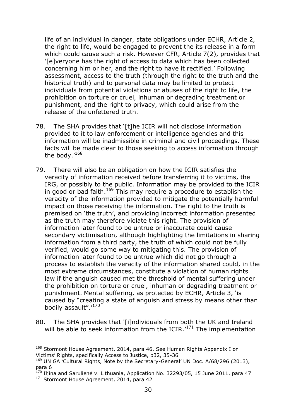life of an individual in danger, state obligations under ECHR, Article 2, the right to life, would be engaged to prevent the its release in a form which could cause such a risk. However CFR, Article 7(2), provides that '[e]veryone has the right of access to data which has been collected concerning him or her, and the right to have it rectified.' Following assessment, access to the truth (through the right to the truth and the historical truth) and to personal data may be limited to protect individuals from potential violations or abuses of the right to life, the prohibition on torture or cruel, inhuman or degrading treatment or punishment, and the right to privacy, which could arise from the release of the unfettered truth.

- 78. The SHA provides that '[t]he ICIR will not disclose information provided to it to law enforcement or intelligence agencies and this information will be inadmissible in criminal and civil proceedings. These facts will be made clear to those seeking to access information through the body.'<sup>168</sup>
- 79. There will also be an obligation on how the ICIR satisfies the veracity of information received before transferring it to victims, the IRG, or possibly to the public. Information may be provided to the ICIR in good or bad faith.<sup>169</sup> This may require a procedure to establish the veracity of the information provided to mitigate the potentially harmful impact on those receiving the information. The right to the truth is premised on 'the truth', and providing incorrect information presented as the truth may therefore violate this right. The provision of information later found to be untrue or inaccurate could cause secondary victimisation, although highlighting the limitations in sharing information from a third party, the truth of which could not be fully verified, would go some way to mitigating this. The provision of information later found to be untrue which did not go through a process to establish the veracity of the information shared could, in the most extreme circumstances, constitute a violation of human rights law if the anguish caused met the threshold of mental suffering under the prohibition on torture or cruel, inhuman or degrading treatment or punishment. Mental suffering, as protected by ECHR, Article 3, 'is caused by "creating a state of anguish and stress by means other than bodily assault".<sup>'170</sup>
- 80. The SHA provides that '[i]ndividuals from both the UK and Ireland will be able to seek information from the ICIR.<sup>'171</sup> The implementation

<sup>-</sup><sup>168</sup> Stormont House Agreement, 2014, para 46. See Human Rights Appendix I on Victims' Rights, specifically Access to Justice, p32, 35-36

<sup>&</sup>lt;sup>169</sup> UN GA 'Cultural Rights, Note by the Secretary-General' UN Doc. A/68/296 (2013), para 6

 $170$  Iljina and Sarulienė v. Lithuania, Application No. 32293/05, 15 June 2011, para 47

<sup>&</sup>lt;sup>171</sup> Stormont House Agreement, 2014, para 42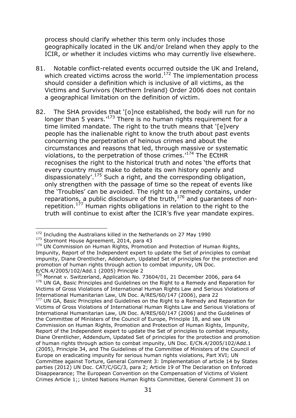process should clarify whether this term only includes those geographically located in the UK and/or Ireland when they apply to the ICIR, or whether it includes victims who may currently live elsewhere.

- 81. Notable conflict-related events occurred outside the UK and Ireland, which created victims across the world.<sup>172</sup> The implementation process should consider a definition which is inclusive of all victims, as the Victims and Survivors (Northern Ireland) Order 2006 does not contain a geographical limitation on the definition of victim.
- 82. The SHA provides that '[o]nce established, the body will run for no longer than 5 years.<sup>'173</sup> There is no human rights requirement for a time limited mandate. The right to the truth means that '[e]very people has the inalienable right to know the truth about past events concerning the perpetration of heinous crimes and about the circumstances and reasons that led, through massive or systematic violations, to the perpetration of those crimes.'<sup>174</sup> The ECtHR recognises the right to the historical truth and notes 'the efforts that every country must make to debate its own history openly and dispassionately'.<sup>175</sup> Such a right, and the corresponding obligation, only strengthen with the passage of time so the repeat of events like the 'Troubles' can be avoided. The right to a remedy contains, under reparations, a public disclosure of the truth, $176$  and guarantees of nonrepetition.<sup>177</sup> Human rights obligations in relation to the right to the truth will continue to exist after the ICIR's five year mandate expires.

<sup>&</sup>lt;sup>172</sup> Including the Australians killed in the Netherlands on 27 May 1990

<sup>&</sup>lt;sup>173</sup> Stormont House Agreement, 2014, para 43

<sup>&</sup>lt;sup>174</sup> UN Commission on Human Rights, Promotion and Protection of Human Rights, Impunity, Report of the Independent expert to update the Set of principles to combat impunity, Diane Orentlicher, Addendum, Updated Set of principles for the protection and promotion of human rights through action to combat impunity, UN Doc. E/CN.4/2005/102/Add.1 (2005) Principle 2

<sup>&</sup>lt;sup>175</sup> Monnat v. Switzerland, Application No. 73604/01, 21 December 2006, para 64 <sup>176</sup> UN GA, Basic Principles and Guidelines on the Right to a Remedy and Reparation for Victims of Gross Violations of International Human Rights Law and Serious Violations of International Humanitarian Law, UN Doc. A/RES/60/147 (2006), para 22

<sup>&</sup>lt;sup>177</sup> UN GA, Basic Principles and Guidelines on the Right to a Remedy and Reparation for Victims of Gross Violations of International Human Rights Law and Serious Violations of International Humanitarian Law, UN Doc. A/RES/60/147 (2006) and the Guidelines of the Committee of Ministers of the Council of Europe, Principle 18, and see UN Commission on Human Rights, Promotion and Protection of Human Rights, Impunity, Report of the Independent expert to update the Set of principles to combat impunity, Diane Orentlicher, Addendum, Updated Set of principles for the protection and promotion of human rights through action to combat impunity, UN Doc. E/CN.4/2005/102/Add.1 (2005), Principle 34, and The Guidelines of the Committee of Ministers of the Council of Europe on eradicating impunity for serious human rights violations, Part XVI; UN Committee against Torture, General Comment 3: Implementation of article 14 by States parties (2012) UN Doc. CAT/C/GC/3, para 2; Article 19 of The Declaration on Enforced Disappearance; The European Convention on the Compensation of Victims of Violent Crimes Article 1;; United Nations Human Rights Committee, General Comment 31 on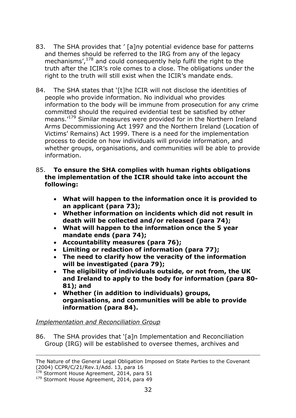- 83. The SHA provides that ' [a]ny potential evidence base for patterns and themes should be referred to the IRG from any of the legacy mechanisms',<sup>178</sup> and could consequently help fulfil the right to the truth after the ICIR's role comes to a close. The obligations under the right to the truth will still exist when the ICIR's mandate ends.
- 84. The SHA states that '[t]he ICIR will not disclose the identities of people who provide information. No individual who provides information to the body will be immune from prosecution for any crime committed should the required evidential test be satisfied by other means.<sup>'179</sup> Similar measures were provided for in the Northern Ireland Arms Decommissioning Act 1997 and the Northern Ireland (Location of Victims' Remains) Act 1999. There is a need for the implementation process to decide on how individuals will provide information, and whether groups, organisations, and communities will be able to provide information.

#### 85. **To ensure the SHA complies with human rights obligations the implementation of the ICIR should take into account the following:**

- **What will happen to the information once it is provided to an applicant (para 73);**
- **Whether information on incidents which did not result in death will be collected and/or released (para 74);**
- **What will happen to the information once the 5 year mandate ends (para 74);**
- **Accountability measures (para 76);**
- **Limiting or redaction of information (para 77);**
- **The need to clarify how the veracity of the information will be investigated (para 79);**
- **The eligibility of individuals outside, or not from, the UK and Ireland to apply to the body for information (para 80- 81); and**
- **Whether (in addition to individuals) groups, organisations, and communities will be able to provide information (para 84).**

# *Implementation and Reconciliation Group*

86. The SHA provides that '[a]n Implementation and Reconciliation Group (IRG) will be established to oversee themes, archives and

The Nature of the General Legal Obligation Imposed on State Parties to the Covenant (2004) CCPR/C/21/Rev.1/Add. 13, para 16

<sup>178</sup> Stormont House Agreement, 2014, para 51

<sup>&</sup>lt;sup>179</sup> Stormont House Agreement, 2014, para 49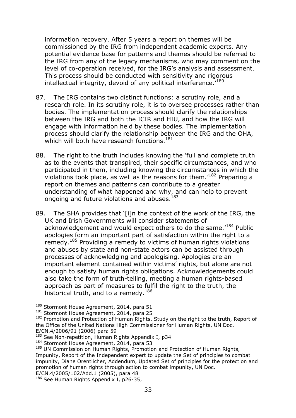information recovery. After 5 years a report on themes will be commissioned by the IRG from independent academic experts. Any potential evidence base for patterns and themes should be referred to the IRG from any of the legacy mechanisms, who may comment on the level of co-operation received, for the IRG's analysis and assessment. This process should be conducted with sensitivity and rigorous intellectual integrity, devoid of any political interference.<sup>180</sup>

- 87. The IRG contains two distinct functions: a scrutiny role, and a research role. In its scrutiny role, it is to oversee processes rather than bodies. The implementation process should clarify the relationships between the IRG and both the ICIR and HIU, and how the IRG will engage with information held by these bodies. The implementation process should clarify the relationship between the IRG and the OHA, which will both have research functions.  $181$
- 88. The right to the truth includes knowing the 'full and complete truth as to the events that transpired, their specific circumstances, and who participated in them, including knowing the circumstances in which the violations took place, as well as the reasons for them.<sup> $182$ </sup> Preparing a report on themes and patterns can contribute to a greater understanding of what happened and why, and can help to prevent ongoing and future violations and abuses.<sup>183</sup>
- 89. The SHA provides that '[i]n the context of the work of the IRG, the UK and Irish Governments will consider statements of acknowledgement and would expect others to do the same.<sup>'184</sup> Public apologies form an important part of satisfaction within the right to a remedy.<sup>185</sup> Providing a remedy to victims of human rights violations and abuses by state and non-state actors can be assisted through processes of acknowledging and apologising. Apologies are an important element contained within victims' rights, but alone are not enough to satisfy human rights obligations. Acknowledgements could also take the form of truth-telling, meeting a human rights-based approach as part of measures to fulfil the right to the truth, the historical truth, and to a remedy.<sup>186</sup>

<sup>&</sup>lt;sup>180</sup> Stormont House Agreement, 2014, para 51

<sup>&</sup>lt;sup>181</sup> Stormont House Agreement, 2014, para 25

<sup>&</sup>lt;sup>182</sup> Promotion and Protection of Human Rights, Study on the right to the truth, Report of the Office of the United Nations High Commissioner for Human Rights, UN Doc. E/CN.4/2006/91 (2006) para 59

<sup>&</sup>lt;sup>183</sup> See Non-repetition, Human Rights Appendix I, p34

<sup>184</sup> Stormont House Agreement, 2014, para 53

<sup>&</sup>lt;sup>185</sup> UN Commission on Human Rights, Promotion and Protection of Human Rights, Impunity, Report of the Independent expert to update the Set of principles to combat impunity, Diane Orentlicher, Addendum, Updated Set of principles for the protection and promotion of human rights through action to combat impunity, UN Doc. E/CN.4/2005/102/Add.1 (2005), para 48

 $186$  See Human Rights Appendix I, p26-35,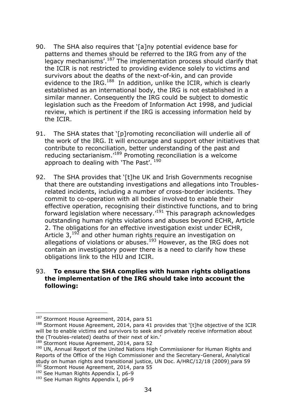- 90. The SHA also requires that '[a]ny potential evidence base for patterns and themes should be referred to the IRG from any of the legacy mechanisms'.<sup>187</sup> The implementation process should clarify that the ICIR is not restricted to providing evidence solely to victims and survivors about the deaths of the next-of-kin, and can provide evidence to the IRG.<sup>188</sup> In addition, unlike the ICIR, which is clearly established as an international body, the IRG is not established in a similar manner. Consequently the IRG could be subject to domestic legislation such as the Freedom of Information Act 1998, and judicial review, which is pertinent if the IRG is accessing information held by the ICIR.
- 91. The SHA states that '[p]romoting reconciliation will underlie all of the work of the IRG. It will encourage and support other initiatives that contribute to reconciliation, better understanding of the past and reducing sectarianism.<sup>189</sup> Promoting reconciliation is a welcome approach to dealing with 'The Past'.<sup>190</sup>
- 92. The SHA provides that '[t]he UK and Irish Governments recognise that there are outstanding investigations and allegations into Troublesrelated incidents, including a number of cross-border incidents. They commit to co-operation with all bodies involved to enable their effective operation, recognising their distinctive functions, and to bring forward legislation where necessary.<sup>191</sup> This paragraph acknowledges outstanding human rights violations and abuses beyond ECHR, Article 2. The obligations for an effective investigation exist under ECHR, Article  $3<sup>192</sup>$  and other human rights require an investigation on allegations of violations or abuses.<sup>193</sup> However, as the IRG does not contain an investigatory power there is a need to clarify how these obligations link to the HIU and ICIR.

#### 93. **To ensure the SHA complies with human rights obligations the implementation of the IRG should take into account the following:**

<sup>&</sup>lt;sup>187</sup> Stormont House Agreement, 2014, para 51

<sup>188</sup> Stormont House Agreement, 2014, para 41 provides that '[t]he objective of the ICIR will be to enable victims and survivors to seek and privately receive information about the (Troubles-related) deaths of their next of kin.'

<sup>189</sup> Stormont House Agreement, 2014, para 52

<sup>&</sup>lt;sup>190</sup> UN, Annual Report of the United Nations High Commissioner for Human Rights and Reports of the Office of the High Commissioner and the Secretary-General, Analytical study on human rights and transitional justice, UN Doc. A/HRC/12/18 (2009) para 59 <sup>191</sup> Stormont House Agreement, 2014, para 55

<sup>&</sup>lt;sup>192</sup> See Human Rights Appendix I, p6-9

<sup>&</sup>lt;sup>193</sup> See Human Rights Appendix I, p6-9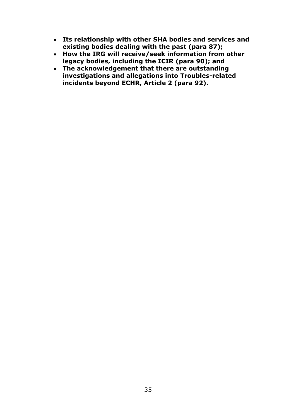- **Its relationship with other SHA bodies and services and existing bodies dealing with the past (para 87);**
- **How the IRG will receive/seek information from other legacy bodies, including the ICIR (para 90); and**
- **The acknowledgement that there are outstanding investigations and allegations into Troubles-related incidents beyond ECHR, Article 2 (para 92).**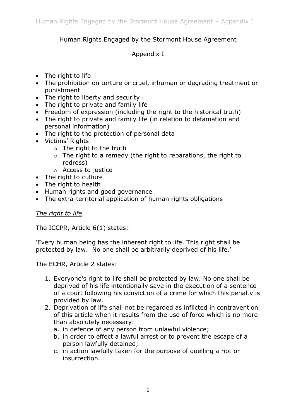# Human Rights Engaged by the Stormont House Agreement

# Appendix I

- The right to life
- The prohibition on torture or cruel, inhuman or degrading treatment or punishment
- The right to liberty and security
- The right to private and family life
- Freedom of expression (including the right to the historical truth)
- The right to private and family life (in relation to defamation and personal information)
- The right to the protection of personal data
- Victims' Rights
	- $\circ$  The right to the truth
	- $\circ$  The right to a remedy (the right to reparations, the right to redress)
	- o Access to justice
- The right to culture
- The right to health
- Human rights and good governance
- The extra-territorial application of human rights obligations

#### *The right to life*

The ICCPR, Article 6(1) states:

'Every human being has the inherent right to life. This right shall be protected by law. No one shall be arbitrarily deprived of his life.'

The ECHR, Article 2 states:

- 1. Everyone's right to life shall be protected by law. No one shall be deprived of his life intentionally save in the execution of a sentence of a court following his conviction of a crime for which this penalty is provided by law.
- 2. Deprivation of life shall not be regarded as inflicted in contravention of this article when it results from the use of force which is no more than absolutely necessary:
	- a. in defence of any person from unlawful violence;
	- b. in order to effect a lawful arrest or to prevent the escape of a person lawfully detained;
	- c. in action lawfully taken for the purpose of quelling a riot or insurrection.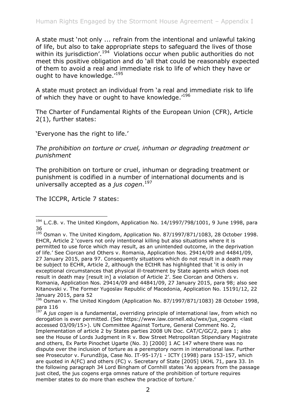A state must 'not only ... refrain from the intentional and unlawful taking of life, but also to take appropriate steps to safeguard the lives of those within its jurisdiction'.<sup>194</sup> Violations occur when public authorities do not meet this positive obligation and do 'all that could be reasonably expected of them to avoid a real and immediate risk to life of which they have or ought to have knowledge.<sup>'195</sup>

A state must protect an individual from 'a real and immediate risk to life of which they have or ought to have knowledge.<sup>'196</sup>

The Charter of Fundamental Rights of the European Union (CFR), Article 2(1), further states:

'Everyone has the right to life.'

*The prohibition on torture or cruel, inhuman or degrading treatment or punishment*

The prohibition on torture or cruel, inhuman or degrading treatment or punishment is codified in a number of international documents and is universally accepted as a *jus cogen*. 197

The ICCPR, Article 7 states:

-

<sup>195</sup> Osman v. The United Kingdom, Application No. 87/1997/871/1083, 28 October 1998. EHCR, Article 2 'covers not only intentional killing but also situations where it is permitted to use force which may result, as an unintended outcome, in the deprivation of life.' See Ciorcan and Others v. Romania, Application Nos. 29414/09 and 44841/09, 27 January 2015, para 97. Consequently situations which do not result in a death may be subject to ECHR, Article 2, although the ECtHR has highlighted that 'it is only in exceptional circumstances that physical ill-treatment by State agents which does not result in death may [result in] a violation of Article 2'. See Ciorcan and Others v. Romania, Application Nos. 29414/09 and 44841/09, 27 January 2015, para 98; also see Kitanovski v. The Former Yugoslav Republic of Macedonia, Application No. 15191/12, 22 January 2015, para 52

 $194$  L.C.B. v. The United Kingdom, Application No.  $14/1997/798/1001$ , 9 June 1998, para 36

<sup>196</sup> Osman v. The United Kingdom (Application No. 87/1997/871/1083) 28 October 1998, para 116

<sup>&</sup>lt;sup>197</sup> A *jus cogen* is a fundamental, overriding principle of international law, from which no derogation is ever permitted. (See https://www.law.cornell.edu/wex/jus\_cogens <last accessed 03/09/15>). UN Committee Against Torture, General Comment No. 2, Implementation of article 2 by States parties 2008 UN Doc. CAT/C/GC/2, para 1; also see the House of Lords Judgment in R v. Bow Street Metropolitan Stipendiary Magistrate and others, Ex Parte Pinochet Ugarte (No. 3) [2000] 1 AC 147 where there was no dispute over the inclusion of torture as a peremptory norm in international law. Further see Prosecutor v. Furundžija, Case No. IT-95-17/1 - ICTY (1998) para 153-157, which are quoted in A(FC) and others (FC) v. Secretary of State [2005] UKHL 71, para 33. In the following paragraph 34 Lord Bingham of Cornhill states 'As appears from the passage just cited, the jus cogens erga omnes nature of the prohibition of torture requires member states to do more than eschew the practice of torture.'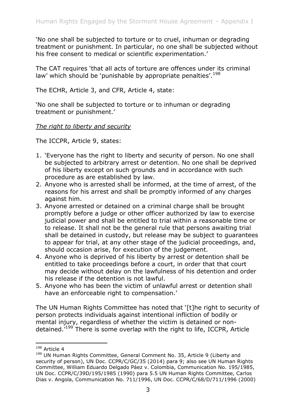'No one shall be subjected to torture or to cruel, inhuman or degrading treatment or punishment. In particular, no one shall be subjected without his free consent to medical or scientific experimentation.'

The CAT requires 'that all acts of torture are offences under its criminal law' which should be 'punishable by appropriate penalties'.<sup>198</sup>

The ECHR, Article 3, and CFR, Article 4, state:

'No one shall be subjected to torture or to inhuman or degrading treatment or punishment.'

*The right to liberty and security*

The ICCPR, Article 9, states:

- 1. 'Everyone has the right to liberty and security of person. No one shall be subjected to arbitrary arrest or detention. No one shall be deprived of his liberty except on such grounds and in accordance with such procedure as are established by law.
- 2. Anyone who is arrested shall be informed, at the time of arrest, of the reasons for his arrest and shall be promptly informed of any charges against him.
- 3. Anyone arrested or detained on a criminal charge shall be brought promptly before a judge or other officer authorized by law to exercise judicial power and shall be entitled to trial within a reasonable time or to release. It shall not be the general rule that persons awaiting trial shall be detained in custody, but release may be subject to guarantees to appear for trial, at any other stage of the judicial proceedings, and, should occasion arise, for execution of the judgement.
- 4. Anyone who is deprived of his liberty by arrest or detention shall be entitled to take proceedings before a court, in order that that court may decide without delay on the lawfulness of his detention and order his release if the detention is not lawful.
- 5. Anyone who has been the victim of unlawful arrest or detention shall have an enforceable right to compensation.'

The UN Human Rights Committee has noted that '[t]he right to security of person protects individuals against intentional infliction of bodily or mental injury, regardless of whether the victim is detained or nondetained. $199$  There is some overlap with the right to life, ICCPR, Article

<sup>&</sup>lt;sup>198</sup> Article 4

<sup>&</sup>lt;sup>199</sup> UN Human Rights Committee, General Comment No. 35, Article 9 (Liberty and security of person), UN Doc. CCPR/C/GC/35 (2014) para 9; also see UN Human Rights Committee, William Eduardo Delgado Páez v. Colombia, Communication No. 195/1985, UN Doc. CCPR/C/39D/195/1985 (1990) para 5.5 UN Human Rights Committee, Carlos Dias v. Angola, Communication No. 711/1996, UN Doc. CCPR/C/68/D/711/1996 (2000)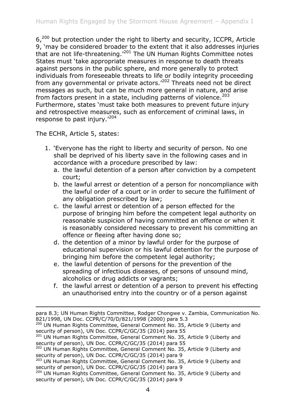6,<sup>200</sup> but protection under the right to liberty and security, ICCPR, Article 9, 'may be considered broader to the extent that it also addresses injuries that are not life-threatening.'<sup>201</sup> The UN Human Rights Committee notes States must 'take appropriate measures in response to death threats against persons in the public sphere, and more generally to protect individuals from foreseeable threats to life or bodily integrity proceeding from any governmental or private actors.<sup>'202</sup> Threats need not be direct messages as such, but can be much more general in nature, and arise from factors present in a state, including patterns of violence. $203$ Furthermore, states 'must take both measures to prevent future injury and retrospective measures, such as enforcement of criminal laws, in response to past injury.'<sup>204</sup>

The ECHR, Article 5, states:

- 1. 'Everyone has the right to liberty and security of person. No one shall be deprived of his liberty save in the following cases and in accordance with a procedure prescribed by law:
	- a. the lawful detention of a person after conviction by a competent court;
	- b. the lawful arrest or detention of a person for noncompliance with the lawful order of a court or in order to secure the fulfilment of any obligation prescribed by law;
	- c. the lawful arrest or detention of a person effected for the purpose of bringing him before the competent legal authority on reasonable suspicion of having committed an offence or when it is reasonably considered necessary to prevent his committing an offence or fleeing after having done so;
	- d. the detention of a minor by lawful order for the purpose of educational supervision or his lawful detention for the purpose of bringing him before the competent legal authority;
	- e. the lawful detention of persons for the prevention of the spreading of infectious diseases, of persons of unsound mind, alcoholics or drug addicts or vagrants;
	- f. the lawful arrest or detention of a person to prevent his effecting an unauthorised entry into the country or of a person against

<sup>200</sup> UN Human Rights Committee, General Comment No. 35, Article 9 (Liberty and security of person), UN Doc. CCPR/C/GC/35 (2014) para 55

<sup>203</sup> UN Human Rights Committee, General Comment No. 35, Article 9 (Liberty and security of person), UN Doc. CCPR/C/GC/35 (2014) para 9

para 8.3; UN Human Rights Committee, Rodger Chongwe v. Zambia, Communication No. 821/1998, UN Doc. CCPR/C/70/D/821/1998 (2000) para 5.3

<sup>&</sup>lt;sup>201</sup> UN Human Rights Committee, General Comment No. 35, Article 9 (Liberty and security of person), UN Doc. CCPR/C/GC/35 (2014) para 55

<sup>&</sup>lt;sup>202</sup> UN Human Rights Committee, General Comment No. 35, Article 9 (Liberty and security of person), UN Doc. CCPR/C/GC/35 (2014) para 9

 $204$  UN Human Rights Committee, General Comment No. 35, Article 9 (Liberty and security of person), UN Doc. CCPR/C/GC/35 (2014) para 9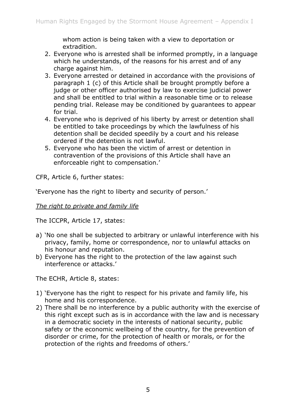whom action is being taken with a view to deportation or extradition.

- 2. Everyone who is arrested shall be informed promptly, in a language which he understands, of the reasons for his arrest and of any charge against him.
- 3. Everyone arrested or detained in accordance with the provisions of paragraph 1 (c) of this Article shall be brought promptly before a judge or other officer authorised by law to exercise judicial power and shall be entitled to trial within a reasonable time or to release pending trial. Release may be conditioned by guarantees to appear for trial.
- 4. Everyone who is deprived of his liberty by arrest or detention shall be entitled to take proceedings by which the lawfulness of his detention shall be decided speedily by a court and his release ordered if the detention is not lawful.
- 5. Everyone who has been the victim of arrest or detention in contravention of the provisions of this Article shall have an enforceable right to compensation.'

CFR, Article 6, further states:

'Everyone has the right to liberty and security of person.'

*The right to private and family life*

The ICCPR, Article 17, states:

- a) 'No one shall be subjected to arbitrary or unlawful interference with his privacy, family, home or correspondence, nor to unlawful attacks on his honour and reputation.
- b) Everyone has the right to the protection of the law against such interference or attacks.'

The ECHR, Article 8, states:

- 1) 'Everyone has the right to respect for his private and family life, his home and his correspondence.
- 2) There shall be no interference by a public authority with the exercise of this right except such as is in accordance with the law and is necessary in a democratic society in the interests of national security, public safety or the economic wellbeing of the country, for the prevention of disorder or crime, for the protection of health or morals, or for the protection of the rights and freedoms of others.'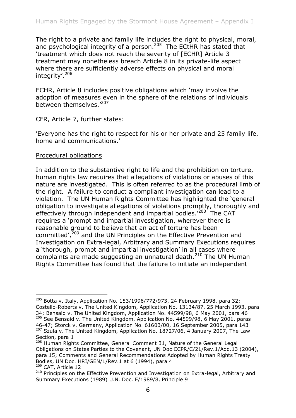The right to a private and family life includes the right to physical, moral, and psychological integrity of a person.<sup>205</sup> The ECtHR has stated that 'treatment which does not reach the severity of [ECHR] Article 3 treatment may nonetheless breach Article 8 in its private-life aspect where there are sufficiently adverse effects on physical and moral integrity'. 206

ECHR, Article 8 includes positive obligations which 'may involve the adoption of measures even in the sphere of the relations of individuals between themselves.'<sup>207</sup>

#### CFR, Article 7, further states:

'Everyone has the right to respect for his or her private and 25 family life, home and communications.'

#### Procedural obligations

In addition to the substantive right to life and the prohibition on torture, human rights law requires that allegations of violations or abuses of this nature are investigated. This is often referred to as the procedural limb of the right. A failure to conduct a compliant investigation can lead to a violation. The UN Human Rights Committee has highlighted the 'general obligation to investigate allegations of violations promptly, thoroughly and effectively through independent and impartial bodies.<sup>'208</sup> The CAT requires a 'prompt and impartial investigation, wherever there is reasonable ground to believe that an act of torture has been committed', <sup>209</sup> and the UN Principles on the Effective Prevention and Investigation on Extra-legal, Arbitrary and Summary Executions requires a 'thorough, prompt and impartial investigation' in all cases where complaints are made suggesting an unnatural death.<sup>210</sup> The UN Human Rights Committee has found that the failure to initiate an independent

<sup>209</sup> CAT, Article 12

 $205$  Botta v. Italy, Application No. 153/1996/772/973, 24 February 1998, para 32; Costello-Roberts v. The United Kingdom, Application No. 13134/87, 25 March 1993, para 34; Bensaid v. The United Kingdom, Application No. 44599/98, 6 May 2001, para 46 <sup>206</sup> See Bensaid v. The United Kingdom, Application No. 44599/98, 6 May 2001, paras

<sup>46-47;</sup> Storck v. Germany, Application No. 61603/00, 16 September 2005, para 143 <sup>207</sup> Szula v. The United Kingdom, Application No. 18727/06, 4 January 2007, The Law Section, para 1

<sup>208</sup> Human Rights Committee, General Comment 31, Nature of the General Legal Obligations on States Parties to the Covenant, UN Doc CCPR/C/21/Rev.1/Add.13 (2004), para 15; Comments and General Recommendations Adopted by Human Rights Treaty Bodies, UN Doc. HRI/GEN/1/Rev.1 at 6 (1994), para 4

<sup>&</sup>lt;sup>210</sup> Principles on the Effective Prevention and Investigation on Extra-legal, Arbitrary and Summary Executions (1989) U.N. Doc. E/1989/8, Principle 9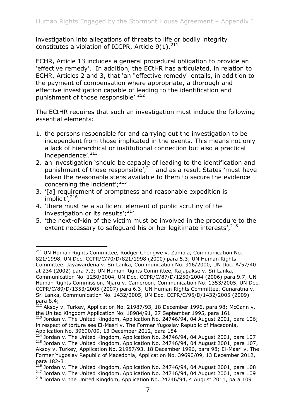investigation into allegations of threats to life or bodily integrity constitutes a violation of ICCPR, Article  $9(1).^{211}$ 

ECHR, Article 13 includes a general procedural obligation to provide an 'effective remedy'. In addition, the ECtHR has articulated, in relation to ECHR, Articles 2 and 3, that 'an "effective remedy" entails, in addition to the payment of compensation where appropriate, a thorough and effective investigation capable of leading to the identification and punishment of those responsible'.<sup>212</sup>

The ECtHR requires that such an investigation must include the following essential elements:

- 1. the persons responsible for and carrying out the investigation to be independent from those implicated in the events. This means not only a lack of hierarchical or institutional connection but also a practical independence'. $213$
- 2. an investigation 'should be capable of leading to the identification and punishment of those responsible',  $2^{14}$  and as a result States 'must have taken the reasonable steps available to them to secure the evidence concerning the incident'; $^{215}$
- 3. '[a] requirement of promptness and reasonable expedition is implicit', 216
- 4. 'there must be a sufficient element of public scrutiny of the investigation or its results';<sup>217</sup>

-

5. 'the next-of-kin of the victim must be involved in the procedure to the extent necessary to safeguard his or her legitimate interests', 218

<sup>&</sup>lt;sup>211</sup> UN Human Rights Committee, Rodger Chongwe v. Zambia, Communication No. 821/1998, UN Doc. CCPR/C/70/D/821/1998 (2000) para 5.3; UN Human Rights Committee, Jayawardena v. Sri Lanka, Communication No. 916/2000, UN Doc. A/57/40 at 234 (2002) para 7.3; UN Human Rights Committee, Rajapakse v. Sri Lanka, Communication No. 1250/2004, UN Doc. CCPR/C/87/D/1250/2004 (2006) para 9.7; UN Human Rights Commission, Njaru v. Cameroon, Communication No. 1353/2005, UN Doc. CCPR/C/89/D/1353/2005 (2007) para 6.3; UN Human Rights Committee, Gunaratna v. Sri Lanka, Communication No. 1432/2005, UN Doc. CCPR/C/95/D/1432/2005 (2009) para 8.4;

 $212$  Aksoy v. Turkey, Application No. 21987/93, 18 December 1996, para 98; McCann v. the United Kingdom Application No. 18984/91, 27 September 1995, para 161

 $213$  Jordan v. The United Kingdom, Application No. 24746/94, 04 August 2001, para 106; in respect of torture see El-Masri v. The Former Yugoslav Republic of Macedonia, Application No. 39690/09, 13 December 2012, para 184

 $214$  Jordan v. The United Kingdom, Application No. 24746/94, 04 August 2001, para 107 <sup>215</sup> Jordan v. The United Kingdom, Application No. 24746/94, 04 August 2001, para 107; Aksoy v. Turkey, Application No. 21987/93, 18 December 1996, para 98; El-Masri v. The Former Yugoslav Republic of Macedonia, Application No. 39690/09, 13 December 2012, para 182-3

 $216$  Jordan v. The United Kingdom, Application No. 24746/94, 04 August 2001, para 108 <sup>217</sup> Jordan v. The United Kingdom, Application No. 24746/94, 04 August 2001, para 109 <sup>218</sup> Jordan v. the United Kingdom, Application No. 24746/94, 4 August 2011, para 109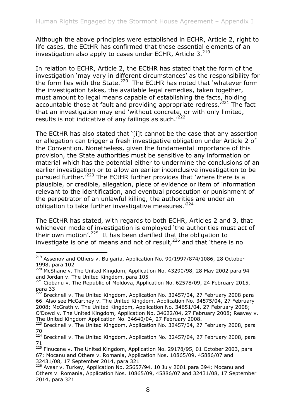Although the above principles were established in ECHR, Article 2, right to life cases, the ECtHR has confirmed that these essential elements of an investigation also apply to cases under ECHR, Article  $3.^{219}$ 

In relation to ECHR, Article 2, the ECtHR has stated that the form of the investigation 'may vary in different circumstances' as the responsibility for the form lies with the State.<sup>220</sup> The ECtHR has noted that 'whatever form the investigation takes, the available legal remedies, taken together, must amount to legal means capable of establishing the facts, holding accountable those at fault and providing appropriate redress.<sup>'221</sup> The fact that an investigation may end 'without concrete, or with only limited, results is not indicative of any failings as such. $1222$ 

The ECtHR has also stated that '[i]t cannot be the case that any assertion or allegation can trigger a fresh investigative obligation under Article 2 of the Convention. Nonetheless, given the fundamental importance of this provision, the State authorities must be sensitive to any information or material which has the potential either to undermine the conclusions of an earlier investigation or to allow an earlier inconclusive investigation to be pursued further.<sup>'223</sup> The ECtHR further provides that 'where there is a plausible, or credible, allegation, piece of evidence or item of information relevant to the identification, and eventual prosecution or punishment of the perpetrator of an unlawful killing, the authorities are under an obligation to take further investigative measures.<sup>'224</sup>

The ECtHR has stated, with regards to both ECHR, Articles 2 and 3, that whichever mode of investigation is employed 'the authorities must act of their own motion'. $225$  It has been clarified that the obligation to investigate is one of means and not of result,  $226$  and that 'there is no

<sup>&</sup>lt;sup>219</sup> Assenov and Others v. Bulgaria, Application No. 90/1997/874/1086, 28 October 1998, para 102

<sup>220</sup> McShane v. The United Kingdom, Application No. 43290/98, 28 May 2002 para 94 and Jordan v. The United Kingdom, para 105

 $221$  Ciobanu v. The Republic of Moldova, Application No. 62578/09, 24 February 2015, para 33

<sup>&</sup>lt;sup>222</sup> Brecknell v. The United Kingdom, Application No. 32457/04, 27 February 2008 para 66. Also see McCartney v. The United Kingdom, Application No. 34575/04, 27 February 2008; McGrath v. The United Kingdom, Application No. 34651/04, 27 February 2008; O'Dowd v. The United Kingdom, Application No. 34622/04, 27 February 2008; Reavey v. The United Kingdom Application No. 34640/04, 27 February 2008.

<sup>&</sup>lt;sup>223</sup> Brecknell v. The United Kingdom, Application No. 32457/04, 27 February 2008, para 70

 $224$  Brecknell v. The United Kingdom, Application No. 32457/04, 27 February 2008, para 71

 $225$  Finucane v. The United Kingdom, Application No. 29178/95, 01 October 2003, para 67; Mocanu and Others v. Romania, Application Nos. 10865/09, 45886/07 and 32431/08, 17 September 2014, para 321

<sup>&</sup>lt;sup>226</sup> Avsar v. Turkey, Application No. 25657/94, 10 July 2001 para 394; Mocanu and Others v. Romania, Application Nos. 10865/09, 45886/07 and 32431/08, 17 September 2014, para 321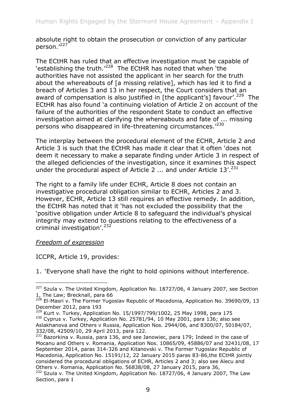absolute right to obtain the prosecution or conviction of any particular person.'<sup>227</sup>

The ECtHR has ruled that an effective investigation must be capable of 'establishing the truth.'<sup>228</sup> The ECtHR has noted that when 'the authorities have not assisted the applicant in her search for the truth about the whereabouts of [a missing relative], which has led it to find a breach of Articles 3 and 13 in her respect, the Court considers that an award of compensation is also justified in [the applicant's] favour'.<sup>229</sup> The ECtHR has also found 'a continuing violation of Article 2 on account of the failure of the authorities of the respondent State to conduct an effective investigation aimed at clarifying the whereabouts and fate of ... missing persons who disappeared in life-threatening circumstances.<sup>1230</sup>

The interplay between the procedural element of the ECHR, Article 2 and Article 3 is such that the ECtHR has made it clear that it often 'does not deem it necessary to make a separate finding under Article 3 in respect of the alleged deficiencies of the investigation, since it examines this aspect under the procedural aspect of Article 2 ... and under Article  $13'$ .<sup>231</sup>

The right to a family life under ECHR, Article 8 does not contain an investigative procedural obligation similar to ECHR, Articles 2 and 3. However, ECHR, Article 13 still requires an effective remedy. In addition, the ECtHR has noted that it 'has not excluded the possibility that the 'positive obligation under Article 8 to safeguard the individual's physical integrity may extend to questions relating to the effectiveness of a criminal investigation'.<sup>232</sup>

#### *Freedom of expression*

-

ICCPR, Article 19, provides:

1. 'Everyone shall have the right to hold opinions without interference.

<sup>231</sup> Bazorkina v. Russia, para 136, and see Janowiec, para 179; Indeed in the case of Mocanu and Others v. Romania, Application Nos. 10865/09, 45886/07 and 32431/08, 17 September 2014, paras 314-326 and Kitanovski v. The Former Yugoslav Republic of Macedonia, Application No. 15191/12, 22 January 2015 paras 83-86,the ECtHR jointly considered the procedural obligations of ECHR, Articles 2 and 3; also see Alecu and Others v. Romania, Application No. 56838/08, 27 January 2015, para 36,

<sup>&</sup>lt;sup>227</sup> Szula v. The United Kingdom, Application No. 18727/06, 4 January 2007, see Section 1, The Law; Brecknall, para 66

<sup>&</sup>lt;sup>228</sup> El-Masri v. The Former Yugoslav Republic of Macedonia, Application No. 39690/09, 13 December 2012, para 193

 $229$  Kurt v. Turkey, Application No. 15/1997/799/1002, 25 May 1998, para 175 <sup>230</sup> Cyprus v. Turkey, Application No. 25781/94, 10 May 2001, para 136; also see Aslakhanova and Others v Russia, Application Nos. 2944/06, and 8300/07, 50184/07, 332/08, 42509/10, 29 April 2013, para 122.

<sup>&</sup>lt;sup>232</sup> Szula v. The United Kingdom, Application No. 18727/06, 4 January 2007, The Law Section, para 1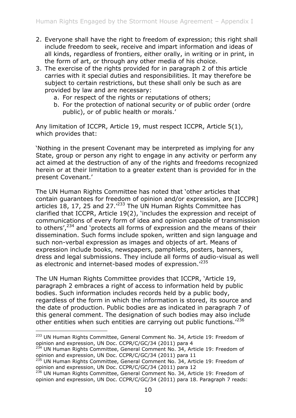- 2. Everyone shall have the right to freedom of expression; this right shall include freedom to seek, receive and impart information and ideas of all kinds, regardless of frontiers, either orally, in writing or in print, in the form of art, or through any other media of his choice.
- 3. The exercise of the rights provided for in paragraph 2 of this article carries with it special duties and responsibilities. It may therefore be subject to certain restrictions, but these shall only be such as are provided by law and are necessary:
	- a. For respect of the rights or reputations of others;
	- b. For the protection of national security or of public order (ordre public), or of public health or morals.'

Any limitation of ICCPR, Article 19, must respect ICCPR, Article 5(1), which provides that:

'Nothing in the present Covenant may be interpreted as implying for any State, group or person any right to engage in any activity or perform any act aimed at the destruction of any of the rights and freedoms recognized herein or at their limitation to a greater extent than is provided for in the present Covenant.'

The UN Human Rights Committee has noted that 'other articles that contain guarantees for freedom of opinion and/or expression, are [ICCPR] articles 18, 17, 25 and 27.'<sup>233</sup> The UN Human Rights Committee has clarified that ICCPR, Article 19(2), 'includes the expression and receipt of communications of every form of idea and opinion capable of transmission to others',  $234$  and 'protects all forms of expression and the means of their dissemination. Such forms include spoken, written and sign language and such non-verbal expression as images and objects of art. Means of expression include books, newspapers, pamphlets, posters, banners, dress and legal submissions. They include all forms of audio-visual as well as electronic and internet-based modes of expression.<sup>'235</sup>

The UN Human Rights Committee provides that ICCPR, 'Article 19, paragraph 2 embraces a right of access to information held by public bodies. Such information includes records held by a public body, regardless of the form in which the information is stored, its source and the date of production. Public bodies are as indicated in paragraph 7 of this general comment. The designation of such bodies may also include other entities when such entities are carrying out public functions.<sup>'236</sup>

<sup>&</sup>lt;sup>233</sup> UN Human Rights Committee, General Comment No. 34, Article 19: Freedom of opinion and expression, UN Doc. CCPR/C/GC/34 (2011) para 4

<sup>&</sup>lt;sup>234</sup> UN Human Rights Committee, General Comment No. 34, Article 19: Freedom of opinion and expression, UN Doc. CCPR/C/GC/34 (2011) para 11

<sup>&</sup>lt;sup>235</sup> UN Human Rights Committee, General Comment No. 34, Article 19: Freedom of opinion and expression, UN Doc. CCPR/C/GC/34 (2011) para 12

<sup>&</sup>lt;sup>236</sup> UN Human Rights Committee, General Comment No. 34, Article 19: Freedom of opinion and expression, UN Doc. CCPR/C/GC/34 (2011) para 18. Paragraph 7 reads: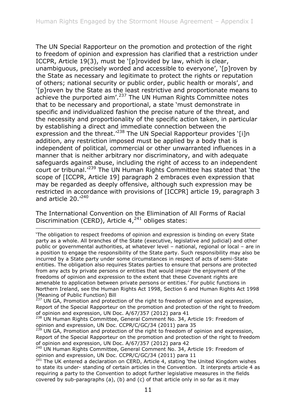The UN Special Rapporteur on the promotion and protection of the right to freedom of opinion and expression has clarified that a restriction under ICCPR, Article 19(3), must be '[p]rovided by law, which is clear, unambiguous, precisely worded and accessible to everyone', '[p]roven by the State as necessary and legitimate to protect the rights or reputation of others; national security or public order, public health or morals', and '[p]roven by the State as the least restrictive and proportionate means to  $\frac{1}{2}$  achieve the purported aim'.<sup>237</sup> The UN Human Rights Committee notes that to be necessary and proportional, a state 'must demonstrate in specific and individualized fashion the precise nature of the threat, and the necessity and proportionality of the specific action taken, in particular by establishing a direct and immediate connection between the expression and the threat.<sup>'238</sup> The UN Special Rapporteur provides '[i]n addition, any restriction imposed must be applied by a body that is independent of political, commercial or other unwarranted influences in a manner that is neither arbitrary nor discriminatory, and with adequate safeguards against abuse, including the right of access to an independent court or tribunal.'<sup>239</sup> The UN Human Rights Committee has stated that 'the scope of [ICCPR, Article 19] paragraph 2 embraces even expression that may be regarded as deeply offensive, although such expression may be restricted in accordance with provisions of [ICCPR] article 19, paragraph 3 and article 20.'<sup>240</sup>

The International Convention on the Elimination of All Forms of Racial Discrimination (CERD), Article  $4^{241}$  obliges states:

-'The obligation to respect freedoms of opinion and expression is binding on every State party as a whole. All branches of the State (executive, legislative and judicial) and other public or governmental authorities, at whatever level – national, regional or local – are in a position to engage the responsibility of the State party. Such responsibility may also be incurred by a State party under some circumstances in respect of acts of semi-State entities. The obligation also requires States parties to ensure that persons are protected from any acts by private persons or entities that would impair the enjoyment of the freedoms of opinion and expression to the extent that these Covenant rights are amenable to application between private persons or entities.' For public functions in Northern Ireland, see the Human Rights Act 1998, Section 6 and Human Rights Act 1998 (Meaning of Public Function) Bill

 $^{237}$  UN GA, Promotion and protection of the right to freedom of opinion and expression, Report of the Special Rapporteur on the promotion and protection of the right to freedom of opinion and expression, UN Doc. A/67/357 (2012) para 41

<sup>238</sup> UN Human Rights Committee, General Comment No. 34, Article 19: Freedom of opinion and expression, UN Doc. CCPR/C/GC/34 (2011) para 35

 $^{239}$  UN GA, Promotion and protection of the right to freedom of opinion and expression, Report of the Special Rapporteur on the promotion and protection of the right to freedom of opinion and expression, UN Doc. A/67/357 (2012) para 42

<sup>240</sup> UN Human Rights Committee, General Comment No. 34, Article 19: Freedom of opinion and expression, UN Doc. CCPR/C/GC/34 (2011) para 11

 $^{241}$  The UK entered a declaration on CERD, Article 4, stating 'the United Kingdom wishes to state its under- standing of certain articles in the Convention. It interprets article 4 as requiring a party to the Convention to adopt further legislative measures in the fields covered by sub-paragraphs (a), (b) and (c) of that article only in so far as it may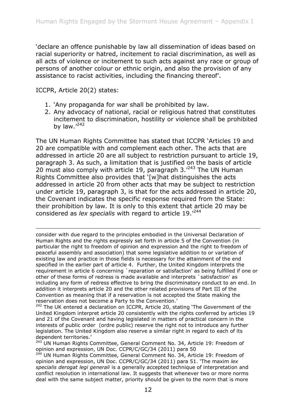'declare an offence punishable by law all dissemination of ideas based on racial superiority or hatred, incitement to racial discrimination, as well as all acts of violence or incitement to such acts against any race or group of persons of another colour or ethnic origin, and also the provision of any assistance to racist activities, including the financing thereof'.

ICCPR, Article 20(2) states:

- 1. 'Any propaganda for war shall be prohibited by law.
- 2. Any advocacy of national, racial or religious hatred that constitutes incitement to discrimination, hostility or violence shall be prohibited by law. $^{\prime242}$

The UN Human Rights Committee has stated that ICCPR 'Articles 19 and 20 are compatible with and complement each other. The acts that are addressed in article 20 are all subject to restriction pursuant to article 19, paragraph 3. As such, a limitation that is justified on the basis of article 20 must also comply with article 19, paragraph  $3.^{243}$  The UN Human Rights Committee also provides that '[w]hat distinguishes the acts addressed in article 20 from other acts that may be subject to restriction under article 19, paragraph 3, is that for the acts addressed in article 20, the Covenant indicates the specific response required from the State: their prohibition by law. It is only to this extent that article 20 may be considered as *lex specialis* with regard to article 19.'<sup>244</sup>

consider with due regard to the principles embodied in the Universal Declaration of Human Rights and the rights expressly set forth in article 5 of the Convention (in particular the right to freedom of opinion and expression and the right to freedom of peaceful assembly and association) that some legislative addition to or variation of existing law and practice in those fields is necessary for the attainment of the end specified in the earlier part of article 4. Further, the United Kingdom interprets the requirement in article 6 concerning `reparation or satisfaction' as being fulfilled if one or other of these forms of redress is made available and interprets `satisfaction' as including any form of redress effective to bring the discriminatory conduct to an end. In addition it interprets article 20 and the other related provisions of Part III of the Convention as meaning that if a reservation is not accepted the State making the reservation does not become a Party to the Convention.'

 $242$  The UK entered a declaration on ICCPR, Article 20, stating 'The Government of the United Kingdom interpret article 20 consistently with the rights conferred by articles 19 and 21 of the Covenant and having legislated in matters of practical concern in the interests of public order (ordre public) reserve the right not to introduce any further legislation. The United Kingdom also reserve a similar right in regard to each of its dependent territories.'

<sup>243</sup> UN Human Rights Committee, General Comment No. 34, Article 19: Freedom of opinion and expression, UN Doc. CCPR/C/GC/34 (2011) para 50

<sup>244</sup> UN Human Rights Committee, General Comment No. 34, Article 19: Freedom of opinion and expression, UN Doc. CCPR/C/GC/34 (2011) para 51. 'The maxim *lex specialis derogat legi generali* is a generally accepted technique of interpretation and conflict resolution in international law. It suggests that whenever two or more norms deal with the same subject matter, priority should be given to the norm that is more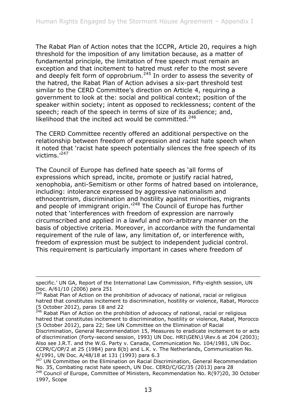The Rabat Plan of Action notes that the ICCPR, Article 20, requires a high threshold for the imposition of any limitation because, as a matter of fundamental principle, the limitation of free speech must remain an exception and that incitement to hatred must refer to the most severe and deeply felt form of opprobrium.<sup>245</sup> In order to assess the severity of the hatred, the Rabat Plan of Action advises a six-part threshold test similar to the CERD Committee's direction on Article 4, requiring a government to look at the: social and political context; position of the speaker within society; intent as opposed to recklessness; content of the speech; reach of the speech in terms of size of its audience; and, likelihood that the incited act would be committed. $246$ 

The CERD Committee recently offered an additional perspective on the relationship between freedom of expression and racist hate speech when it noted that 'racist hate speech potentially silences the free speech of its victims.'<sup>247</sup>

The Council of Europe has defined hate speech as 'all forms of expressions which spread, incite, promote or justify racial hatred, xenophobia, anti-Semitism or other forms of hatred based on intolerance, including: intolerance expressed by aggressive nationalism and ethnocentrism, discrimination and hostility against minorities, migrants and people of immigrant origin.<sup>'248</sup> The Council of Europe has further noted that 'interferences with freedom of expression are narrowly circumscribed and applied in a lawful and non-arbitrary manner on the basis of objective criteria. Moreover, in accordance with the fundamental requirement of the rule of law, any limitation of, or interference with, freedom of expression must be subject to independent judicial control. This requirement is particularly important in cases where freedom of

specific.' UN GA, Report of the International Law Commission, Fifty-eighth session, UN Doc. A/61/10 (2006) para 251

<sup>&</sup>lt;sup>245</sup> Rabat Plan of Action on the prohibition of advocacy of national, racial or religious hatred that constitutes incitement to discrimination, hostility or violence, Rabat, Morocco (5 October 2012), paras 18 and 22

 $246$  Rabat Plan of Action on the prohibition of advocacy of national, racial or religious hatred that constitutes incitement to discrimination, hostility or violence, Rabat, Morocco (5 October 2012), para 22; See UN Committee on the Elimination of Racial

Discrimination, General Recommendation 15, Measures to eradicate incitement to or acts of discrimination (Forty-second session, 1993) UN Doc. HRI\GEN\1\Rev.6 at 204 (2003); Also see J.R.T. and the W.G. Party v. Canada, Communication No. 104/1981, UN Doc. CCPR/C/OP/2 at 25 (1984) para 8(b) and L.K. v. The Netherlands, Communication No. 4/1991, UN Doc. A/48/18 at 131 (1993) para 6.3

<sup>&</sup>lt;sup>247</sup> UN Committee on the Elimination on Racial Discrimination, General Recommendation No. 35, Combating racist hate speech, UN Doc. CERD/C/GC/35 (2013) para 28

<sup>&</sup>lt;sup>248</sup> Council of Europe, Committee of Ministers, Recommendation No. R(97)20, 30 October 1997, Scope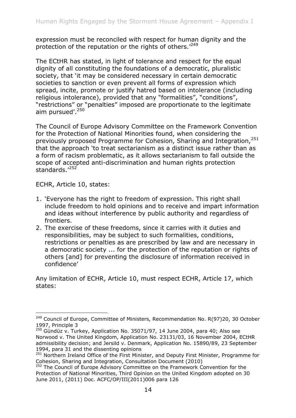expression must be reconciled with respect for human dignity and the protection of the reputation or the rights of others.<sup>'249</sup>

The ECtHR has stated, in light of tolerance and respect for the equal dignity of all constituting the foundations of a democratic, pluralistic society, that 'it may be considered necessary in certain democratic societies to sanction or even prevent all forms of expression which spread, incite, promote or justify hatred based on intolerance (including religious intolerance), provided that any "formalities", "conditions", "restrictions" or "penalties" imposed are proportionate to the legitimate aim pursued'.<sup>250</sup>

The Council of Europe Advisory Committee on the Framework Convention for the Protection of National Minorities found, when considering the previously proposed Programme for Cohesion, Sharing and Integration, 251 that the approach 'to treat sectarianism as a distinct issue rather than as a form of racism problematic, as it allows sectarianism to fall outside the scope of accepted anti-discrimination and human rights protection standards.<sup>'252</sup>

ECHR, Article 10, states:

-

- 1. 'Everyone has the right to freedom of expression. This right shall include freedom to hold opinions and to receive and impart information and ideas without interference by public authority and regardless of frontiers.
- 2. The exercise of these freedoms, since it carries with it duties and responsibilities, may be subject to such formalities, conditions, restrictions or penalties as are prescribed by law and are necessary in a democratic society ... for the protection of the reputation or rights of others [and] for preventing the disclosure of information received in confidence'

Any limitation of ECHR, Article 10, must respect ECHR, Article 17, which states:

<sup>&</sup>lt;sup>249</sup> Council of Europe, Committee of Ministers, Recommendation No. R(97)20, 30 October 1997, Principle 3

<sup>&</sup>lt;sup>250</sup> Gündüz v. Turkey, Application No. 35071/97, 14 June 2004, para 40; Also see Norwood v. The United Kingdom, Application No. 23131/03, 16 November 2004, ECtHR admissibility decision; and Jersild v. Denmark, Application No. 15890/89, 23 September 1994, para 31 and the dissenting opinions

<sup>&</sup>lt;sup>251</sup> Northern Ireland Office of the First Minister, and Deputy First Minister, Programme for Cohesion, Sharing and Integration, Consultation Document (2010)

<sup>&</sup>lt;sup>252</sup> The Council of Europe Advisory Committee on the Framework Convention for the Protection of National Minorities, Third Opinion on the United Kingdom adopted on 30 June 2011, (2011) Doc. ACFC/OP/III(2011)006 para 126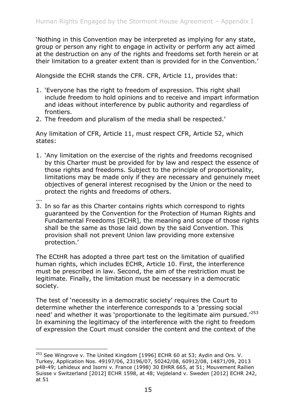'Nothing in this Convention may be interpreted as implying for any state, group or person any right to engage in activity or perform any act aimed at the destruction on any of the rights and freedoms set forth herein or at their limitation to a greater extent than is provided for in the Convention.'

Alongside the ECHR stands the CFR. CFR, Article 11, provides that:

- 1. 'Everyone has the right to freedom of expression. This right shall include freedom to hold opinions and to receive and impart information and ideas without interference by public authority and regardless of frontiers.
- 2. The freedom and pluralism of the media shall be respected.'

Any limitation of CFR, Article 11, must respect CFR, Article 52, which states:

- 1. 'Any limitation on the exercise of the rights and freedoms recognised by this Charter must be provided for by law and respect the essence of those rights and freedoms. Subject to the principle of proportionality, limitations may be made only if they are necessary and genuinely meet objectives of general interest recognised by the Union or the need to protect the rights and freedoms of others.
- ...
- 3. In so far as this Charter contains rights which correspond to rights guaranteed by the Convention for the Protection of Human Rights and Fundamental Freedoms [ECHR], the meaning and scope of those rights shall be the same as those laid down by the said Convention. This provision shall not prevent Union law providing more extensive protection.'

The ECtHR has adopted a three part test on the limitation of qualified human rights, which includes ECHR, Article 10. First, the interference must be prescribed in law. Second, the aim of the restriction must be legitimate. Finally, the limitation must be necessary in a democratic society.

The test of 'necessity in a democratic society' requires the Court to determine whether the interference corresponds to a 'pressing social need' and whether it was 'proportionate to the legitimate aim pursued.'<sup>253</sup> In examining the legitimacy of the interference with the right to freedom of expression the Court must consider the content and the context of the

<sup>-</sup><sup>253</sup> See Wingrove v. The United Kingdom [1996] ECHR 60 at 53; Aydin and Ors. V. Turkey, Application Nos. 49197/06, 23196/07, 50242/08, 60912/08, 14871/09, 2013 p48-49; Lehideux and Isorni v. France (1998) 30 EHRR 665, at 51; Mouvement Railien Suisse v Switzerland [2012] ECHR 1598, at 48; Veideland v. Sweden [2012] ECHR 242, at 51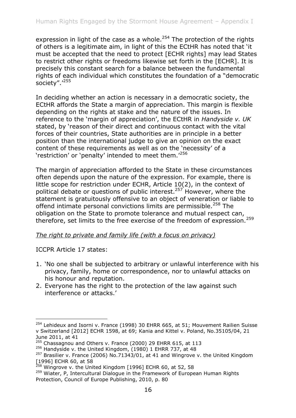expression in light of the case as a whole.<sup>254</sup> The protection of the rights of others is a legitimate aim, in light of this the ECtHR has noted that 'it must be accepted that the need to protect [ECHR rights] may lead States to restrict other rights or freedoms likewise set forth in the [ECHR]. It is precisely this constant search for a balance between the fundamental rights of each individual which constitutes the foundation of a "democratic society".'<sup>255</sup>

In deciding whether an action is necessary in a democratic society, the ECtHR affords the State a margin of appreciation. This margin is flexible depending on the rights at stake and the nature of the issues. In reference to the 'margin of appreciation', the ECtHR in *Handyside v. UK* stated, by 'reason of their direct and continuous contact with the vital forces of their countries, State authorities are in principle in a better position than the international judge to give an opinion on the exact content of these requirements as well as on the 'necessity' of a 'restriction' or 'penalty' intended to meet them.'<sup>256</sup>

The margin of appreciation afforded to the State in these circumstances often depends upon the nature of the expression. For example, there is little scope for restriction under ECHR, Article 10(2), in the context of political debate or questions of public interest.<sup>257</sup> However, where the statement is gratuitously offensive to an object of veneration or liable to offend intimate personal convictions limits are permissible.<sup>258</sup> The obligation on the State to promote tolerance and mutual respect can, therefore, set limits to the free exercise of the freedom of expression.<sup>259</sup>

# *The right to private and family life (with a focus on privacy)*

ICCPR Article 17 states:

- 1. 'No one shall be subjected to arbitrary or unlawful interference with his privacy, family, home or correspondence, nor to unlawful attacks on his honour and reputation.
- 2. Everyone has the right to the protection of the law against such interference or attacks.'

<sup>-</sup><sup>254</sup> Lehideux and Isorni v. France (1998) 30 EHRR 665, at 51; Mouvement Railien Suisse v Switzerland [2012] ECHR 1598, at 69; Kania and Kittel v. Poland, No.35105/04, 21 June 2011, at 41

<sup>255</sup> Chassagnou and Others v. France (2000) 29 EHRR 615, at 113

<sup>&</sup>lt;sup>256</sup> Handyside v. the United Kingdom, (1980) 1 EHRR 737, at 48

<sup>&</sup>lt;sup>257</sup> Brasilier v. France (2006) No. 71343/01, at 41 and Wingrove v. the United Kingdom [1996] ECHR 60, at 58

 $^{258}$  Wingrove v. the United Kingdom [1996] ECHR 60, at 52, 58

<sup>&</sup>lt;sup>259</sup> Wiater, P, Intercultural Dialogue in the Framework of European Human Rights Protection, Council of Europe Publishing, 2010, p. 80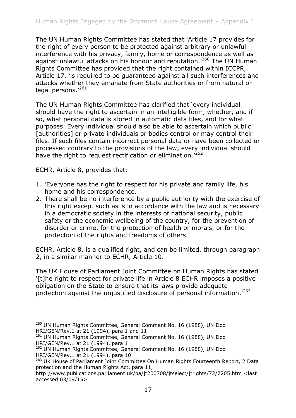The UN Human Rights Committee has stated that 'Article 17 provides for the right of every person to be protected against arbitrary or unlawful interference with his privacy, family, home or correspondence as well as against unlawful attacks on his honour and reputation.<sup>'260</sup> The UN Human Rights Committee has provided that the right contained within ICCPR, Article 17, 'is required to be guaranteed against all such interferences and attacks whether they emanate from State authorities or from natural or legal persons.<sup>'261</sup>

The UN Human Rights Committee has clarified that 'every individual should have the right to ascertain in an intelligible form, whether, and if so, what personal data is stored in automatic data files, and for what purposes. Every individual should also be able to ascertain which public [authorities] or private individuals or bodies control or may control their files. If such files contain incorrect personal data or have been collected or processed contrary to the provisions of the law, every individual should have the right to request rectification or elimination.<sup>'262</sup>

ECHR, Article 8, provides that:

- 1. 'Everyone has the right to respect for his private and family life, his home and his correspondence.
- 2. There shall be no interference by a public authority with the exercise of this right except such as is in accordance with the law and is necessary in a democratic society in the interests of national security, public safety or the economic wellbeing of the country, for the prevention of disorder or crime, for the protection of health or morals, or for the protection of the rights and freedoms of others.'

ECHR, Article 8, is a qualified right, and can be limited, through paragraph 2, in a similar manner to ECHR, Article 10.

The UK House of Parliament Joint Committee on Human Rights has stated '[t]he right to respect for private life in Article 8 ECHR imposes a positive obligation on the State to ensure that its laws provide adequate protection against the unjustified disclosure of personal information.'<sup>263</sup>

<sup>-</sup><sup>260</sup> UN Human Rights Committee, General Comment No. 16 (1988), UN Doc. HRI/GEN/Rev.1 at 21 (1994), para 1 and 11

<sup>&</sup>lt;sup>261</sup> UN Human Rights Committee, General Comment No. 16 (1988), UN Doc. HRI/GEN/Rev.1 at 21 (1994), para 1

<sup>&</sup>lt;sup>262</sup> UN Human Rights Committee, General Comment No. 16 (1988), UN Doc. HRI/GEN/Rev.1 at 21 (1994), para 10

<sup>&</sup>lt;sup>263</sup> UK House of Parliament Joint Committee On Human Rights Fourteenth Report, 2 Data protection and the Human Rights Act, para 11,

http://www.publications.parliament.uk/pa/jt200708/jtselect/jtrights/72/7205.htm <last accessed 03/09/15>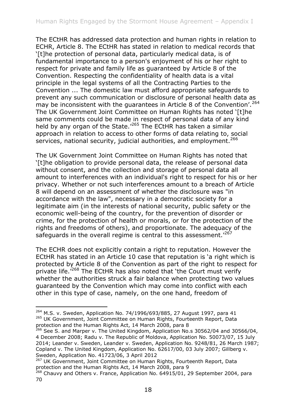The ECtHR has addressed data protection and human rights in relation to ECHR, Article 8. The ECtHR has stated in relation to medical records that '[t]he protection of personal data, particularly medical data, is of fundamental importance to a person's enjoyment of his or her right to respect for private and family life as guaranteed by Article 8 of the Convention. Respecting the confidentiality of health data is a vital principle in the legal systems of all the Contracting Parties to the Convention ... The domestic law must afford appropriate safeguards to prevent any such communication or disclosure of personal health data as may be inconsistent with the guarantees in Article 8 of the Convention'.<sup>264</sup> The UK Government Joint Committee on Human Rights has noted '[t]he same comments could be made in respect of personal data of any kind held by any organ of the State.<sup>'265</sup> The ECtHR has taken a similar approach in relation to access to other forms of data relating to, social services, national security, judicial authorities, and employment.<sup>266</sup>

The UK Government Joint Committee on Human Rights has noted that '[t]he obligation to provide personal data, the release of personal data without consent, and the collection and storage of personal data all amount to interferences with an individual's right to respect for his or her privacy. Whether or not such interferences amount to a breach of Article 8 will depend on an assessment of whether the disclosure was "in accordance with the law", necessary in a democratic society for a legitimate aim (in the interests of national security, public safety or the economic well-being of the country, for the prevention of disorder or crime, for the protection of health or morals, or for the protection of the rights and freedoms of others), and proportionate. The adequacy of the safeguards in the overall regime is central to this assessment.<sup>'267</sup>

The ECHR does not explicitly contain a right to reputation. However the ECtHR has stated in an Article 10 case that reputation is 'a right which is protected by Article 8 of the Convention as part of the right to respect for private life.<sup>'268</sup> The ECtHR has also noted that 'the Court must verify whether the authorities struck a fair balance when protecting two values guaranteed by the Convention which may come into conflict with each other in this type of case, namely, on the one hand, freedom of

<sup>&</sup>lt;sup>264</sup> M.S. v. Sweden, Application No. 74/1996/693/885, 27 August 1997, para 41 <sup>265</sup> UK Government, Joint Committee on Human Rights, Fourteenth Report, Data protection and the Human Rights Act, 14 March 2008, para 8

<sup>&</sup>lt;sup>266</sup> See S. and Marper v. The United Kingdom, Application No.s 30562/04 and 30566/04, 4 December 2008; Radu v. The Republic of Moldova, Application No. 50073/07, 15 July 2014; Leander v. Sweden, Leander v. Sweden, Application No. 9248/81, 26 March 1987; Copland v. The United Kingdom, Application No. 62617/00, 03 July 2007; Gillberg v. Sweden, Application No. 41723/06, 3 April 2012

<sup>&</sup>lt;sup>267</sup> UK Government, Joint Committee on Human Rights, Fourteenth Report, Data protection and the Human Rights Act, 14 March 2008, para 9

 $268$  Chauvy and Others v. France, Application No. 64915/01, 29 September 2004, para 70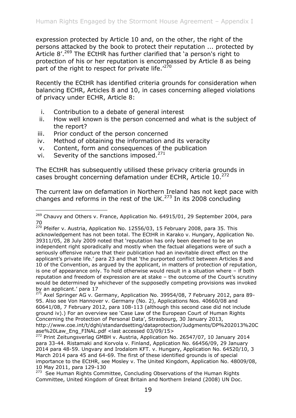expression protected by Article 10 and, on the other, the right of the persons attacked by the book to protect their reputation ... protected by Article  $8'$ .  $269$  The ECtHR has further clarified that 'a person's right to protection of his or her reputation is encompassed by Article 8 as being part of the right to respect for private life.<sup>'270</sup>

Recently the ECtHR has identified criteria grounds for consideration when balancing ECHR, Articles 8 and 10, in cases concerning alleged violations of privacy under ECHR, Article 8:

- i. Contribution to a debate of general interest
- ii. How well known is the person concerned and what is the subject of the report?
- iii. Prior conduct of the person concerned
- iv. Method of obtaining the information and its veracity
- v. Content, form and consequences of the publication
- vi. Severity of the sanctions imposed.<sup>271</sup>

-

The ECtHR has subsequently utilised these privacy criteria grounds in cases brought concerning defamation under ECHR, Article 10.<sup>272</sup>

The current law on defamation in Northern Ireland has not kept pace with changes and reforms in the rest of the UK.<sup>273</sup> In its 2008 concluding

 $269$  Chauvy and Others v. France, Application No. 64915/01, 29 September 2004, para 70

 $270$  Pfeifer v. Austria, Application No. 12556/03, 15 February 2008, para 35. This acknowledgement has not been total. The ECtHR in Karako v. Hungary, Application No. 39311/05, 28 July 2009 noted that 'reputation has only been deemed to be an independent right sporadically and mostly when the factual allegations were of such a seriously offensive nature that their publication had an inevitable direct effect on the applicant's private life.' para 23 and that 'the purported conflict between Articles 8 and 10 of the Convention, as argued by the applicant, in matters of protection of reputation, is one of appearance only. To hold otherwise would result in a situation where – if both reputation and freedom of expression are at stake – the outcome of the Court's scrutiny would be determined by whichever of the supposedly competing provisions was invoked by an applicant.' para 17

 $2^{71}$  Axel Springer AG v. Germany, Application No. 39954/08, 7 February 2012, para 89-95. Also see Von Hannover v. Germany (No. 2), Applications Nos. 40660/08 and 60641/08, 7 February 2012, para 108-113 (although this second case did not include ground iv).) For an overview see 'Case Law of the European Court of Human Rights Concerning the Protection of Personal Data', Strasbourg, 30 January 2013, http://www.coe.int/t/dghl/standardsetting/dataprotection/Judgments/DP%202013%20C ase%20Law\_Eng\_FINAL.pdf <last accessed 03/09/15>

 $272$  Print Zeitungsverlag GMBH v. Austria, Application No. 26547/07, 10 January 2014 para 33-44. Ristamaki and Korvola v. Finland, Application No. 66456/09, 29 January 2014 para 48-59. Ungvary and Irodalom KFT. v. Hungary, Application No. 64520/10, 3 March 2014 para 45 and 64-69. The first of these identified grounds is of special importance to the ECtHR, see Mosley v. The United Kingdom, Application No. 48009/08, 10 May 2011, para 129-130

<sup>&</sup>lt;sup>273</sup> See Human Rights Committee, Concluding Observations of the Human Rights Committee, United Kingdom of Great Britain and Northern Ireland (2008) UN Doc.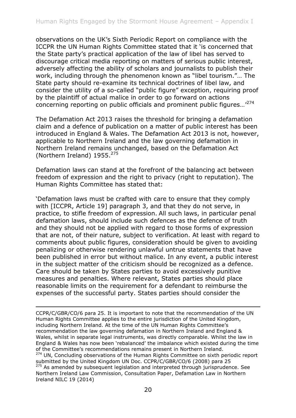observations on the UK's Sixth Periodic Report on compliance with the ICCPR the UN Human Rights Committee stated that it 'is concerned that the State party's practical application of the law of libel has served to discourage critical media reporting on matters of serious public interest, adversely affecting the ability of scholars and journalists to publish their work, including through the phenomenon known as "libel tourism."… The State party should re-examine its technical doctrines of libel law, and consider the utility of a so-called "public figure" exception, requiring proof by the plaintiff of actual malice in order to go forward on actions concerning reporting on public officials and prominent public figures...<sup>'274</sup>

The Defamation Act 2013 raises the threshold for bringing a defamation claim and a defence of publication on a matter of public interest has been introduced in England & Wales. The Defamation Act 2013 is not, however, applicable to Northern Ireland and the law governing defamation in Northern Ireland remains unchanged, based on the Defamation Act (Northern Ireland) 1955.<sup>275</sup>

Defamation laws can stand at the forefront of the balancing act between freedom of expression and the right to privacy (right to reputation). The Human Rights Committee has stated that:

'Defamation laws must be crafted with care to ensure that they comply with [ICCPR, Article 19] paragraph 3, and that they do not serve, in practice, to stifle freedom of expression. All such laws, in particular penal defamation laws, should include such defences as the defence of truth and they should not be applied with regard to those forms of expression that are not, of their nature, subject to verification. At least with regard to comments about public figures, consideration should be given to avoiding penalizing or otherwise rendering unlawful untrue statements that have been published in error but without malice. In any event, a public interest in the subject matter of the criticism should be recognized as a defence. Care should be taken by States parties to avoid excessively punitive measures and penalties. Where relevant, States parties should place reasonable limits on the requirement for a defendant to reimburse the expenses of the successful party. States parties should consider the

CCPR/C/GBR/CO/6 para 25. It is important to note that the recommendation of the UN Human Rights Committee applies to the entire jurisdiction of the United Kingdom, including Northern Ireland. At the time of the UN Human Rights Committee's recommendation the law governing defamation in Northern Ireland and England & Wales, whilst in separate legal instruments, was directly comparable. Whilst the law in England & Wales has now been 'rebalanced' the imbalance which existed during the time of the Committee's recommendations remains present in Northern Ireland. <sup>274</sup> UN. Concluding observations of the Human Rights Committee on sixth periodic report submitted by the United Kingdom UN Doc. CCPR/C/GBR/CO/6 (2008) para 25  $275$  As amended by subsequent legislation and interpreted through jurisprudence. See Northern Ireland Law Commission, Consultation Paper, Defamation Law in Northern Ireland NILC 19 (2014)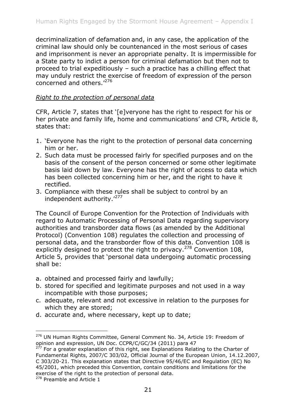decriminalization of defamation and, in any case, the application of the criminal law should only be countenanced in the most serious of cases and imprisonment is never an appropriate penalty. It is impermissible for a State party to indict a person for criminal defamation but then not to proceed to trial expeditiously – such a practice has a chilling effect that may unduly restrict the exercise of freedom of expression of the person concerned and others.'<sup>276</sup>

# *Right to the protection of personal data*

CFR, Article 7, states that '[e]veryone has the right to respect for his or her private and family life, home and communications' and CFR, Article 8, states that:

- 1. 'Everyone has the right to the protection of personal data concerning him or her.
- 2. Such data must be processed fairly for specified purposes and on the basis of the consent of the person concerned or some other legitimate basis laid down by law. Everyone has the right of access to data which has been collected concerning him or her, and the right to have it rectified.
- 3. Compliance with these rules shall be subject to control by an independent authority.<sup>'277</sup>

The Council of Europe Convention for the Protection of Individuals with regard to Automatic Processing of Personal Data regarding supervisory authorities and transborder data flows (as amended by the Additional Protocol) (Convention 108) regulates the collection and processing of personal data, and the transborder flow of this data. Convention 108 is explicitly designed to protect the right to privacy.<sup>278</sup> Convention 108, Article 5, provides that 'personal data undergoing automatic processing shall be:

- a. obtained and processed fairly and lawfully;
- b. stored for specified and legitimate purposes and not used in a way incompatible with those purposes;
- c. adequate, relevant and not excessive in relation to the purposes for which they are stored;
- d. accurate and, where necessary, kept up to date;

<sup>&</sup>lt;sup>276</sup> UN Human Rights Committee, General Comment No. 34, Article 19: Freedom of opinion and expression, UN Doc. CCPR/C/GC/34 (2011) para 47

 $2^{27}$  For a greater explanation of this right, see Explanations Relating to the Charter of Fundamental Rights, 2007/C 303/02, Official Journal of the European Union, 14.12.2007, C 303/20-21. This explanation states that Directive 95/46/EC and Regulation (EC) No 45/2001, which preceded this Convention, contain conditions and limitations for the exercise of the right to the protection of personal data.

<sup>&</sup>lt;sup>278</sup> Preamble and Article 1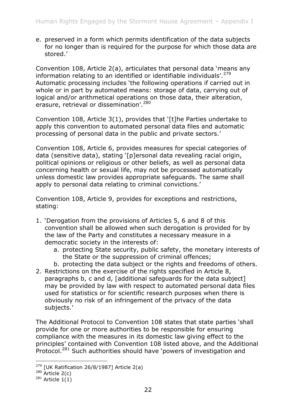e. preserved in a form which permits identification of the data subjects for no longer than is required for the purpose for which those data are stored.'

Convention 108, Article 2(a), articulates that personal data 'means any information relating to an identified or identifiable individuals'.<sup>279</sup> Automatic processing includes 'the following operations if carried out in whole or in part by automated means: storage of data, carrying out of logical and/or arithmetical operations on those data, their alteration, erasure, retrieval or dissemination'.<sup>280</sup>

Convention 108, Article 3(1), provides that '[t]he Parties undertake to apply this convention to automated personal data files and automatic processing of personal data in the public and private sectors.'

Convention 108, Article 6, provides measures for special categories of data (sensitive data), stating '[p]ersonal data revealing racial origin, political opinions or religious or other beliefs, as well as personal data concerning health or sexual life, may not be processed automatically unless domestic law provides appropriate safeguards. The same shall apply to personal data relating to criminal convictions.'

Convention 108, Article 9, provides for exceptions and restrictions, stating:

- 1. 'Derogation from the provisions of Articles 5, 6 and 8 of this convention shall be allowed when such derogation is provided for by the law of the Party and constitutes a necessary measure in a democratic society in the interests of:
	- a. protecting State security, public safety, the monetary interests of the State or the suppression of criminal offences;
	- b. protecting the data subject or the rights and freedoms of others.
- 2. Restrictions on the exercise of the rights specified in Article 8, paragraphs b, c and d, [additional safeguards for the data subject] may be provided by law with respect to automated personal data files used for statistics or for scientific research purposes when there is obviously no risk of an infringement of the privacy of the data subjects.'

The Additional Protocol to Convention 108 states that state parties 'shall provide for one or more authorities to be responsible for ensuring compliance with the measures in its domestic law giving effect to the principles' contained with Convention 108 listed above, and the Additional Protocol.<sup>281</sup> Such authorities should have 'powers of investigation and

 $279$  [UK Ratification 26/8/1987] Article 2(a)

 $280$  Article 2(c)

 $281$  Article  $1(1)$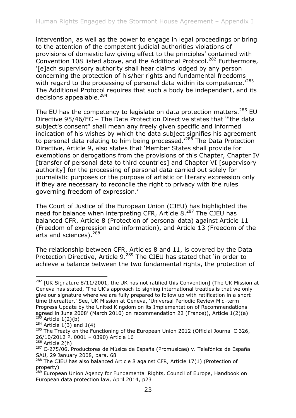intervention, as well as the power to engage in legal proceedings or bring to the attention of the competent judicial authorities violations of provisions of domestic law giving effect to the principles' contained with Convention 108 listed above, and the Additional Protocol.<sup>282</sup> Furthermore. '[e]ach supervisory authority shall hear claims lodged by any person concerning the protection of his/her rights and fundamental freedoms with regard to the processing of personal data within its competence.<sup>'283</sup> The Additional Protocol requires that such a body be independent, and its decisions appealable.<sup>284</sup>

The EU has the competency to legislate on data protection matters.<sup>285</sup> EU Directive 95/46/EC – The Data Protection Directive states that '"the data subject's consent" shall mean any freely given specific and informed indication of his wishes by which the data subject signifies his agreement to personal data relating to him being processed.<sup>'286</sup> The Data Protection Directive, Article 9, also states that 'Member States shall provide for exemptions or derogations from the provisions of this Chapter, Chapter IV [transfer of personal data to third countries] and Chapter VI [supervisory authority] for the processing of personal data carried out solely for journalistic purposes or the purpose of artistic or literary expression only if they are necessary to reconcile the right to privacy with the rules governing freedom of expression.'

The Court of Justice of the European Union (CJEU) has highlighted the need for balance when interpreting CFR, Article 8.<sup>287</sup> The CJEU has balanced CFR, Article 8 (Protection of personal data) against Article 11 (Freedom of expression and information), and Article 13 (Freedom of the arts and sciences).<sup>288</sup>

The relationship between CFR, Articles 8 and 11, is covered by the Data Protection Directive, Article 9.<sup>289</sup> The CJEU has stated that 'in order to achieve a balance between the two fundamental rights, the protection of

<sup>-</sup><sup>282</sup> [UK Signature  $8/11/2001$ , the UK has not ratified this Convention] (The UK Mission at Geneva has stated, 'The UK's approach to signing international treaties is that we only give our signature where we are fully prepared to follow up with ratification in a short time thereafter.' See, UK Mission at Geneva, 'Universal Periodic Review Mid-term Progress Update by the United Kingdom on its Implementation of Recommendations agreed in June 2008' (March 2010) on recommendation 22 (France)), Article 1(2)(a)  $^{283}$  Article 1(2)(b)

 $284$  Article 1(3) and 1(4)

 $285$  The Treaty on the Functioning of the European Union 2012 (Official Journal C 326, 26/10/2012 P. 0001 – 0390) Article 16

 $286$  Article 2(h)

<sup>&</sup>lt;sup>287</sup> C-275/06, Productores de Música de España (Promusicae) v. Telefónica de España SAU, 29 January 2008, para. 68

 $288$  The CJEU has also balanced Article 8 against CFR, Article 17(1) (Protection of property)

<sup>&</sup>lt;sup>289</sup> European Union Agency for Fundamental Rights, Council of Europe, Handbook on European data protection law, April 2014, p23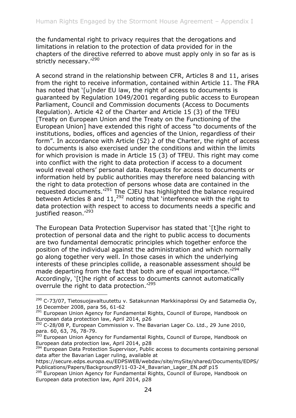the fundamental right to privacy requires that the derogations and limitations in relation to the protection of data provided for in the chapters of the directive referred to above must apply only in so far as is strictly necessary.'290

A second strand in the relationship between CFR, Articles 8 and 11, arises from the right to receive information, contained within Article 11. The FRA has noted that '[u]nder EU law, the right of access to documents is guaranteed by Regulation 1049/2001 regarding public access to European Parliament, Council and Commission documents (Access to Documents Regulation). Article 42 of the Charter and Article 15 (3) of the TFEU [Treaty on European Union and the Treaty on the Functioning of the European Union] have extended this right of access "to documents of the institutions, bodies, offices and agencies of the Union, regardless of their form". In accordance with Article (52) 2 of the Charter, the right of access to documents is also exercised under the conditions and within the limits for which provision is made in Article 15 (3) of TFEU. This right may come into conflict with the right to data protection if access to a document would reveal others' personal data. Requests for access to documents or information held by public authorities may therefore need balancing with the right to data protection of persons whose data are contained in the requested documents.'<sup>291</sup> The CJEU has highlighted the balance required between Articles 8 and 11,<sup>292</sup> noting that 'interference with the right to data protection with respect to access to documents needs a specific and justified reason.<sup>'293</sup>

The European Data Protection Supervisor has stated that '[t]he right to protection of personal data and the right to public access to documents are two fundamental democratic principles which together enforce the position of the individual against the administration and which normally go along together very well. In those cases in which the underlying interests of these principles collide, a reasonable assessment should be made departing from the fact that both are of equal importance.<sup>'294</sup> Accordingly, '[t]he right of access to documents cannot automatically overrule the right to data protection.<sup>'295</sup>

<sup>&</sup>lt;sup>290</sup> C-73/07, Tietosuojavaltuutettu v. Satakunnan Markkinapörssi Oy and Satamedia Oy, 16 December 2008, para 56, 61-62

<sup>&</sup>lt;sup>291</sup> European Union Agency for Fundamental Rights, Council of Europe, Handbook on European data protection law, April 2014, p26

<sup>&</sup>lt;sup>292</sup> C-28/08 P, European Commission v. The Bavarian Lager Co. Ltd., 29 June 2010, para. 60, 63, 76, 78-79.

<sup>&</sup>lt;sup>293</sup> European Union Agency for Fundamental Rights, Council of Europe, Handbook on European data protection law, April 2014, p28

<sup>&</sup>lt;sup>294</sup> European Data Protection Supervisor, Public access to documents containing personal data after the Bavarian Lager ruling, available at

https://secure.edps.europa.eu/EDPSWEB/webdav/site/mySite/shared/Documents/EDPS/ Publications/Papers/BackgroundP/11-03-24 Bavarian Lager EN.pdf p15

<sup>&</sup>lt;sup>295</sup> European Union Agency for Fundamental Rights, Council of Europe, Handbook on European data protection law, April 2014, p28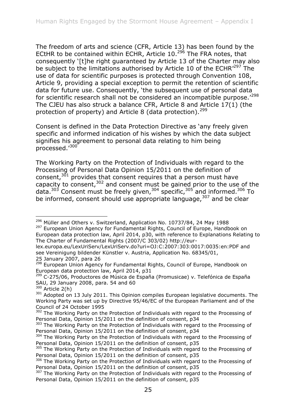The freedom of arts and science (CFR, Article 13) has been found by the ECtHR to be contained within ECHR, Article  $10.^{296}$  The FRA notes, that consequently '[t]he right guaranteed by Article 13 of the Charter may also be subject to the limitations authorised by Article 10 of the ECHR<sup>'297</sup> The use of data for scientific purposes is protected through Convention 108, Article 9, providing a special exception to permit the retention of scientific data for future use. Consequently, 'the subsequent use of personal data for scientific research shall not be considered an incompatible purpose.'<sup>298</sup> The CJEU has also struck a balance CFR, Article 8 and Article 17(1) (the protection of property) and Article 8 (data protection).<sup>299</sup>

Consent is defined in the Data Protection Directive as 'any freely given specific and informed indication of his wishes by which the data subject signifies his agreement to personal data relating to him being processed.<sup>'300</sup>

The Working Party on the Protection of Individuals with regard to the Processing of Personal Data Opinion 15/2011 on the definition of consent, $3\overline{0}1$  provides that consent requires that a person must have capacity to consent,<sup>302</sup> and consent must be gained prior to the use of the data.<sup>303</sup> Consent must be freely given,<sup>304</sup> specific,<sup>305</sup> and informed.<sup>306</sup> To be informed, consent should use appropriate language,  $307$  and be clear

<sup>-</sup><sup>296</sup> Müller and Others v. Switzerland, Application No. 10737/84, 24 May 1988 <sup>297</sup> European Union Agency for Fundamental Rights, Council of Europe, Handbook on European data protection law, April 2014, p30, with reference to Explanations Relating to The Charter of Fundamental Rights (2007/C 303/02) http://eur-

lex.europa.eu/LexUriServ/LexUriServ.do?uri=OJ:C:2007:303:0017:0035:en:PDF and see Vereinigung bildender Künstler v. Austria, Application No. 68345/01, 25 January 2007, para 26

<sup>298</sup> European Union Agency for Fundamental Rights, Council of Europe, Handbook on European data protection law, April 2014, p31

<sup>&</sup>lt;sup>299</sup> C-275/06, Productores de Música de España (Promusicae) v. Telefónica de España SAU, 29 January 2008, para. 54 and 60

 $300$  Article 2(h)

 $301$  Adopted on 13 July 2011. This Opinion compiles European legislative documents. The Working Party was set up by Directive 95/46/EC of the European Parliament and of the Council of 24 October 1995

<sup>&</sup>lt;sup>302</sup> The Working Party on the Protection of Individuals with regard to the Processing of Personal Data, Opinion 15/2011 on the definition of consent, p34

<sup>&</sup>lt;sup>303</sup> The Working Party on the Protection of Individuals with regard to the Processing of Personal Data, Opinion 15/2011 on the definition of consent, p34

<sup>&</sup>lt;sup>304</sup> The Working Party on the Protection of Individuals with regard to the Processing of Personal Data, Opinion 15/2011 on the definition of consent, p35

<sup>&</sup>lt;sup>305</sup> The Working Party on the Protection of Individuals with regard to the Processing of Personal Data, Opinion 15/2011 on the definition of consent, p35

<sup>&</sup>lt;sup>306</sup> The Working Party on the Protection of Individuals with regard to the Processing of Personal Data, Opinion 15/2011 on the definition of consent, p35

<sup>&</sup>lt;sup>307</sup> The Working Party on the Protection of Individuals with regard to the Processing of Personal Data, Opinion 15/2011 on the definition of consent, p35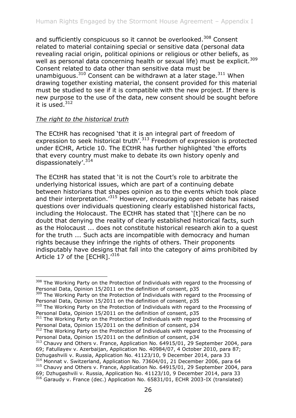and sufficiently conspicuous so it cannot be overlooked.<sup>308</sup> Consent related to material containing special or sensitive data (personal data revealing racial origin, political opinions or religious or other beliefs, as well as personal data concerning health or sexual life) must be explicit.<sup>309</sup> Consent related to data other than sensitive data must be unambiguous.<sup>310</sup> Consent can be withdrawn at a later stage.<sup>311</sup> When drawing together existing material, the consent provided for this material must be studied to see if it is compatible with the new project. If there is new purpose to the use of the data, new consent should be sought before it is used. $312$ 

# *The right to the historical truth*

-

The ECtHR has recognised 'that it is an integral part of freedom of expression to seek historical truth'. $313$  Freedom of expression is protected under ECHR, Article 10. The ECtHR has further highlighted 'the efforts that every country must make to debate its own history openly and dispassionately'.<sup>314</sup>

The ECtHR has stated that 'it is not the Court's role to arbitrate the underlying historical issues, which are part of a continuing debate between historians that shapes opinion as to the events which took place and their interpretation.<sup>315</sup> However, encouraging open debate has raised questions over individuals questioning clearly established historical facts, including the Holocaust. The ECtHR has stated that '[t]here can be no doubt that denying the reality of clearly established historical facts, such as the Holocaust ... does not constitute historical research akin to a quest for the truth ... Such acts are incompatible with democracy and human rights because they infringe the rights of others. Their proponents indisputably have designs that fall into the category of aims prohibited by Article 17 of the [ECHR].<sup>'316</sup>

<sup>313</sup> Chauvy and Others v. France, Application No. 64915/01, 29 September 2004, para 69; Fatullayev v. Azerbaijan, Application No. 40984/07, 4 October 2010, para 87; Dzhugashvili v. Russia, Application No. 41123/10, 9 December 2014, para 33

<sup>314</sup> Monnat v. Switzerland, Application No. 73604/01, 21 December 2006, para 64 <sup>315</sup> Chauvy and Others v. France, Application No. 64915/01, 29 September 2004, para 69; Dzhugashvili v. Russia, Application No. 41123/10, 9 December 2014, para 33

<sup>&</sup>lt;sup>308</sup> The Working Party on the Protection of Individuals with regard to the Processing of Personal Data, Opinion 15/2011 on the definition of consent, p35

<sup>&</sup>lt;sup>309</sup> The Working Party on the Protection of Individuals with regard to the Processing of Personal Data, Opinion 15/2011 on the definition of consent, p35

<sup>&</sup>lt;sup>310</sup> The Working Party on the Protection of Individuals with regard to the Processing of Personal Data, Opinion 15/2011 on the definition of consent, p35

 $311$  The Working Party on the Protection of Individuals with regard to the Processing of Personal Data, Opinion 15/2011 on the definition of consent, p34

<sup>&</sup>lt;sup>312</sup> The Working Party on the Protection of Individuals with regard to the Processing of Personal Data, Opinion 15/2011 on the definition of consent, p34

<sup>&</sup>lt;sup>316</sup> Garaudy v. France (dec.) Application No. 65831/01, ECHR 2003-IX (translated)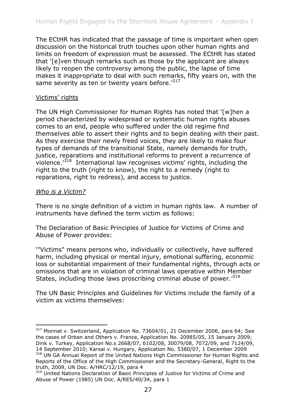The ECtHR has indicated that the passage of time is important when open discussion on the historical truth touches upon other human rights and limits on freedom of expression must be assessed. The ECtHR has stated that '[e]ven though remarks such as those by the applicant are always likely to reopen the controversy among the public, the lapse of time makes it inappropriate to deal with such remarks, fifty years on, with the same severity as ten or twenty years before.<sup>'317</sup>

## Victims' rights

The UN High Commissioner for Human Rights has noted that '[w]hen a period characterized by widespread or systematic human rights abuses comes to an end, people who suffered under the old regime find themselves able to assert their rights and to begin dealing with their past. As they exercise their newly freed voices, they are likely to make four types of demands of the transitional State, namely demands for truth, justice, reparations and institutional reforms to prevent a recurrence of violence.<sup>'318</sup> International law recognises victims' rights, including the right to the truth (right to know), the right to a remedy (right to reparations, right to redress), and access to justice.

## *Who is a Victim?*

-

There is no single definition of a victim in human rights law. A number of instruments have defined the term victim as follows:

The Declaration of Basic Principles of Justice for Victims of Crime and Abuse of Power provides:

'"Victims" means persons who, individually or collectively, have suffered harm, including physical or mental injury, emotional suffering, economic loss or substantial impairment of their fundamental rights, through acts or omissions that are in violation of criminal laws operative within Member States, including those laws proscribing criminal abuse of power.<sup>'319</sup>

The UN Basic Principles and Guidelines for Victims include the family of a victim as victims themselves:

<sup>317</sup> Monnat v. Switzerland, Application No. 73604/01, 21 December 2006, para 64; See the cases of Orban and Others v. France, Application No. 20985/05, 15 January 2009; Dink v. Turkey, Application No.s 2668/07, 6102/08, 30079/08, 7072/09, and 7124/09, 14 September 2010; Karsai v. Hungary, Application No. 5380/07, 1 December 2009 <sup>318</sup> UN GA Annual Report of the United Nations High Commissioner for Human Rights and Reports of the Office of the High Commissioner and the Secretary-General, Right to the truth, 2009, UN Doc. A/HRC/12/19, para 4

<sup>&</sup>lt;sup>319</sup> United Nations Declaration of Basic Principles of Justice for Victims of Crime and Abuse of Power (1985) UN Doc. A/RES/40/34, para 1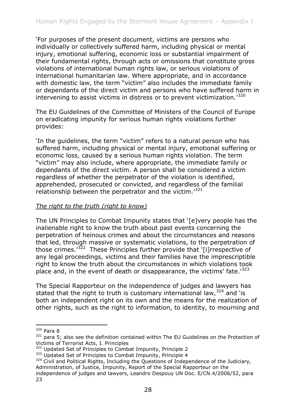'For purposes of the present document, victims are persons who individually or collectively suffered harm, including physical or mental injury, emotional suffering, economic loss or substantial impairment of their fundamental rights, through acts or omissions that constitute gross violations of international human rights law, or serious violations of international humanitarian law. Where appropriate, and in accordance with domestic law, the term "victim" also includes the immediate family or dependants of the direct victim and persons who have suffered harm in intervening to assist victims in distress or to prevent victimization.'<sup>320</sup>

The EU Guidelines of the Committee of Ministers of the Council of Europe on eradicating impunity for serious human rights violations further provides:

'In the guidelines, the term "victim" refers to a natural person who has suffered harm, including physical or mental injury, emotional suffering or economic loss, caused by a serious human rights violation. The term "victim" may also include, where appropriate, the immediate family or dependants of the direct victim. A person shall be considered a victim regardless of whether the perpetrator of the violation is identified, apprehended, prosecuted or convicted, and regardless of the familial relationship between the perpetrator and the victim. $321$ 

# *The right to the truth (right to know)*

The UN Principles to Combat Impunity states that '[e]very people has the inalienable right to know the truth about past events concerning the perpetration of heinous crimes and about the circumstances and reasons that led, through massive or systematic violations, to the perpetration of those crimes.<sup> $322$ </sup> These Principles further provide that '[i] rrespective of any legal proceedings, victims and their families have the imprescriptible right to know the truth about the circumstances in which violations took place and, in the event of death or disappearance, the victims' fate.<sup>'323</sup>

The Special Rapporteur on the independence of judges and lawyers has stated that the right to truth is customary international law,  $324$  and 'is both an independent right on its own and the means for the realization of other rights, such as the right to information, to identity, to mourning and

<sup>&</sup>lt;sup>320</sup> Para 8

 $321$  para 5; also see the definition contained within The EU Guidelines on the Protection of Victims of Terrorist Acts, I. Principles

<sup>&</sup>lt;sup>322</sup> Updated Set of Principles to Combat Impunity, Principle 2

<sup>323</sup> Updated Set of Principles to Combat Impunity, Principle 4

 $324$  Civil and Political Rights, Including the Questions of Independence of the Judiciary, Administration, of Justice, Impunity, Report of the Special Rapporteur on the

independence of judges and lawyers, Leandro Despouy UN Doc. E/CN.4/2006/52, para 23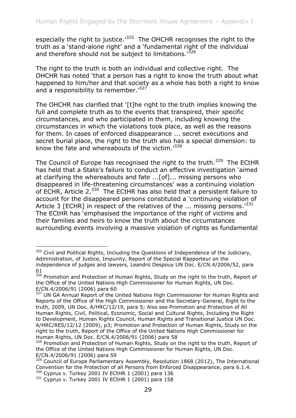especially the right to justice.<sup> $325$ </sup> The OHCHR recognises the right to the truth as a 'stand-alone right' and a 'fundamental right of the individual and therefore should not be subject to limitations.<sup>'326</sup>

The right to the truth is both an individual and collective right. The OHCHR has noted 'that a person has a right to know the truth about what happened to him/her and that society as a whole has both a right to know and a responsibility to remember.<sup> $327$ </sup>

The OHCHR has clarified that '[t]he right to the truth implies knowing the full and complete truth as to the events that transpired, their specific circumstances, and who participated in them, including knowing the circumstances in which the violations took place, as well as the reasons for them. In cases of enforced disappearance ... secret executions and secret burial place, the right to the truth also has a special dimension: to know the fate and whereabouts of the victim.'<sup>328</sup>

The Council of Europe has recognised the right to the truth.<sup>329</sup> The ECtHR has held that a State's failure to conduct an effective investigation 'aimed at clarifying the whereabouts and fate ...[of]... missing persons who disappeared in life-threatening circumstances' was a continuing violation of ECHR, Article  $2^{330}$  The ECtHR has also held that a persistent failure to account for the disappeared persons constituted a 'continuing violation of Article 3 [ECHR] in respect of the relatives of the  $\ldots$  missing persons.<sup>331</sup> The ECtHR has 'emphasised the importance of the right of victims and their families and heirs to know the truth about the circumstances surrounding events involving a massive violation of rights as fundamental

<sup>-</sup><sup>325</sup> Civil and Political Rights, Including the Questions of Independence of the Judiciary, Administration, of Justice, Impunity, Report of the Special Rapporteur on the independence of judges and lawyers, Leandro Despouy UN Doc. E/CN.4/2006/52, para 61

<sup>&</sup>lt;sup>326</sup> Promotion and Protection of Human Rights, Study on the right to the truth, Report of the Office of the United Nations High Commissioner for Human Rights, UN Doc. E/CN.4/2006/91 (2006) para 60

<sup>&</sup>lt;sup>327</sup> UN GA Annual Report of the United Nations High Commissioner for Human Rights and Reports of the Office of the High Commissioner and the Secretary-General, Right to the truth, 2009, UN Doc. A/HRC/12/19, para 5; Also see Promotion and Protection of All Human Rights, Civil, Political, Economic, Social and Cultural Rights, Including the Right to Development, Human Rights Council, Human Rights and Transitional Justice UN Doc. A/HRC/RES/12/12 (2009), p3; Promotion and Protection of Human Rights, Study on the right to the truth, Report of the Office of the United Nations High Commissioner for Human Rights, UN Doc. E/CN.4/2006/91 (2006) para 58

<sup>&</sup>lt;sup>328</sup> Promotion and Protection of Human Rights, Study on the right to the truth, Report of the Office of the United Nations High Commissioner for Human Rights, UN Doc. E/CN.4/2006/91 (2006) para 59

<sup>&</sup>lt;sup>329</sup> Council of Europe Parliamentary Assembly, Resolution 1868 (2012), The International Convention for the Protection of all Persons from Enforced Disappearance, para 6.1.4. 330 Cyprus v. Turkey 2001 IV ECtHR 1 (2001) para 136

<sup>331</sup> Cyprus v. Turkey 2001 IV ECtHR 1 (2001) para 158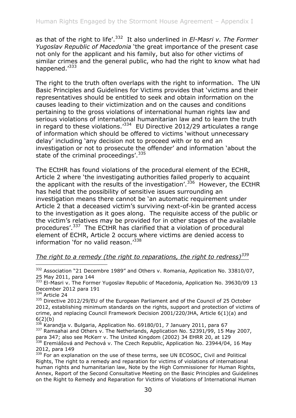as that of the right to life<sup>'.332</sup> It also underlined in *El-Masri v. The Former Yugoslav Republic of Macedonia* 'the great importance of the present case not only for the applicant and his family, but also for other victims of similar crimes and the general public, who had the right to know what had happened.<sup>'333</sup>

The right to the truth often overlaps with the right to information. The UN Basic Principles and Guidelines for Victims provides that 'victims and their representatives should be entitled to seek and obtain information on the causes leading to their victimization and on the causes and conditions pertaining to the gross violations of international human rights law and serious violations of international humanitarian law and to learn the truth in regard to these violations.<sup> $334$ </sup> EU Directive 2012/29 articulates a range of information which should be offered to victims 'without unnecessary delay' including 'any decision not to proceed with or to end an investigation or not to prosecute the offender' and information 'about the state of the criminal proceedings'.<sup>335</sup>

The ECtHR has found violations of the procedural element of the ECHR, Article 2 where 'the investigating authorities failed properly to acquaint the applicant with the results of the investigation'.<sup>336</sup> However, the ECtHR has held that the possibility of sensitive issues surrounding an investigation means there cannot be 'an automatic requirement under Article 2 that a deceased victim's surviving next-of-kin be granted access to the investigation as it goes along. The requisite access of the public or the victim's relatives may be provided for in other stages of the available procedures'.<sup>337</sup> The ECtHR has clarified that a violation of procedural element of ECHR, Article 2 occurs where victims are denied access to information 'for no valid reason.<sup>'338</sup>

# *The right to a remedy (the right to reparations, the right to redress)<sup>339</sup>*

<sup>&</sup>lt;sup>332</sup> Association "21 Decembre 1989" and Others v. Romania, Application No. 33810/07, 25 May 2011, para 144

<sup>&</sup>lt;sup>333</sup> El-Masri v. The Former Yugoslav Republic of Macedonia, Application No. 39630/09 13 December 2012 para 191

<sup>334</sup> Article 24

<sup>&</sup>lt;sup>335</sup> Directive 2012/29/EU of the European Parliament and of the Council of 25 October 2012, establishing minimum standards on the rights, support and protection of victims of crime, and replacing Council Framework Decision 2001/220/JHA, Article 6(1)(a) and  $6(2)(b)$ 

 $336$  Karandja v. Bulgaria, Application No. 69180/01, 7 January 2011, para 67

<sup>337</sup> Ramsahai and Others v. The Netherlands, Application No. 52391/99, 15 May 2007, para 347; also see McKerr v. The United Kingdom (2002) 34 EHRR 20, at 129 <sup>338</sup> Eremiášová and Pechová v. The Czech Republic, Application No. 23944/04, 16 May 2012, para 149

<sup>&</sup>lt;sup>339</sup> For an explanation on the use of these terms, see UN ECOSOC, Civil and Political Rights, The right to a remedy and reparation for victims of violations of international human rights and humanitarian law, Note by the High Commissioner for Human Rights, Annex, Report of the Second Consultative Meeting on the Basic Principles and Guidelines on the Right to Remedy and Reparation for Victims of Violations of International Human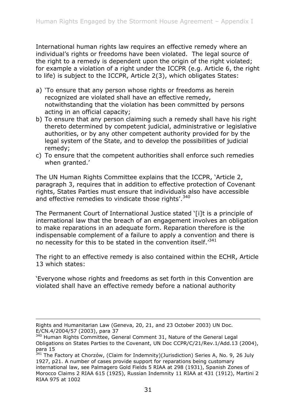International human rights law requires an effective remedy where an individual's rights or freedoms have been violated. The legal source of the right to a remedy is dependent upon the origin of the right violated; for example a violation of a right under the ICCPR (e.g. Article 6, the right to life) is subject to the ICCPR, Article 2(3), which obligates States:

- a) 'To ensure that any person whose rights or freedoms as herein recognized are violated shall have an effective remedy, notwithstanding that the violation has been committed by persons acting in an official capacity;
- b) To ensure that any person claiming such a remedy shall have his right thereto determined by competent judicial, administrative or legislative authorities, or by any other competent authority provided for by the legal system of the State, and to develop the possibilities of judicial remedy;
- c) To ensure that the competent authorities shall enforce such remedies when granted.'

The UN Human Rights Committee explains that the ICCPR, 'Article 2, paragraph 3, requires that in addition to effective protection of Covenant rights, States Parties must ensure that individuals also have accessible and effective remedies to vindicate those rights'.<sup>340</sup>

The Permanent Court of International Justice stated '[i]t is a principle of international law that the breach of an engagement involves an obligation to make reparations in an adequate form. Reparation therefore is the indispensable complement of a failure to apply a convention and there is no necessity for this to be stated in the convention itself.<sup>'341</sup>

The right to an effective remedy is also contained within the ECHR, Article 13 which states:

'Everyone whose rights and freedoms as set forth in this Convention are violated shall have an effective remedy before a national authority

Rights and Humanitarian Law (Geneva, 20, 21, and 23 October 2003) UN Doc. E/CN.4/2004/57 (2003), para 37

<sup>&</sup>lt;sup>340</sup> Human Rights Committee, General Comment 31, Nature of the General Legal Obligations on States Parties to the Covenant, UN Doc CCPR/C/21/Rev.1/Add.13 (2004), para 15

 $341$  The Factory at Chorzów, (Claim for Indemnity)(Jurisdiction) Series A, No. 9, 26 July 1927, p21. A number of cases provide support for reparations being customary international law, see Palmagero Gold Fields 5 RIAA at 298 (1931), Spanish Zones of Morocco Claims 2 RIAA 615 (1925), Russian Indemnity 11 RIAA at 431 (1912), Martini 2 RIAA 975 at 1002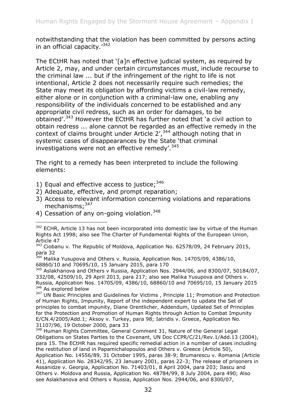notwithstanding that the violation has been committed by persons acting in an official capacity.'<sup>342</sup>

The ECtHR has noted that '[a]n effective judicial system, as required by Article 2, may, and under certain circumstances must, include recourse to the criminal law ... but if the infringement of the right to life is not intentional, Article 2 does not necessarily require such remedies; the State may meet its obligation by affording victims a civil-law remedy, either alone or in conjunction with a criminal-law one, enabling any responsibility of the individuals concerned to be established and any appropriate civil redress, such as an order for damages, to be obtained'.<sup>343</sup> However the ECtHR has further noted that 'a civil action to obtain redress ... alone cannot be regarded as an effective remedy in the context of claims brought under Article  $2^7$ ,  $344$  although noting that in systemic cases of disappearances by the State 'that criminal investigations were not an effective remedy'.  $345$ 

The right to a remedy has been interpreted to include the following elements:

- 1) Equal and effective access to justice;  $346$
- 2) Adequate, effective, and prompt reparation;
- 3) Access to relevant information concerning violations and reparations mechanisms; $347$
- 4) Cessation of any on-going violation.<sup>348</sup>

 $342$  ECHR, Article 13 has not been incorporated into domestic law by virtue of the Human Rights Act 1998; also see The Charter of Fundamental Rights of the European Union, Article 47

<sup>343</sup> Ciobanu v. The Republic of Moldova, Application No. 62578/09, 24 February 2015, para 32

<sup>&</sup>lt;sup>344</sup> Malika Yusupova and Others v. Russia, Application Nos. 14705/09, 4386/10, 68860/10 and 70695/10, 15 January 2015, para 170

<sup>&</sup>lt;sup>345</sup> Aslakhanova and Others v Russia, Application Nos. 2944/06, and 8300/07, 50184/07, 332/08, 42509/10, 29 April 2013, para 217; also see Malika Yusupova and Others v. Russia, Application Nos. 14705/09, 4386/10, 68860/10 and 70695/10, 15 January 2015 <sup>346</sup> As explored below

<sup>&</sup>lt;sup>347</sup> UN Basic Principles and Guidelines for Victims, Principle 11; Promotion and Protection of Human Rights, Impunity, Report of the independent expert to update the Set of principles to combat impunity, Diane Orentlicher, Addendum, Updated Set of Principles for the Protection and Promotion of Human Rights through Action to Combat Impunity E/CN.4/2005/Add.1; Aksoy v. Turkey, para 98; Iatridis v. Greece, Application No. 31107/96, 19 October 2000, para 33

<sup>348</sup> Human Rights Committee, General Comment 31, Nature of the General Legal Obligations on States Parties to the Covenant, UN Doc CCPR/C/21/Rev.1/Add.13 (2004), para 15. The ECtHR has required specific remedial action in a number of cases including the restitution of land in Papamichalopoulos and Others v. Greece (Article 50), Application No. 14556/89, 31 October 1995, paras 38-9; Brumarescu v. Romania (Article 41), Application No. 28342/95, 23 January 2001, paras 22-3; The release of prisoners in Assanidze v. Georgia, Application No. 71403/01, 8 April 2004, para 203; Ilascu and Others v. Moldova and Russia, Application No. 48784/99, 8 July 2004, para 490; Also see Aslakhanova and Others v Russia, Application Nos. 2944/06, and 8300/07,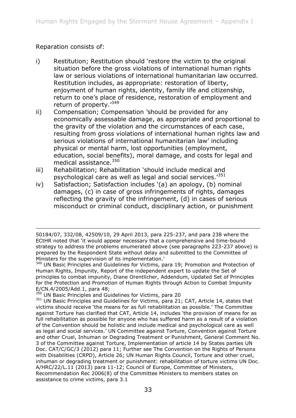## Reparation consists of:

- i) Restitution; Restitution should 'restore the victim to the original situation before the gross violations of international human rights law or serious violations of international humanitarian law occurred. Restitution includes, as appropriate: restoration of liberty, enjoyment of human rights, identity, family life and citizenship, return to one's place of residence, restoration of employment and return of property.<sup>'349</sup>
- ii) Compensation; Compensation *'*should be provided for any economically assessable damage, as appropriate and proportional to the gravity of the violation and the circumstances of each case, resulting from gross violations of international human rights law and serious violations of international humanitarian law' including physical or mental harm, lost opportunities (employment, education, social benefits), moral damage, and costs for legal and medical assistance.<sup>350</sup>
- iii) Rehabilitation; Rehabilitation 'should include medical and psychological care as well as legal and social services.<sup>'351</sup>
- iv) Satisfaction; Satisfaction includes '(a) an apology, (b) nominal damages, (c) in case of gross infringements of rights, damages reflecting the gravity of the infringement, (d) in cases of serious misconduct or criminal conduct, disciplinary action, or punishment

<sup>-</sup>50184/07, 332/08, 42509/10, 29 April 2013, para 225-237, and para 238 where the ECtHR noted that 'it would appear necessary that a comprehensive and time-bound strategy to address the problems enumerated above (see paragraphs 223-237 above) is prepared by the Respondent State without delay and submitted to the Committee of Ministers for the supervision of its implementation.'

<sup>&</sup>lt;sup>349</sup> UN Basic Principles and Guidelines for Victims, para 19; Promotion and Protection of Human Rights, Impunity, Report of the independent expert to update the Set of principles to combat impunity, Diane Orentlicher, Addendum, Updated Set of Principles for the Protection and Promotion of Human Rights through Action to Combat Impunity E/CN.4/2005/Add.1, para 48;

<sup>&</sup>lt;sup>350</sup> UN Basic Principles and Guidelines for Victims, para 20

<sup>&</sup>lt;sup>351</sup> UN Basic Principles and Guidelines for Victims, para 21; CAT, Article 14, states that victims should receive 'the means for as full rehabilitation as possible.' The Committee against Torture has clarified that CAT, Article 14, includes 'the provision of means for as full rehabilitation as possible for anyone who has suffered harm as a result of a violation of the Convention should be holistic and include medical and psychological care as well as legal and social services.' UN Committee against Torture, Convention against Torture and other Cruel, Inhuman or Degrading Treatment or Punishment, General Comment No. 3 of the Committee against Torture, Implementation of article 14 by States parties UN Doc. CAT/C/GC/3 (2012) para 11; Further see The Convention on the Rights of Persons with Disabilities (CRPD), Article 26; UN Human Rights Council, Torture and other cruel, inhuman or degrading treatment or punishment: rehabilitation of torture victims UN Doc. A/HRC/22/L.11 (2013) para 11-12; Council of Europe, Committee of Ministers, Recommendation Rec 2006(8) of the Committee Ministers to members states on assistance to crime victims, para 3.1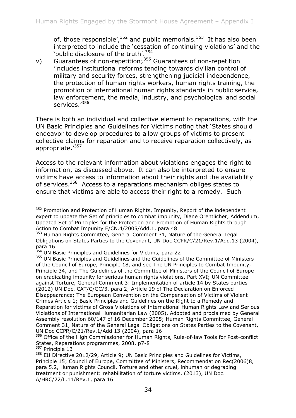of, those responsible',  $352$  and public memorials.  $353$  It has also been interpreted to include the 'cessation of continuing violations' and the 'public disclosure of the truth'.<sup>354</sup>

v) Guarantees of non-repetition;<sup>355</sup> Guarantees of non-repetition 'includes institutional reforms tending towards civilian control of military and security forces, strengthening judicial independence, the protection of human rights workers, human rights training, the promotion of international human rights standards in public service, law enforcement, the media, industry, and psychological and social services.'<sup>356</sup>

There is both an individual and collective element to reparations, with the UN Basic Principles and Guidelines for Victims noting that 'States should endeavor to develop procedures to allow groups of victims to present collective claims for reparation and to receive reparation collectively, as appropriate.'<sup>357</sup>

Access to the relevant information about violations engages the right to information, as discussed above. It can also be interpreted to ensure victims have access to information about their rights and the availability of services.<sup>358</sup> Access to a reparations mechanism obliges states to ensure that victims are able to access their right to a remedy. Such

<sup>-</sup><sup>352</sup> Promotion and Protection of Human Rights, Impunity, Report of the independent expert to update the Set of principles to combat impunity, Diane Orentlicher, Addendum, Updated Set of Principles for the Protection and Promotion of Human Rights through Action to Combat Impunity E/CN.4/2005/Add.1, para 48

<sup>&</sup>lt;sup>353</sup> Human Rights Committee, General Comment 31, Nature of the General Legal Obligations on States Parties to the Covenant, UN Doc CCPR/C/21/Rev.1/Add.13 (2004), para 16

<sup>&</sup>lt;sup>354</sup> UN Basic Principles and Guidelines for Victims, para 22

<sup>&</sup>lt;sup>355</sup> UN Basic Principles and Guidelines and the Guidelines of the Committee of Ministers of the Council of Europe, Principle 18, and see The UN Principles to Combat Impunity, Principle 34, and The Guidelines of the Committee of Ministers of the Council of Europe on eradicating impunity for serious human rights violations, Part XVI; UN Committee against Torture, General Comment 3: Implementation of article 14 by States parties (2012) UN Doc. CAT/C/GC/3, para 2; Article 19 of The Declaration on Enforced Disappearance; The European Convention on the Compensation of Victims of Violent Crimes Article 1; Basic Principles and Guidelines on the Right to a Remedy and Reparation for victims of Gross Violations of International Human Rights Law and Serious Violations of International Humanitarian Law (2005), Adopted and proclaimed by General Assembly resolution 60/147 of 16 December 2005; Human Rights Committee, General Comment 31, Nature of the General Legal Obligations on States Parties to the Covenant, UN Doc CCPR/C/21/Rev.1/Add.13 (2004), para 16

<sup>&</sup>lt;sup>356</sup> Office of the High Commissioner for Human Rights, Rule-of-law Tools for Post-conflict States, Reparations programmes, 2008, p7-8

<sup>&</sup>lt;sup>357</sup> Principle 13

<sup>&</sup>lt;sup>358</sup> EU Directive 2012/29, Article 9; UN Basic Principles and Guidelines for Victims, Principle 15; Council of Europe, Committee of Ministers, Recommendation Rec(2006)8, para 5.2, Human Rights Council, Torture and other cruel, inhuman or degrading treatment or punishment: rehabilitation of torture victims, (2013), UN Doc. A/HRC/22/L.11/Rev.1, para 16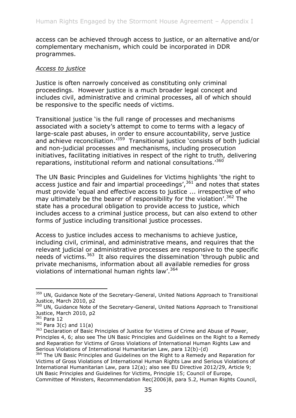access can be achieved through access to justice, or an alternative and/or complementary mechanism, which could be incorporated in DDR programmes.

## *Access to justice*

Justice is often narrowly conceived as constituting only criminal proceedings. However justice is a much broader legal concept and includes civil, administrative and criminal processes, all of which should be responsive to the specific needs of victims.

Transitional justice 'is the full range of processes and mechanisms associated with a society's attempt to come to terms with a legacy of large-scale past abuses, in order to ensure accountability, serve justice and achieve reconciliation.<sup>1359</sup> Transitional justice 'consists of both judicial and non-judicial processes and mechanisms, including prosecution initiatives, facilitating initiatives in respect of the right to truth, delivering reparations, institutional reform and national consultations.'<sup>360</sup>

The UN Basic Principles and Guidelines for Victims highlights 'the right to access justice and fair and impartial proceedings',  $361$  and notes that states must provide 'equal and effective access to justice ... irrespective of who may ultimately be the bearer of responsibility for the violation'.<sup>362</sup> The state has a procedural obligation to provide access to justice, which includes access to a criminal justice process, but can also extend to other forms of justice including transitional justice processes.

Access to justice includes access to mechanisms to achieve justice, including civil, criminal, and administrative means, and requires that the relevant judicial or administrative processes are responsive to the specific needs of victims.<sup>363</sup> It also requires the dissemination 'through public and private mechanisms, information about all available remedies for gross violations of international human rights law'.<sup>364</sup>

<sup>-</sup><sup>359</sup> UN, Guidance Note of the Secretary-General, United Nations Approach to Transitional Justice, March 2010, p2

<sup>&</sup>lt;sup>360</sup> UN, Guidance Note of the Secretary-General, United Nations Approach to Transitional Justice, March 2010, p2

<sup>361</sup> Para 12

 $362$  Para 3(c) and 11(a)

<sup>&</sup>lt;sup>363</sup> Declaration of Basic Principles of Justice for Victims of Crime and Abuse of Power, Principles 4, 6; also see The UN Basic Principles and Guidelines on the Right to a Remedy and Reparation for Victims of Gross Violations of International Human Rights Law and Serious Violations of International Humanitarian Law, para 12(b)-(d)

<sup>&</sup>lt;sup>364</sup> The UN Basic Principles and Guidelines on the Right to a Remedy and Reparation for Victims of Gross Violations of International Human Rights Law and Serious Violations of International Humanitarian Law, para 12(a); also see EU Directive 2012/29, Article 9; UN Basic Principles and Guidelines for Victims, Principle 15; Council of Europe, Committee of Ministers, Recommendation Rec(2006)8, para 5.2, Human Rights Council,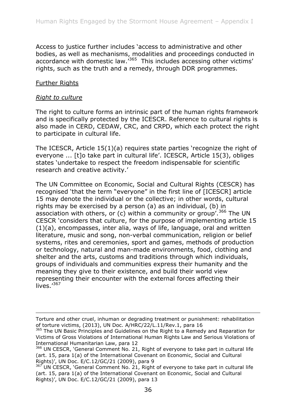Access to justice further includes 'access to administrative and other bodies, as well as mechanisms, modalities and proceedings conducted in accordance with domestic law.<sup>'365</sup> This includes accessing other victims' rights, such as the truth and a remedy, through DDR programmes.

## Further Rights

#### *Right to culture*

-

The right to culture forms an intrinsic part of the human rights framework and is specifically protected by the ICESCR. Reference to cultural rights is also made in CERD, CEDAW, CRC, and CRPD, which each protect the right to participate in cultural life.

The ICESCR, Article 15(1)(a) requires state parties 'recognize the right of everyone ... [t]o take part in cultural life'. ICESCR, Article 15(3), obliges states 'undertake to respect the freedom indispensable for scientific research and creative activity.'

The UN Committee on Economic, Social and Cultural Rights (CESCR) has recognised 'that the term "everyone" in the first line of [ICESCR] article 15 may denote the individual or the collective; in other words, cultural rights may be exercised by a person (a) as an individual, (b) in association with others, or (c) within a community or group'.  $366$  The UN CESCR 'considers that culture, for the purpose of implementing article 15 (1)(a), encompasses, inter alia, ways of life, language, oral and written literature, music and song, non-verbal communication, religion or belief systems, rites and ceremonies, sport and games, methods of production or technology, natural and man-made environments, food, clothing and shelter and the arts, customs and traditions through which individuals, groups of individuals and communities express their humanity and the meaning they give to their existence, and build their world view representing their encounter with the external forces affecting their lives.'367

Torture and other cruel, inhuman or degrading treatment or punishment: rehabilitation of torture victims, (2013), UN Doc. A/HRC/22/L.11/Rev.1, para 16

<sup>&</sup>lt;sup>365</sup> The UN Basic Principles and Guidelines on the Right to a Remedy and Reparation for Victims of Gross Violations of International Human Rights Law and Serious Violations of International Humanitarian Law, para 12

<sup>&</sup>lt;sup>366</sup> UN CESCR, 'General Comment No. 21, Right of everyone to take part in cultural life (art. 15, para 1(a) of the International Covenant on Economic, Social and Cultural Rights)', UN Doc. E/C.12/GC/21 (2009), para 9

 $367$  UN CESCR, 'General Comment No. 21, Right of everyone to take part in cultural life (art. 15, para 1(a) of the International Covenant on Economic, Social and Cultural Rights)', UN Doc. E/C.12/GC/21 (2009), para 13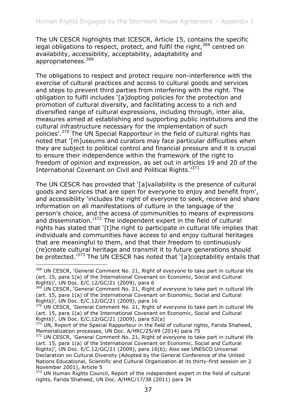The UN CESCR highlights that ICESCR, Article 15, contains the specific legal obligations to respect, protect, and fulfil the right,<sup>368</sup> centred on availability, accessibility, acceptability, adaptability and appropriateness.<sup>369</sup>

The obligations to respect and protect require non-interference with the exercise of cultural practices and access to cultural goods and services and steps to prevent third parties from interfering with the right. The obligation to fulfil includes '[a]dopting policies for the protection and promotion of cultural diversity, and facilitating access to a rich and diversified range of cultural expressions, including through, inter alia, measures aimed at establishing and supporting public institutions and the cultural infrastructure necessary for the implementation of such policies'.<sup>370</sup> The UN Special Rapporteur in the field of cultural rights has noted that '[m]useums and curators may face particular difficulties when they are subject to political control and financial pressure and it is crucial to ensure their independence within the framework of the right to freedom of opinion and expression, as set out in articles 19 and 20 of the International Covenant on Civil and Political Rights.<sup>1371</sup>

The UN CESCR has provided that '[a]vailability is the presence of cultural goods and services that are open for everyone to enjoy and benefit from', and accessibility 'includes the right of everyone to seek, receive and share information on all manifestations of culture in the language of the person's choice, and the access of communities to means of expressions and dissemination.'<sup>372</sup> The independent expert in the field of cultural rights has stated that '[t]he right to participate in cultural life implies that individuals and communities have access to and enjoy cultural heritages that are meaningful to them, and that their freedom to continuously (re)create cultural heritage and transmit it to future generations should be protected.<sup>'373</sup> The UN CESCR has noted that '[a]cceptability entails that

<sup>368</sup> UN CESCR, 'General Comment No. 21, Right of everyone to take part in cultural life (art. 15, para 1(a) of the International Covenant on Economic, Social and Cultural Rights)', UN Doc. E/C.12/GC/21 (2009), para 6

 $369$  UN CESCR, 'General Comment No. 21, Right of everyone to take part in cultural life (art. 15, para 1(a) of the International Covenant on Economic, Social and Cultural Rights)', UN Doc. E/C.12/GC/21 (2009), para 16

 $370$  UN CESCR, 'General Comment No. 21, Right of everyone to take part in cultural life (art. 15, para 1(a) of the International Covenant on Economic, Social and Cultural Rights)', UN Doc. E/C.12/GC/21 (2009), para 52(a)

 $371$  UN, Report of the Special Rapporteur in the field of cultural rights, Farida Shaheed, Memorialization processes, UN Doc. A/HRC/25/49 (2014) para 75

<sup>372</sup> UN CESCR, 'General Comment No. 21, Right of everyone to take part in cultural life (art. 15, para 1(a) of the International Covenant on Economic, Social and Cultural Rights)', UN Doc. E/C.12/GC/21 (2009), para 16(b); Also see UNESCO Universal Declaration on Cultural Diversity (Adopted by the General Conference of the United Nations Educational, Scientific and Cultural Organization at its thirty-first session on 2 November 2001), Article 5

 $373$  UN Human Rights Council, Report of the independent expert in the field of cultural rights, Farida Shaheed, UN Doc. A/HRC/17/38 (2011) para 34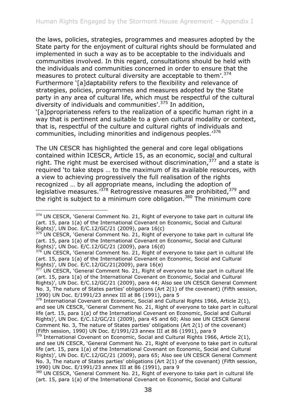the laws, policies, strategies, programmes and measures adopted by the State party for the enjoyment of cultural rights should be formulated and implemented in such a way as to be acceptable to the individuals and communities involved. In this regard, consultations should be held with the individuals and communities concerned in order to ensure that the measures to protect cultural diversity are acceptable to them'.<sup>374</sup> Furthermore '[a]daptability refers to the flexibility and relevance of strategies, policies, programmes and measures adopted by the State party in any area of cultural life, which must be respectful of the cultural diversity of individuals and communities'.<sup>375</sup> In addition,

'[a]ppropriateness refers to the realization of a specific human right in a way that is pertinent and suitable to a given cultural modality or context, that is, respectful of the culture and cultural rights of individuals and communities, including minorities and indigenous peoples.'<sup>376</sup>

The UN CESCR has highlighted the general and core legal obligations contained within ICESCR, Article 15, as an economic, social and cultural right. The right must be exercised without discrimination,  $377$  and a state is required 'to take steps … to the maximum of its available resources, with a view to achieving progressively the full realisation of the rights recognized … by all appropriate means, including the adoption of legislative measures.<sup>'378</sup> Retrogressive measures are prohibited,<sup>379</sup> and the right is subject to a minimum core obligation.<sup>380</sup> The minimum core

<sup>-</sup>374 UN CESCR, 'General Comment No. 21, Right of everyone to take part in cultural life (art. 15, para 1(a) of the International Covenant on Economic, Social and Cultural Rights)', UN Doc. E/C.12/GC/21 (2009), para 16(c)

<sup>375</sup> UN CESCR, 'General Comment No. 21, Right of everyone to take part in cultural life (art. 15, para 1(a) of the International Covenant on Economic, Social and Cultural Rights)', UN Doc. E/C.12/GC/21 (2009), para 16(d)

 $376$  UN CESCR, 'General Comment No. 21, Right of everyone to take part in cultural life (art. 15, para 1(a) of the International Covenant on Economic, Social and Cultural Rights)', UN Doc. E/C.12/GC/21(2009), para 16(e)

<sup>377</sup> UN CESCR, 'General Comment No. 21, Right of everyone to take part in cultural life (art. 15, para 1(a) of the International Covenant on Economic, Social and Cultural Rights)', UN Doc. E/C.12/GC/21 (2009), para 44; Also see UN CESCR General Comment No. 3, The nature of States parties' obligations (Art 2(1) of the covenant) (Fifth session, 1990) UN Doc. E/1991/23 annex III at 86 (1991), para 5

 $378$  International Covenant on Economic, Social and Cultural Rights 1966, Article 2(1), and see UN CESCR, 'General Comment No. 21, Right of everyone to take part in cultural life (art. 15, para 1(a) of the International Covenant on Economic, Social and Cultural Rights)', UN Doc. E/C.12/GC/21 (2009), para 45 and 60; Also see UN CESCR General Comment No. 3, The nature of States parties' obligations (Art 2(1) of the covenant) (Fifth session, 1990) UN Doc. E/1991/23 annex III at 86 (1991), para 9

 $379$  International Covenant on Economic, Social and Cultural Rights 1966, Article 2(1), and see UN CESCR, 'General Comment No. 21, Right of everyone to take part in cultural life (art. 15, para 1(a) of the International Covenant on Economic, Social and Cultural Rights)', UN Doc. E/C.12/GC/21 (2009), para 65; Also see UN CESCR General Comment No. 3, The nature of States parties' obligations (Art 2(1) of the covenant) (Fifth session, 1990) UN Doc. E/1991/23 annex III at 86 (1991), para 9

 $380$  UN CESCR, 'General Comment No. 21, Right of everyone to take part in cultural life (art. 15, para 1(a) of the International Covenant on Economic, Social and Cultural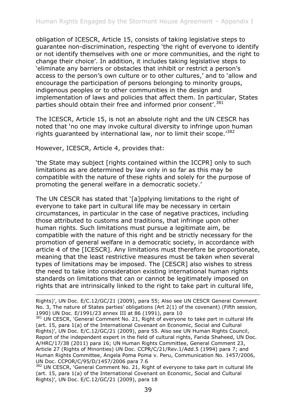obligation of ICESCR, Article 15, consists of taking legislative steps to guarantee non-discrimination, respecting 'the right of everyone to identify or not identify themselves with one or more communities, and the right to change their choice'. In addition, it includes taking legislative steps to 'eliminate any barriers or obstacles that inhibit or restrict a person's access to the person's own culture or to other cultures,' and to 'allow and encourage the participation of persons belonging to minority groups, indigenous peoples or to other communities in the design and implementation of laws and policies that affect them. In particular, States parties should obtain their free and informed prior consent'.<sup>381</sup>

The ICESCR, Article 15, is not an absolute right and the UN CESCR has noted that 'no one may invoke cultural diversity to infringe upon human rights guaranteed by international law, nor to limit their scope.<sup>'382</sup>

However, ICESCR, Article 4, provides that:

-

'the State may subject [rights contained within the ICCPR] only to such limitations as are determined by law only in so far as this may be compatible with the nature of these rights and solely for the purpose of promoting the general welfare in a democratic society.'

The UN CESCR has stated that '[a]pplying limitations to the right of everyone to take part in cultural life may be necessary in certain circumstances, in particular in the case of negative practices, including those attributed to customs and traditions, that infringe upon other human rights. Such limitations must pursue a legitimate aim, be compatible with the nature of this right and be strictly necessary for the promotion of general welfare in a democratic society, in accordance with article 4 of the [ICESCR]. Any limitations must therefore be proportionate, meaning that the least restrictive measures must be taken when several types of limitations may be imposed. The [CESCR] also wishes to stress the need to take into consideration existing international human rights standards on limitations that can or cannot be legitimately imposed on rights that are intrinsically linked to the right to take part in cultural life,

Rights)', UN Doc. E/C.12/GC/21 (2009), para 55; Also see UN CESCR General Comment No. 3, The nature of States parties' obligations (Art 2(1) of the covenant) (Fifth session, 1990) UN Doc. E/1991/23 annex III at 86 (1991), para 10

 $381$  UN CESCR, 'General Comment No. 21, Right of everyone to take part in cultural life (art. 15, para 1(a) of the International Covenant on Economic, Social and Cultural Rights)', UN Doc. E/C.12/GC/21 (2009), para 55. Also see UN Human Rights Council, Report of the independent expert in the field of cultural rights, Farida Shaheed, UN Doc. A/HRC/17/38 (2011) para 16; UN Human Rights Committee, General Comment 23, Article 27 (Rights of Minorities) UN Doc. CCPR/C/21/Rev.1/Add.5 (1994) para 7; and Human Rights Committee, Angela Poma Poma v. Peru, Communication No. 1457/2006, UN Doc. CCPOR/C/95/D/1457/2006 para 7.6

<sup>&</sup>lt;sup>382</sup> UN CESCR, 'General Comment No. 21, Right of everyone to take part in cultural life (art. 15, para 1(a) of the International Covenant on Economic, Social and Cultural Rights)', UN Doc. E/C.12/GC/21 (2009), para 18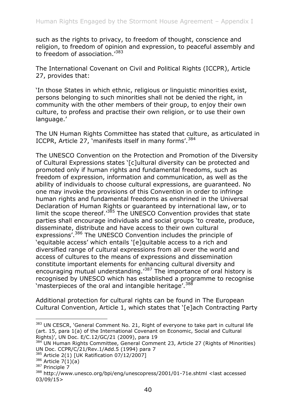such as the rights to privacy, to freedom of thought, conscience and religion, to freedom of opinion and expression, to peaceful assembly and to freedom of association.<sup>'383</sup>

The International Covenant on Civil and Political Rights (ICCPR), Article 27, provides that:

'In those States in which ethnic, religious or linguistic minorities exist, persons belonging to such minorities shall not be denied the right, in community with the other members of their group, to enjoy their own culture, to profess and practise their own religion, or to use their own language.'

The UN Human Rights Committee has stated that culture, as articulated in ICCPR, Article 27, 'manifests itself in many forms'.<sup>384</sup>

The UNESCO Convention on the Protection and Promotion of the Diversity of Cultural Expressions states '[c]ultural diversity can be protected and promoted only if human rights and fundamental freedoms, such as freedom of expression, information and communication, as well as the ability of individuals to choose cultural expressions, are guaranteed. No one may invoke the provisions of this Convention in order to infringe human rights and fundamental freedoms as enshrined in the Universal Declaration of Human Rights or guaranteed by international law, or to limit the scope thereof.<sup>385</sup> The UNESCO Convention provides that state parties shall encourage individuals and social groups 'to create, produce, disseminate, distribute and have access to their own cultural expressions'.<sup>386</sup> The UNESCO Convention includes the principle of 'equitable access' which entails '[e]quitable access to a rich and diversified range of cultural expressions from all over the world and access of cultures to the means of expressions and dissemination constitute important elements for enhancing cultural diversity and encouraging mutual understanding.<sup>'387</sup> The importance of oral history is recognised by UNESCO which has established a programme to recognise 'masterpieces of the oral and intangible heritage'.<sup>388</sup>

Additional protection for cultural rights can be found in The European Cultural Convention, Article 1, which states that '[e]ach Contracting Party

<sup>383</sup> UN CESCR, 'General Comment No. 21, Right of everyone to take part in cultural life (art. 15, para 1(a) of the International Covenant on Economic, Social and Cultural Rights)', UN Doc. E/C.12/GC/21 (2009), para 19

<sup>384</sup> UN Human Rights Committee, General Comment 23, Article 27 (Rights of Minorities) UN Doc. CCPR/C/21/Rev.1/Add.5 (1994) para 7

<sup>385</sup> Article 2(1) [UK Ratification 07/12/2007]

<sup>386</sup> Article 7(1)(a)

<sup>387</sup> Principle 7

<sup>388</sup> http://www.unesco.org/bpi/eng/unescopress/2001/01-71e.shtml <last accessed 03/09/15>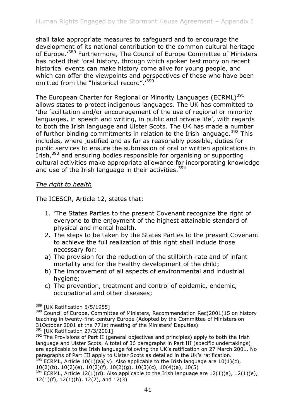shall take appropriate measures to safeguard and to encourage the development of its national contribution to the common cultural heritage of Europe.<sup>'389</sup> Furthermore, The Council of Europe Committee of Ministers has noted that 'oral history, through which spoken testimony on recent historical events can make history come alive for young people, and which can offer the viewpoints and perspectives of those who have been omitted from the "historical record".<sup>390</sup>

The European Charter for Regional or Minority Languages (ECRML)<sup>391</sup> allows states to protect indigenous languages. The UK has committed to 'the facilitation and/or encouragement of the use of regional or minority languages, in speech and writing, in public and private life', with regards to both the Irish language and Ulster Scots. The UK has made a number of further binding commitments in relation to the Irish language.<sup>392</sup> This includes, where justified and as far as reasonably possible, duties for public services to ensure the submission of oral or written applications in Irish,<sup>393</sup> and ensuring bodies responsible for organising or supporting cultural activities make appropriate allowance for incorporating knowledge and use of the Irish language in their activities.<sup>394</sup>

## *The right to health*

The ICESCR, Article 12, states that:

- 1. 'The States Parties to the present Covenant recognize the right of everyone to the enjoyment of the highest attainable standard of physical and mental health.
- 2. The steps to be taken by the States Parties to the present Covenant to achieve the full realization of this right shall include those necessary for:
- a) The provision for the reduction of the stillbirth-rate and of infant mortality and for the healthy development of the child;
- b) The improvement of all aspects of environmental and industrial hygiene;
- c) The prevention, treatment and control of epidemic, endemic, occupational and other diseases;

 $393$  ECRML, Article 10(1)(a)(iv). Also applicable to the Irish language are 10(1)(c), 10(2)(b), 10(2)(e), 10(2)(f), 10(2)(g), 10(3)(c), 10(4)(a), 10(5)

<sup>-</sup> $389$  [UK Ratification 5/5/1955]

<sup>&</sup>lt;sup>390</sup> Council of Europe, Committee of Ministers, Recommendation Rec(2001)15 on history teaching in twenty-first-century Europe (Adopted by the Committee of Ministers on 31October 2001 at the 771st meeting of the Ministers' Deputies)

<sup>391</sup> [UK Ratification 27/3/2001]

 $392$  The Provisions of Part II (general objectives and principles) apply to both the Irish language and Ulster Scots. A total of 36 paragraphs in Part III (specific undertakings) are applicable to the Irish language following the UK's ratification on 27 March 2001. No paragraphs of Part III apply to Ulster Scots as detailed in the UK's ratification.

 $394$  ECRML, Article 12(1)(d). Also applicable to the Irish language are 12(1)(a), 12(1)(e), 12(1)(f), 12(1)(h), 12(2), and 12(3)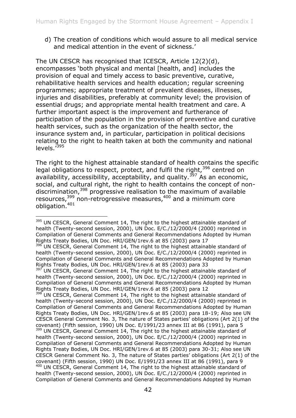d) The creation of conditions which would assure to all medical service and medical attention in the event of sickness.'

The UN CESCR has recognised that ICESCR, Article 12(2)(d), encompasses 'both physical and mental [health, and] includes the provision of equal and timely access to basic preventive, curative, rehabilitative health services and health education; regular screening programmes; appropriate treatment of prevalent diseases, illnesses, injuries and disabilities, preferably at community level; the provision of essential drugs; and appropriate mental health treatment and care. A further important aspect is the improvement and furtherance of participation of the population in the provision of preventive and curative health services, such as the organization of the health sector, the insurance system and, in particular, participation in political decisions relating to the right to health taken at both the community and national levels.<sup>7395</sup>

The right to the highest attainable standard of health contains the specific legal obligations to respect, protect, and fulfil the right,  $396$  centred on availability, accessibility, acceptability, and quality.<sup>397</sup> As an economic, social, and cultural right, the right to health contains the concept of nondiscrimination,  $398$  progressive realisation to the maximum of available resources, $399$  non-retrogressive measures, $400$  and a minimum core obligation.<sup>401</sup>

 $398$  UN CESCR, General Comment 14, The right to the highest attainable standard of health (Twenty-second session, 2000), UN Doc. E/C./12/2000/4 (2000) reprinted in Compilation of General Comments and General Recommendations Adopted by Human Rights Treaty Bodies, UN Doc. HRI/GEN/1rev.6 at 85 (2003) para 18-19; Also see UN CESCR General Comment No. 3, The nature of States parties' obligations (Art 2(1) of the covenant) (Fifth session, 1990) UN Doc. E/1991/23 annex III at 86 (1991), para 5 <sup>399</sup> UN CESCR, General Comment 14, The right to the highest attainable standard of health (Twenty-second session, 2000), UN Doc. E/C./12/2000/4 (2000) reprinted in Compilation of General Comments and General Recommendations Adopted by Human Rights Treaty Bodies, UN Doc. HRI/GEN/1rev.6 at 85 (2003) para 30-31; Also see UN

<sup>-</sup> $395$  UN CESCR, General Comment 14, The right to the highest attainable standard of health (Twenty-second session, 2000), UN Doc. E/C./12/2000/4 (2000) reprinted in Compilation of General Comments and General Recommendations Adopted by Human Rights Treaty Bodies, UN Doc. HRI/GEN/1rev.6 at 85 (2003) para 17

<sup>&</sup>lt;sup>396</sup> UN CESCR, General Comment 14, The right to the highest attainable standard of health (Twenty-second session, 2000), UN Doc. E/C./12/2000/4 (2000) reprinted in Compilation of General Comments and General Recommendations Adopted by Human Rights Treaty Bodies, UN Doc. HRI/GEN/1rev.6 at 85 (2003) para 33

 $397$  UN CESCR, General Comment 14, The right to the highest attainable standard of health (Twenty-second session, 2000), UN Doc. E/C./12/2000/4 (2000) reprinted in Compilation of General Comments and General Recommendations Adopted by Human Rights Treaty Bodies, UN Doc. HRI/GEN/1rev.6 at 85 (2003) para 12

CESCR General Comment No. 3, The nature of States parties' obligations (Art 2(1) of the covenant) (Fifth session, 1990) UN Doc. E/1991/23 annex III at 86 (1991), para 9 <sup>400</sup> UN CESCR, General Comment 14, The right to the highest attainable standard of health (Twenty-second session, 2000), UN Doc. E/C./12/2000/4 (2000) reprinted in Compilation of General Comments and General Recommendations Adopted by Human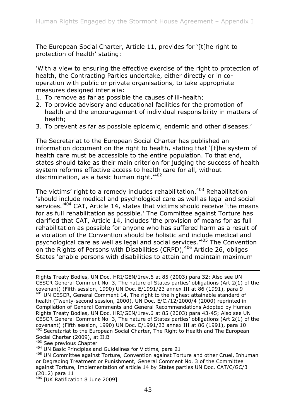The European Social Charter, Article 11, provides for '[t]he right to protection of health' stating:

'With a view to ensuring the effective exercise of the right to protection of health, the Contracting Parties undertake, either directly or in cooperation with public or private organisations, to take appropriate measures designed inter alia:

- 1. To remove as far as possible the causes of ill-health;
- 2. To provide advisory and educational facilities for the promotion of health and the encouragement of individual responsibility in matters of health;
- 3. To prevent as far as possible epidemic, endemic and other diseases.'

The Secretariat to the European Social Charter has published an information document on the right to health, stating that '[t]he system of health care must be accessible to the entire population. To that end, states should take as their main criterion for judging the success of health system reforms effective access to health care for all, without discrimination, as a basic human right.'<sup>402</sup>

The victims' right to a remedy includes rehabilitation.<sup>403</sup> Rehabilitation 'should include medical and psychological care as well as legal and social services.<sup>404</sup> CAT, Article 14, states that victims should receive 'the means for as full rehabilitation as possible.' The Committee against Torture has clarified that CAT, Article 14, includes 'the provision of means for as full rehabilitation as possible for anyone who has suffered harm as a result of a violation of the Convention should be holistic and include medical and psychological care as well as legal and social services.<sup>1405</sup> The Convention on the Rights of Persons with Disabilities (CRPD),  $406$  Article 26, obliges States 'enable persons with disabilities to attain and maintain maximum

Rights Treaty Bodies, UN Doc. HRI/GEN/1rev.6 at 85 (2003) para 32; Also see UN CESCR General Comment No. 3, The nature of States parties' obligations (Art 2(1) of the covenant) (Fifth session, 1990) UN Doc. E/1991/23 annex III at 86 (1991), para 9  $401$  UN CESCR, General Comment 14, The right to the highest attainable standard of health (Twenty-second session, 2000), UN Doc. E/C./12/2000/4 (2000) reprinted in Compilation of General Comments and General Recommendations Adopted by Human Rights Treaty Bodies, UN Doc. HRI/GEN/1rev.6 at 85 (2003) para 43-45; Also see UN CESCR General Comment No. 3, The nature of States parties' obligations (Art 2(1) of the covenant) (Fifth session, 1990) UN Doc. E/1991/23 annex III at 86 (1991), para 10 402 Secretariat to the European Social Charter, The Right to Health and The European Social Charter (2009), at II.B

403 See previous Chapter

<sup>404</sup> UN Basic Principles and Guidelines for Victims, para 21

<sup>405</sup> UN Committee against Torture, Convention against Torture and other Cruel, Inhuman or Degrading Treatment or Punishment, General Comment No. 3 of the Committee against Torture, Implementation of article 14 by States parties UN Doc. CAT/C/GC/3 (2012) para 11

<sup>&</sup>lt;sup>406</sup> [UK Ratification 8 June 2009]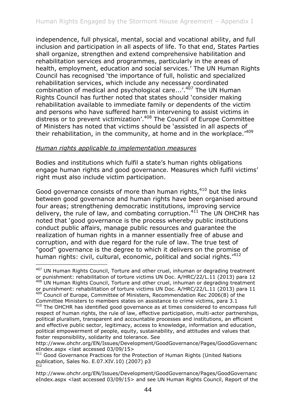independence, full physical, mental, social and vocational ability, and full inclusion and participation in all aspects of life. To that end, States Parties shall organize, strengthen and extend comprehensive habilitation and rehabilitation services and programmes, particularly in the areas of health, employment, education and social services.' The UN Human Rights Council has recognised 'the importance of full, holistic and specialized rehabilitation services, which include any necessary coordinated combination of medical and psychological care...'.<sup>407</sup> The UN Human Rights Council has further noted that states should 'consider making rehabilitation available to immediate family or dependents of the victim and persons who have suffered harm in intervening to assist victims in distress or to prevent victimization'.<sup>408</sup> The Council of Europe Committee of Ministers has noted that victims should be 'assisted in all aspects of their rehabilitation, in the community, at home and in the workplace.<sup>'409</sup>

## *Human rights applicable to implementation measures*

-

Bodies and institutions which fulfil a state's human rights obligations engage human rights and good governance. Measures which fulfil victims' right must also include victim participation.

Good governance consists of more than human rights, $410$  but the links between good governance and human rights have been organised around four areas; strengthening democratic institutions, improving service delivery, the rule of law, and combating corruption. $411$  The UN OHCHR has noted that 'good governance is the process whereby public institutions conduct public affairs, manage public resources and guarantee the realization of human rights in a manner essentially free of abuse and corruption, and with due regard for the rule of law. The true test of "good" governance is the degree to which it delivers on the promise of human rights: civil, cultural, economic, political and social rights.<sup>'412</sup>

<sup>&</sup>lt;sup>407</sup> UN Human Rights Council, Torture and other cruel, inhuman or degrading treatment or punishment: rehabilitation of torture victims UN Doc. A/HRC/22/L.11 (2013) para 12 <sup>408</sup> UN Human Rights Council, Torture and other cruel, inhuman or degrading treatment or punishment: rehabilitation of torture victims UN Doc. A/HRC/22/L.11 (2013) para 11  $409$  Council of Europe, Committee of Ministers, Recommendation Rec 2006(8) of the Committee Ministers to members states on assistance to crime victims, para 3.1 <sup>410</sup> The OHCHR has identified good governance as at times considered to encompass full respect of human rights, the rule of law, effective participation, multi-actor partnerships, political pluralism, transparent and accountable processes and institutions, an efficient and effective public sector, legitimacy, access to knowledge, information and education, political empowerment of people, equity, sustainability, and attitudes and values that foster responsibility, solidarity and tolerance. See

http://www.ohchr.org/EN/Issues/Development/GoodGovernance/Pages/GoodGovernanc eIndex.aspx < last accessed 03/09/15>

<sup>&</sup>lt;sup>411</sup> Good Governance Practices for the Protection of Human Rights (United Nations publication, Sales No. E.07.XIV.10) (2007) p3 412

http://www.ohchr.org/EN/Issues/Development/GoodGovernance/Pages/GoodGovernanc eIndex.aspx <last accessed 03/09/15> and see UN Human Rights Council, Report of the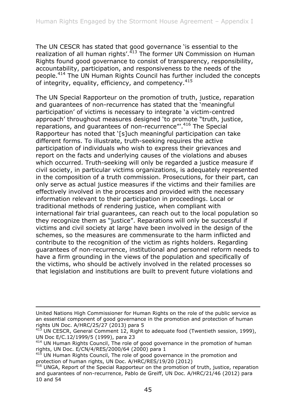The UN CESCR has stated that good governance 'is essential to the realization of all human rights'.<sup>413</sup> The former UN Commission on Human Rights found good governance to consist of transparency, responsibility, accountability, participation, and responsiveness to the needs of the people.<sup>414</sup> The UN Human Rights Council has further included the concepts of integrity, equality, efficiency, and competency.<sup>415</sup>

The UN Special Rapporteur on the promotion of truth, justice, reparation and guarantees of non-recurrence has stated that the 'meaningful participation' of victims is necessary to integrate 'a victim-centred approach' throughout measures designed 'to promote "truth, justice, reparations, and guarantees of non-recurrence"'.<sup>416</sup> The Special Rapporteur has noted that '[s]uch meaningful participation can take different forms. To illustrate, truth-seeking requires the active participation of individuals who wish to express their grievances and report on the facts and underlying causes of the violations and abuses which occurred. Truth-seeking will only be regarded a justice measure if civil society, in particular victims organizations, is adequately represented in the composition of a truth commission. Prosecutions, for their part, can only serve as actual justice measures if the victims and their families are effectively involved in the processes and provided with the necessary information relevant to their participation in proceedings. Local or traditional methods of rendering justice, when compliant with international fair trial guarantees, can reach out to the local population so they recognize them as "justice". Reparations will only be successful if victims and civil society at large have been involved in the design of the schemes, so the measures are commensurate to the harm inflicted and contribute to the recognition of the victim as rights holders. Regarding guarantees of non-recurrence, institutional and personnel reform needs to have a firm grounding in the views of the population and specifically of the victims, who should be actively involved in the related processes so that legislation and institutions are built to prevent future violations and

United Nations High Commissioner for Human Rights on the role of the public service as an essential component of good governance in the promotion and protection of human rights UN Doc. A/HRC/25/27 (2013) para 5

 $413$  UN CESCR, General Comment 12, Right to adequate food (Twentieth session, 1999), UN Doc E/C.12/1999/5 (1999), para 23

<sup>414</sup> UN Human Rights Council, The role of good governance in the promotion of human rights, UN Doc. E/CN/4/RES/2000/64 (2000) para 1

<sup>&</sup>lt;sup>415</sup> UN Human Rights Council, The role of good governance in the promotion and protection of human rights, UN Doc. A/HRC/RES/19/20 (2012)

<sup>&</sup>lt;sup>416</sup> UNGA, Report of the Special Rapporteur on the promotion of truth, justice, reparation and guarantees of non-recurrence, Pablo de Greiff, UN Doc. A/HRC/21/46 (2012) para 10 and 54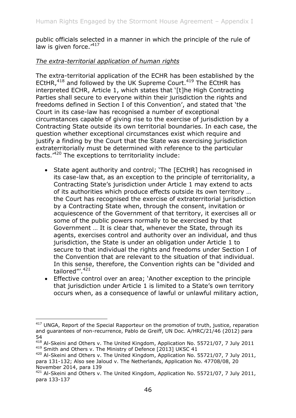public officials selected in a manner in which the principle of the rule of law is given force.<sup>'417</sup>

## *The extra-territorial application of human rights*

The extra-territorial application of the ECHR has been established by the ECtHR,<sup>418</sup> and followed by the UK Supreme Court.<sup>419</sup> The ECtHR has interpreted ECHR, Article 1, which states that '[t]he High Contracting Parties shall secure to everyone within their jurisdiction the rights and freedoms defined in Section I of this Convention', and stated that 'the Court in its case-law has recognised a number of exceptional circumstances capable of giving rise to the exercise of jurisdiction by a Contracting State outside its own territorial boundaries. In each case, the question whether exceptional circumstances exist which require and justify a finding by the Court that the State was exercising jurisdiction extraterritorially must be determined with reference to the particular facts.<sup>420</sup> The exceptions to territoriality include:

- State agent authority and control; 'The [ECtHR] has recognised in its case-law that, as an exception to the principle of territoriality, a Contracting State's jurisdiction under Article 1 may extend to acts of its authorities which produce effects outside its own territory … the Court has recognised the exercise of extraterritorial jurisdiction by a Contracting State when, through the consent, invitation or acquiescence of the Government of that territory, it exercises all or some of the public powers normally to be exercised by that Government … It is clear that, whenever the State, through its agents, exercises control and authority over an individual, and thus jurisdiction, the State is under an obligation under Article 1 to secure to that individual the rights and freedoms under Section I of the Convention that are relevant to the situation of that individual. In this sense, therefore, the Convention rights can be "divided and tailored"'.<sup>421</sup>
- Effective control over an area; 'Another exception to the principle that jurisdiction under Article 1 is limited to a State's own territory occurs when, as a consequence of lawful or unlawful military action,

 $417$  UNGA, Report of the Special Rapporteur on the promotion of truth, justice, reparation and guarantees of non-recurrence, Pablo de Greiff, UN Doc. A/HRC/21/46 (2012) para 54

 $418$  Al-Skeini and Others v. The United Kingdom, Application No. 55721/07, 7 July 2011 <sup>419</sup> Smith and Others v. The Ministry of Defence [2013] UKSC 41

<sup>&</sup>lt;sup>420</sup> Al-Skeini and Others v. The United Kingdom, Application No. 55721/07, 7 July 2011, para 131-132; Also see Jaloud v. The Netherlands, Application No. 47708/08, 20 November 2014, para 139

 $421$  Al-Skeini and Others v. The United Kingdom, Application No. 55721/07, 7 July 2011, para 133-137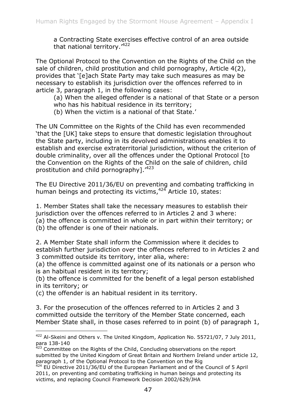a Contracting State exercises effective control of an area outside that national territory.<sup>422</sup>

The Optional Protocol to the Convention on the Rights of the Child on the sale of children, child prostitution and child pornography, Article 4(2), provides that '[e]ach State Party may take such measures as may be necessary to establish its jurisdiction over the offences referred to in article 3, paragraph 1, in the following cases:

(a) When the alleged offender is a national of that State or a person who has his habitual residence in its territory;

(b) When the victim is a national of that State.'

The UN Committee on the Rights of the Child has even recommended 'that the [UK] take steps to ensure that domestic legislation throughout the State party, including in its devolved administrations enables it to establish and exercise extraterritorial jurisdiction, without the criterion of double criminality, over all the offences under the Optional Protocol [to the Convention on the Rights of the Child on the sale of children, child prostitution and child pornography].'<sup>423</sup>

The EU Directive 2011/36/EU on preventing and combating trafficking in human beings and protecting its victims, <sup>424</sup> Article 10, states:

1. Member States shall take the necessary measures to establish their jurisdiction over the offences referred to in Articles 2 and 3 where: (a) the offence is committed in whole or in part within their territory; or (b) the offender is one of their nationals.

2. A Member State shall inform the Commission where it decides to establish further jurisdiction over the offences referred to in Articles 2 and 3 committed outside its territory, inter alia, where:

(a) the offence is committed against one of its nationals or a person who is an habitual resident in its territory;

(b) the offence is committed for the benefit of a legal person established in its territory; or

(c) the offender is an habitual resident in its territory.

-

3. For the prosecution of the offences referred to in Articles 2 and 3 committed outside the territory of the Member State concerned, each Member State shall, in those cases referred to in point (b) of paragraph 1,

<sup>&</sup>lt;sup>422</sup> Al-Skeini and Others v. The United Kingdom, Application No. 55721/07, 7 July 2011, para 138-140

<sup>&</sup>lt;sup>423</sup> Committee on the Rights of the Child, Concluding observations on the report submitted by the United Kingdom of Great Britain and Northern Ireland under article 12, paragraph 1, of the Optional Protocol to the Convention on the Rig

 $424$  EU Directive 2011/36/EU of the European Parliament and of the Council of 5 April 2011, on preventing and combating trafficking in human beings and protecting its victims, and replacing Council Framework Decision 2002/629/JHA